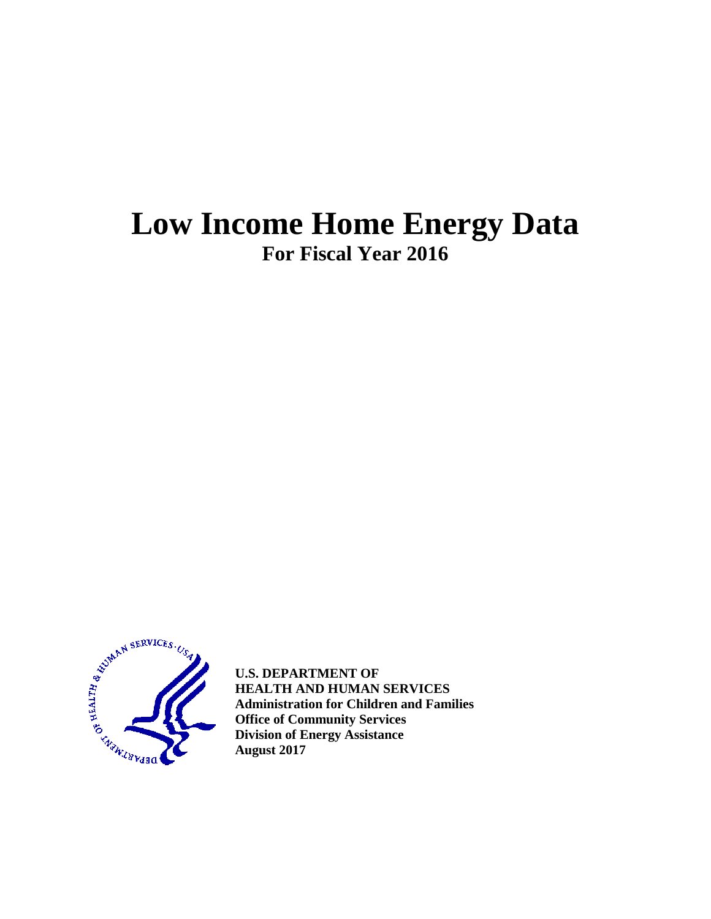# **Low Income Home Energy Data For Fiscal Year 2016**



**U.S. DEPARTMENT OF HEALTH AND HUMAN SERVICES Administration for Children and Families Office of Community Services Division of Energy Assistance August 2017**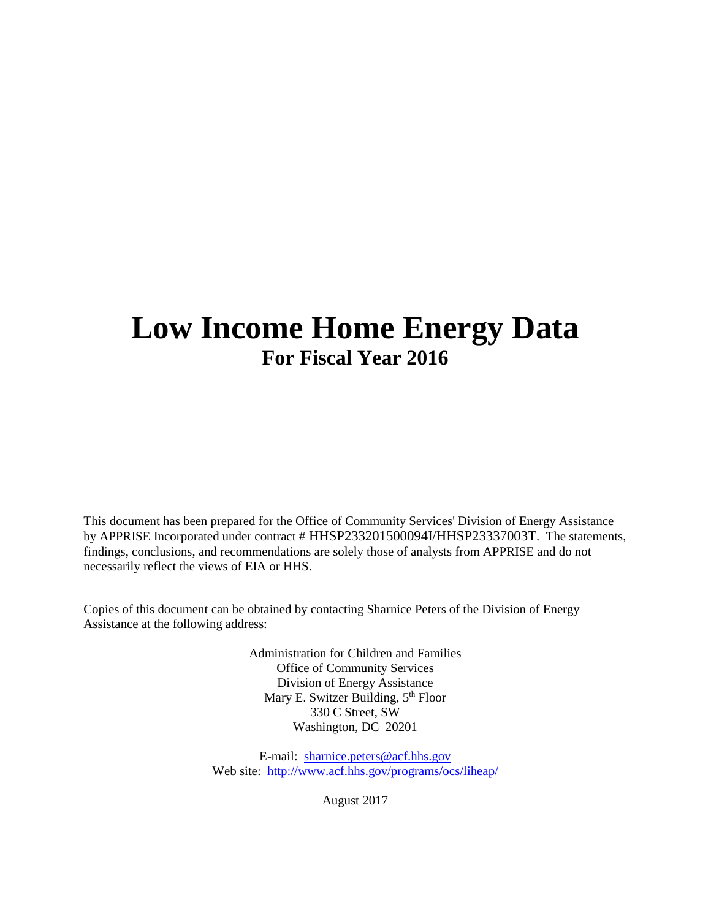# **Low Income Home Energy Data For Fiscal Year 2016**

This document has been prepared for the Office of Community Services' Division of Energy Assistance by APPRISE Incorporated under contract # HHSP233201500094I/HHSP23337003T. The statements, findings, conclusions, and recommendations are solely those of analysts from APPRISE and do not necessarily reflect the views of EIA or HHS.

Copies of this document can be obtained by contacting Sharnice Peters of the Division of Energy Assistance at the following address:

> Administration for Children and Families Office of Community Services Division of Energy Assistance Mary E. Switzer Building, 5<sup>th</sup> Floor 330 C Street, SW Washington, DC 20201

E-mail: [sharnice.peters@acf.hhs.gov](mailto:peter.edelman@acf.hhs.gov) Web site: <http://www.acf.hhs.gov/programs/ocs/liheap/>

August 2017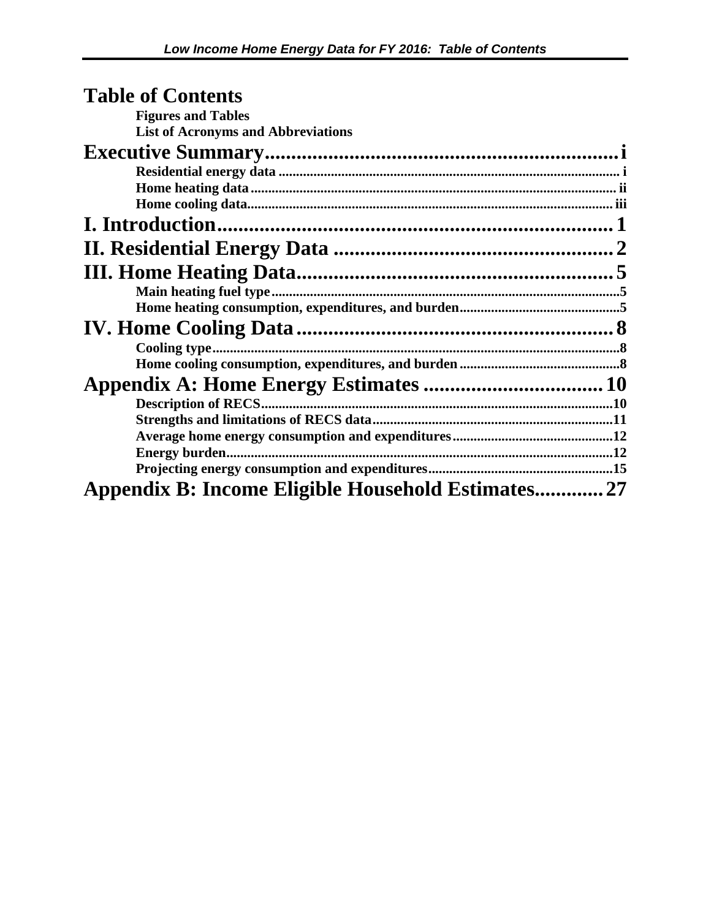## **Table of Contents Figures and Tables**

**List of Acronyms and Abbreviations** 

| Appendix B: Income Eligible Household Estimates27 |  |
|---------------------------------------------------|--|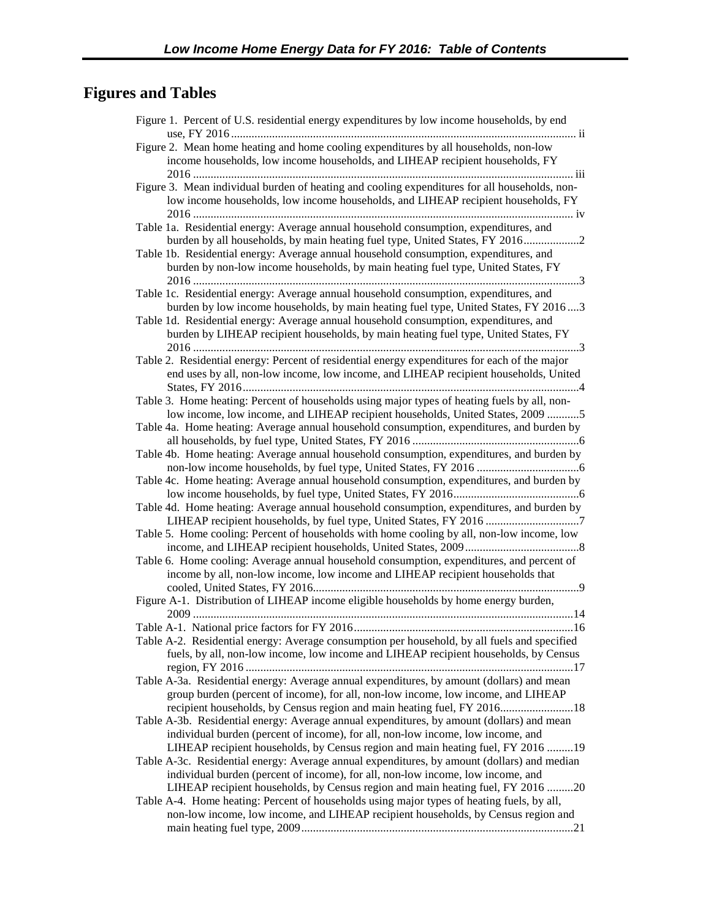## **Figures and Tables**

| Figure 1. Percent of U.S. residential energy expenditures by low income households, by end                                                                                    |
|-------------------------------------------------------------------------------------------------------------------------------------------------------------------------------|
| Figure 2. Mean home heating and home cooling expenditures by all households, non-low                                                                                          |
| income households, low income households, and LIHEAP recipient households, FY                                                                                                 |
|                                                                                                                                                                               |
| Figure 3. Mean individual burden of heating and cooling expenditures for all households, non-                                                                                 |
| low income households, low income households, and LIHEAP recipient households, FY                                                                                             |
|                                                                                                                                                                               |
| Table 1a. Residential energy: Average annual household consumption, expenditures, and                                                                                         |
| burden by all households, by main heating fuel type, United States, FY 20162                                                                                                  |
| Table 1b. Residential energy: Average annual household consumption, expenditures, and                                                                                         |
| burden by non-low income households, by main heating fuel type, United States, FY                                                                                             |
|                                                                                                                                                                               |
| Table 1c. Residential energy: Average annual household consumption, expenditures, and                                                                                         |
| burden by low income households, by main heating fuel type, United States, FY 20163                                                                                           |
| Table 1d. Residential energy: Average annual household consumption, expenditures, and                                                                                         |
| burden by LIHEAP recipient households, by main heating fuel type, United States, FY                                                                                           |
| Table 2. Residential energy: Percent of residential energy expenditures for each of the major                                                                                 |
| end uses by all, non-low income, low income, and LIHEAP recipient households, United                                                                                          |
|                                                                                                                                                                               |
| Table 3. Home heating: Percent of households using major types of heating fuels by all, non-                                                                                  |
| low income, low income, and LIHEAP recipient households, United States, 2009 5                                                                                                |
| Table 4a. Home heating: Average annual household consumption, expenditures, and burden by                                                                                     |
|                                                                                                                                                                               |
| Table 4b. Home heating: Average annual household consumption, expenditures, and burden by                                                                                     |
|                                                                                                                                                                               |
| Table 4c. Home heating: Average annual household consumption, expenditures, and burden by                                                                                     |
|                                                                                                                                                                               |
| Table 4d. Home heating: Average annual household consumption, expenditures, and burden by                                                                                     |
| LIHEAP recipient households, by fuel type, United States, FY 2016 7                                                                                                           |
| Table 5. Home cooling: Percent of households with home cooling by all, non-low income, low                                                                                    |
|                                                                                                                                                                               |
| Table 6. Home cooling: Average annual household consumption, expenditures, and percent of<br>income by all, non-low income, low income and LIHEAP recipient households that   |
|                                                                                                                                                                               |
| Figure A-1. Distribution of LIHEAP income eligible households by home energy burden,                                                                                          |
|                                                                                                                                                                               |
|                                                                                                                                                                               |
| Table A-2. Residential energy: Average consumption per household, by all fuels and specified                                                                                  |
| fuels, by all, non-low income, low income and LIHEAP recipient households, by Census                                                                                          |
|                                                                                                                                                                               |
| Table A-3a. Residential energy: Average annual expenditures, by amount (dollars) and mean                                                                                     |
| group burden (percent of income), for all, non-low income, low income, and LIHEAP                                                                                             |
| recipient households, by Census region and main heating fuel, FY 2016 18                                                                                                      |
| Table A-3b. Residential energy: Average annual expenditures, by amount (dollars) and mean                                                                                     |
| individual burden (percent of income), for all, non-low income, low income, and                                                                                               |
| LIHEAP recipient households, by Census region and main heating fuel, FY 2016 19                                                                                               |
| Table A-3c. Residential energy: Average annual expenditures, by amount (dollars) and median                                                                                   |
| individual burden (percent of income), for all, non-low income, low income, and                                                                                               |
| LIHEAP recipient households, by Census region and main heating fuel, FY 2016 20<br>Table A-4. Home heating: Percent of households using major types of heating fuels, by all, |
| non-low income, low income, and LIHEAP recipient households, by Census region and                                                                                             |
|                                                                                                                                                                               |
|                                                                                                                                                                               |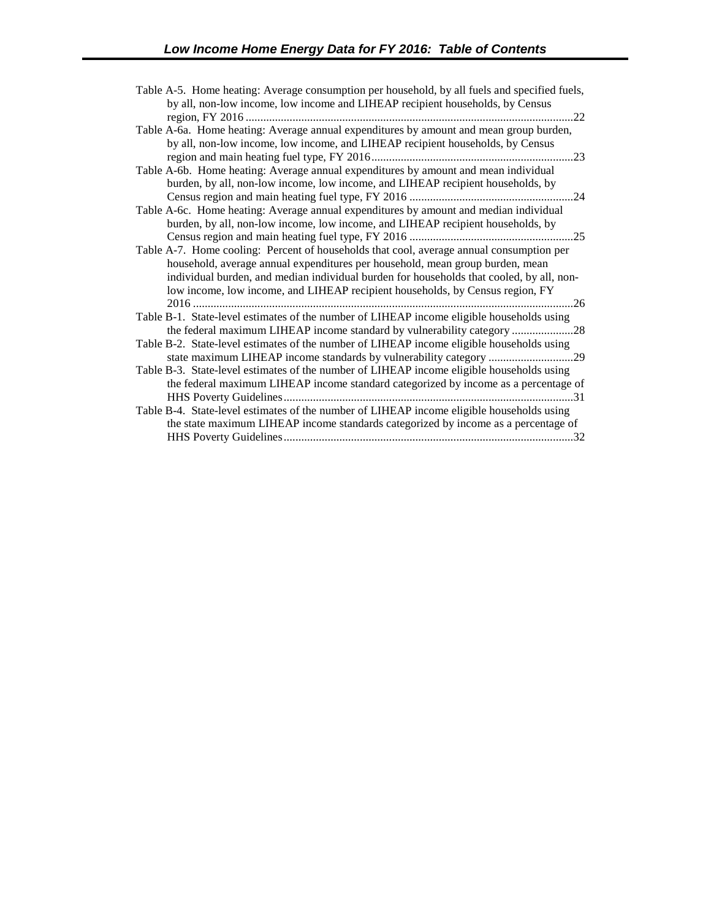| Table A-5. Home heating: Average consumption per household, by all fuels and specified fuels, |
|-----------------------------------------------------------------------------------------------|
| by all, non-low income, low income and LIHEAP recipient households, by Census                 |
| .22                                                                                           |
| Table A-6a. Home heating: Average annual expenditures by amount and mean group burden,        |
| by all, non-low income, low income, and LIHEAP recipient households, by Census                |
|                                                                                               |
| Table A-6b. Home heating: Average annual expenditures by amount and mean individual           |
| burden, by all, non-low income, low income, and LIHEAP recipient households, by               |
|                                                                                               |
| Table A-6c. Home heating: Average annual expenditures by amount and median individual         |
| burden, by all, non-low income, low income, and LIHEAP recipient households, by               |
|                                                                                               |
| Table A-7. Home cooling: Percent of households that cool, average annual consumption per      |
| household, average annual expenditures per household, mean group burden, mean                 |
| individual burden, and median individual burden for households that cooled, by all, non-      |
| low income, low income, and LIHEAP recipient households, by Census region, FY                 |
|                                                                                               |
| Table B-1. State-level estimates of the number of LIHEAP income eligible households using     |
| the federal maximum LIHEAP income standard by vulnerability category 28                       |
| Table B-2. State-level estimates of the number of LIHEAP income eligible households using     |
|                                                                                               |
| Table B-3. State-level estimates of the number of LIHEAP income eligible households using     |
| the federal maximum LIHEAP income standard categorized by income as a percentage of           |
|                                                                                               |
| Table B-4. State-level estimates of the number of LIHEAP income eligible households using     |
|                                                                                               |
| the state maximum LIHEAP income standards categorized by income as a percentage of            |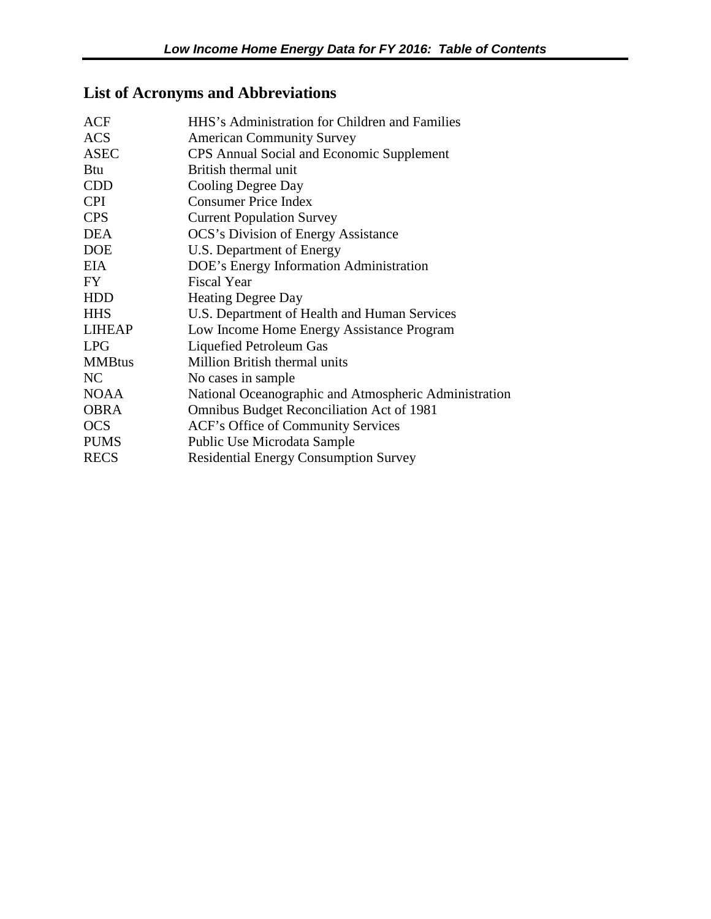## **List of Acronyms and Abbreviations**

| <b>ACF</b>    | HHS's Administration for Children and Families        |
|---------------|-------------------------------------------------------|
| <b>ACS</b>    | <b>American Community Survey</b>                      |
| <b>ASEC</b>   | CPS Annual Social and Economic Supplement             |
| <b>Btu</b>    | British thermal unit                                  |
| <b>CDD</b>    | Cooling Degree Day                                    |
| <b>CPI</b>    | <b>Consumer Price Index</b>                           |
| <b>CPS</b>    | <b>Current Population Survey</b>                      |
| <b>DEA</b>    | <b>OCS's Division of Energy Assistance</b>            |
| <b>DOE</b>    | U.S. Department of Energy                             |
| <b>EIA</b>    | DOE's Energy Information Administration               |
| FY.           | <b>Fiscal Year</b>                                    |
| <b>HDD</b>    | <b>Heating Degree Day</b>                             |
| <b>HHS</b>    | U.S. Department of Health and Human Services          |
| <b>LIHEAP</b> | Low Income Home Energy Assistance Program             |
| <b>LPG</b>    | Liquefied Petroleum Gas                               |
| <b>MMBtus</b> | Million British thermal units                         |
| NC            | No cases in sample                                    |
| <b>NOAA</b>   | National Oceanographic and Atmospheric Administration |
| <b>OBRA</b>   | Omnibus Budget Reconciliation Act of 1981             |
| <b>OCS</b>    | ACF's Office of Community Services                    |
| <b>PUMS</b>   | Public Use Microdata Sample                           |
| <b>RECS</b>   | <b>Residential Energy Consumption Survey</b>          |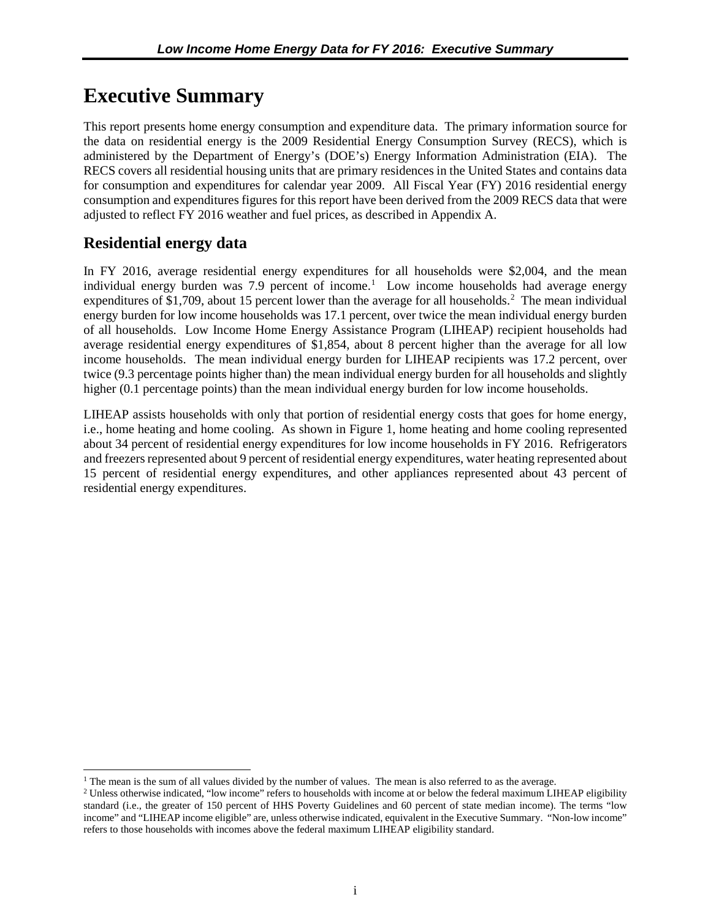## <span id="page-6-0"></span>**Executive Summary**

This report presents home energy consumption and expenditure data. The primary information source for the data on residential energy is the 2009 Residential Energy Consumption Survey (RECS), which is administered by the Department of Energy's (DOE's) Energy Information Administration (EIA). The RECS covers all residential housing units that are primary residences in the United States and contains data for consumption and expenditures for calendar year 2009. All Fiscal Year (FY) 2016 residential energy consumption and expenditures figures for this report have been derived from the 2009 RECS data that were adjusted to reflect FY 2016 weather and fuel prices, as described in Appendix A.

## **Residential energy data**

 $\overline{a}$ 

In FY 2016, average residential energy expenditures for all households were \$2,004, and the mean individual energy burden was 7.9 percent of income.<sup>[1](#page-6-1)</sup> Low income households had average energy expenditures of \$1,709, about 15 percent lower than the average for all households.<sup>[2](#page-6-2)</sup> The mean individual energy burden for low income households was 17.1 percent, over twice the mean individual energy burden of all households. Low Income Home Energy Assistance Program (LIHEAP) recipient households had average residential energy expenditures of \$1,854, about 8 percent higher than the average for all low income households. The mean individual energy burden for LIHEAP recipients was 17.2 percent, over twice (9.3 percentage points higher than) the mean individual energy burden for all households and slightly higher (0.1 percentage points) than the mean individual energy burden for low income households.

LIHEAP assists households with only that portion of residential energy costs that goes for home energy, i.e., home heating and home cooling. As shown in Figure 1, home heating and home cooling represented about 34 percent of residential energy expenditures for low income households in FY 2016. Refrigerators and freezers represented about 9 percent of residential energy expenditures, water heating represented about 15 percent of residential energy expenditures, and other appliances represented about 43 percent of residential energy expenditures.

<span id="page-6-2"></span><span id="page-6-1"></span><sup>&</sup>lt;sup>1</sup> The mean is the sum of all values divided by the number of values. The mean is also referred to as the average.

<sup>&</sup>lt;sup>2</sup> Unless otherwise indicated, "low income" refers to households with income at or below the federal maximum LIHEAP eligibility standard (i.e., the greater of 150 percent of HHS Poverty Guidelines and 60 percent of state median income). The terms "low income" and "LIHEAP income eligible" are, unless otherwise indicated, equivalent in the Executive Summary. "Non-low income" refers to those households with incomes above the federal maximum LIHEAP eligibility standard.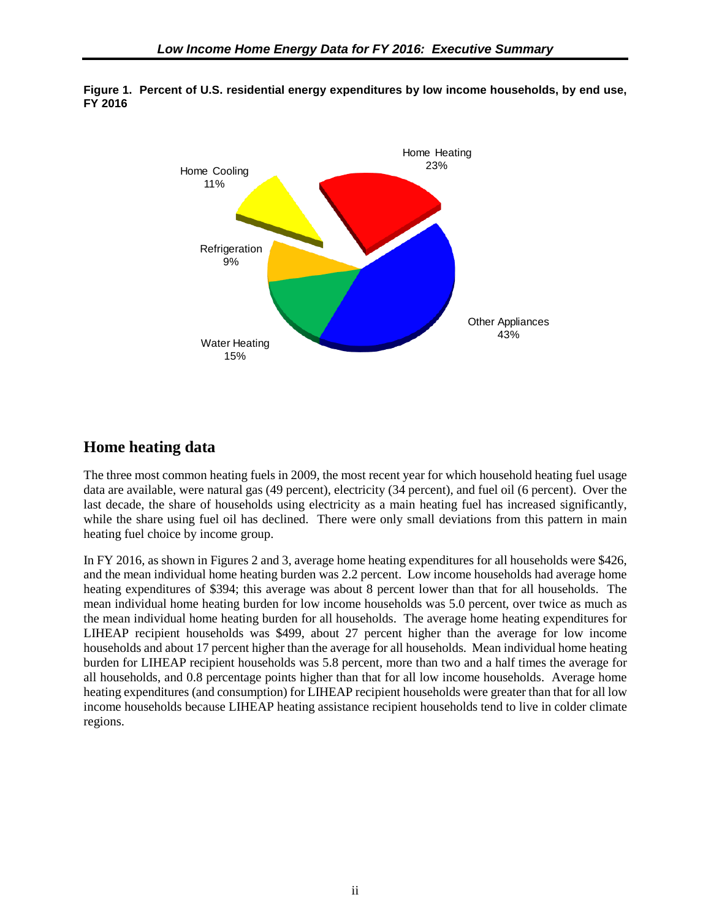

<span id="page-7-0"></span>**Figure 1. Percent of U.S. residential energy expenditures by low income households, by end use, FY 2016** 

### **Home heating data**

The three most common heating fuels in 2009, the most recent year for which household heating fuel usage data are available, were natural gas (49 percent), electricity (34 percent), and fuel oil (6 percent). Over the last decade, the share of households using electricity as a main heating fuel has increased significantly, while the share using fuel oil has declined. There were only small deviations from this pattern in main heating fuel choice by income group.

In FY 2016, as shown in Figures 2 and 3, average home heating expenditures for all households were \$426, and the mean individual home heating burden was 2.2 percent. Low income households had average home heating expenditures of \$394; this average was about 8 percent lower than that for all households. The mean individual home heating burden for low income households was 5.0 percent, over twice as much as the mean individual home heating burden for all households. The average home heating expenditures for LIHEAP recipient households was \$499, about 27 percent higher than the average for low income households and about 17 percent higher than the average for all households. Mean individual home heating burden for LIHEAP recipient households was 5.8 percent, more than two and a half times the average for all households, and 0.8 percentage points higher than that for all low income households. Average home heating expenditures (and consumption) for LIHEAP recipient households were greater than that for all low income households because LIHEAP heating assistance recipient households tend to live in colder climate regions.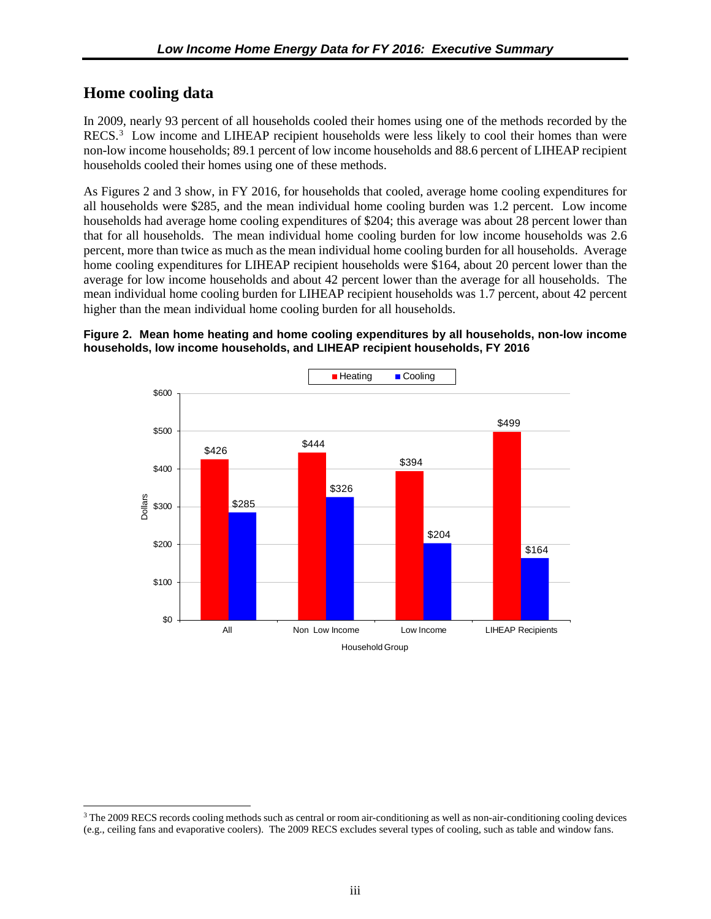### <span id="page-8-0"></span>**Home cooling data**

In 2009, nearly 93 percent of all households cooled their homes using one of the methods recorded by the RECS.<sup>[3](#page-8-1)</sup> Low income and LIHEAP recipient households were less likely to cool their homes than were non-low income households; 89.1 percent of low income households and 88.6 percent of LIHEAP recipient households cooled their homes using one of these methods.

As Figures 2 and 3 show, in FY 2016, for households that cooled, average home cooling expenditures for all households were \$285, and the mean individual home cooling burden was 1.2 percent. Low income households had average home cooling expenditures of \$204; this average was about 28 percent lower than that for all households. The mean individual home cooling burden for low income households was 2.6 percent, more than twice as much as the mean individual home cooling burden for all households. Average home cooling expenditures for LIHEAP recipient households were \$164, about 20 percent lower than the average for low income households and about 42 percent lower than the average for all households. The mean individual home cooling burden for LIHEAP recipient households was 1.7 percent, about 42 percent higher than the mean individual home cooling burden for all households.

#### **Figure 2. Mean home heating and home cooling expenditures by all households, non-low income households, low income households, and LIHEAP recipient households, FY 2016**



<span id="page-8-1"></span><sup>3</sup> The 2009 RECS records cooling methods such as central or room air-conditioning as well as non-air-conditioning cooling devices (e.g., ceiling fans and evaporative coolers). The 2009 RECS excludes several types of cooling, such as table and window fans.  $\overline{a}$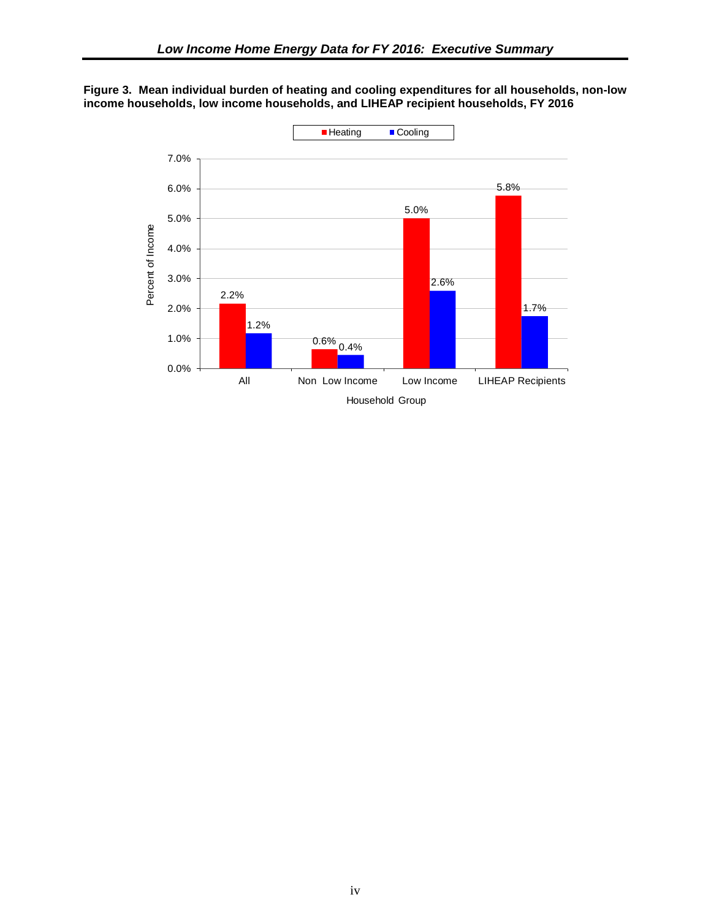<span id="page-9-0"></span>

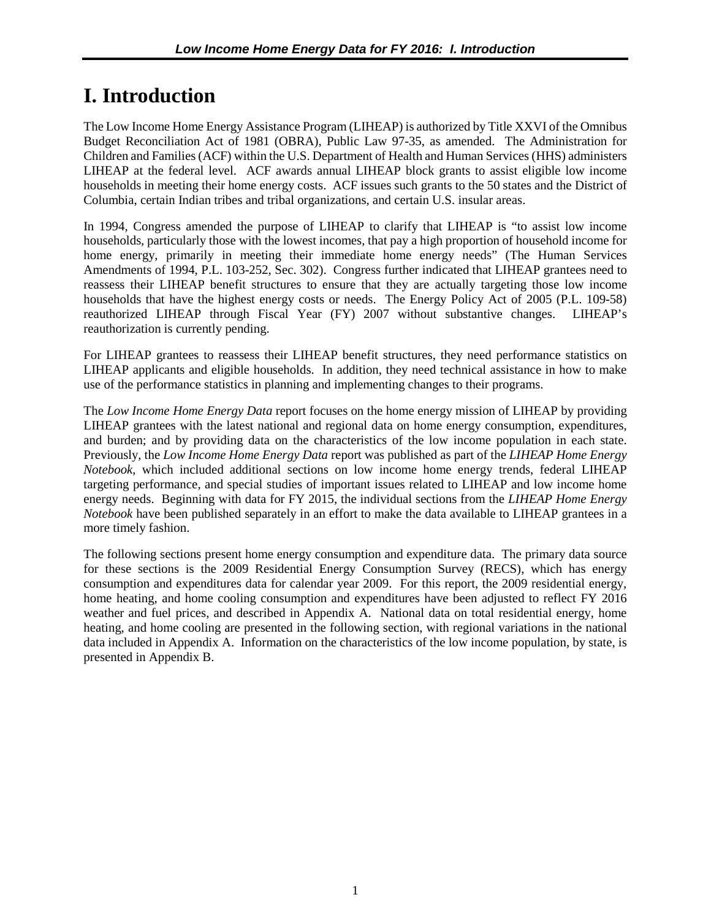## <span id="page-10-0"></span>**I. Introduction**

The Low Income Home Energy Assistance Program (LIHEAP) is authorized by Title XXVI of the Omnibus Budget Reconciliation Act of 1981 (OBRA), Public Law 97-35, as amended. The Administration for Children and Families (ACF) within the U.S. Department of Health and Human Services (HHS) administers LIHEAP at the federal level. ACF awards annual LIHEAP block grants to assist eligible low income households in meeting their home energy costs. ACF issues such grants to the 50 states and the District of Columbia, certain Indian tribes and tribal organizations, and certain U.S. insular areas.

In 1994, Congress amended the purpose of LIHEAP to clarify that LIHEAP is "to assist low income households, particularly those with the lowest incomes, that pay a high proportion of household income for home energy, primarily in meeting their immediate home energy needs" (The Human Services Amendments of 1994, P.L. 103-252, Sec. 302). Congress further indicated that LIHEAP grantees need to reassess their LIHEAP benefit structures to ensure that they are actually targeting those low income households that have the highest energy costs or needs. The Energy Policy Act of 2005 (P.L. 109-58) reauthorized LIHEAP through Fiscal Year (FY) 2007 without substantive changes. LIHEAP's reauthorization is currently pending.

For LIHEAP grantees to reassess their LIHEAP benefit structures, they need performance statistics on LIHEAP applicants and eligible households. In addition, they need technical assistance in how to make use of the performance statistics in planning and implementing changes to their programs.

The *Low Income Home Energy Data* report focuses on the home energy mission of LIHEAP by providing LIHEAP grantees with the latest national and regional data on home energy consumption, expenditures, and burden; and by providing data on the characteristics of the low income population in each state. Previously, the *Low Income Home Energy Data* report was published as part of the *LIHEAP Home Energy Notebook*, which included additional sections on low income home energy trends, federal LIHEAP targeting performance, and special studies of important issues related to LIHEAP and low income home energy needs. Beginning with data for FY 2015, the individual sections from the *LIHEAP Home Energy Notebook* have been published separately in an effort to make the data available to LIHEAP grantees in a more timely fashion.

The following sections present home energy consumption and expenditure data. The primary data source for these sections is the 2009 Residential Energy Consumption Survey (RECS), which has energy consumption and expenditures data for calendar year 2009. For this report, the 2009 residential energy, home heating, and home cooling consumption and expenditures have been adjusted to reflect FY 2016 weather and fuel prices, and described in Appendix A. National data on total residential energy, home heating, and home cooling are presented in the following section, with regional variations in the national data included in Appendix A. Information on the characteristics of the low income population, by state, is presented in Appendix B.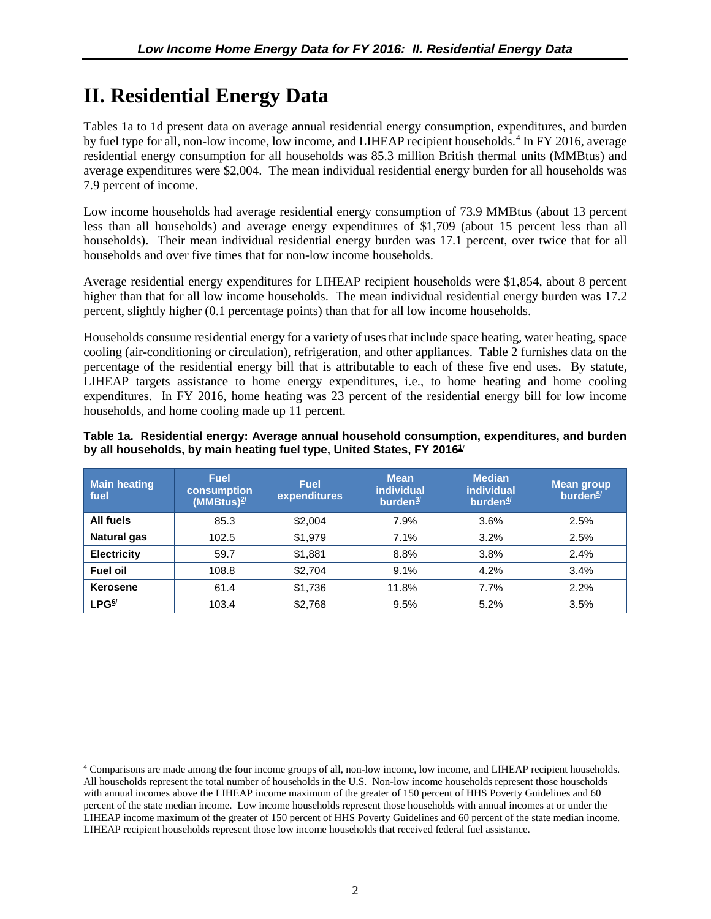## <span id="page-11-0"></span>**II. Residential Energy Data**

 $\overline{a}$ 

Tables 1a to 1d present data on average annual residential energy consumption, expenditures, and burden by fuel type for all, non-low income, low income, and LIHEAP recipient households.<sup>[4](#page-11-1)</sup> In FY 2016, average residential energy consumption for all households was 85.3 million British thermal units (MMBtus) and average expenditures were \$2,004. The mean individual residential energy burden for all households was 7.9 percent of income.

Low income households had average residential energy consumption of 73.9 MMBtus (about 13 percent less than all households) and average energy expenditures of \$1,709 (about 15 percent less than all households). Their mean individual residential energy burden was 17.1 percent, over twice that for all households and over five times that for non-low income households.

Average residential energy expenditures for LIHEAP recipient households were \$1,854, about 8 percent higher than that for all low income households. The mean individual residential energy burden was 17.2 percent, slightly higher (0.1 percentage points) than that for all low income households.

Households consume residential energy for a variety of uses that include space heating, water heating, space cooling (air-conditioning or circulation), refrigeration, and other appliances. Table 2 furnishes data on the percentage of the residential energy bill that is attributable to each of these five end uses. By statute, LIHEAP targets assistance to home energy expenditures, i.e., to home heating and home cooling expenditures. In FY 2016, home heating was 23 percent of the residential energy bill for low income households, and home cooling made up 11 percent.

|                                                                                    |  |  | Table 1a. Residential energy: Average annual household consumption, expenditures, and burden |  |
|------------------------------------------------------------------------------------|--|--|----------------------------------------------------------------------------------------------|--|
| by all households, by main heating fuel type, United States, FY 2016 <sup>1/</sup> |  |  |                                                                                              |  |

| <b>Main heating</b><br>fuel | <b>Fuel</b><br><b>consumption</b><br>$(MMBtus)^{2/2}$ | <b>Fuel</b><br>expenditures | <b>Mean</b><br><i>individual</i><br>burden <sup>3/</sup> | <b>Median</b><br><b>individual</b><br>burden $4/$ | <b>Mean group</b><br>burden <sup>5/</sup> |
|-----------------------------|-------------------------------------------------------|-----------------------------|----------------------------------------------------------|---------------------------------------------------|-------------------------------------------|
| All fuels                   | 85.3                                                  | \$2,004                     | 7.9%                                                     | 3.6%                                              | 2.5%                                      |
| <b>Natural gas</b>          | 102.5                                                 | \$1,979                     | 7.1%                                                     | 3.2%                                              | 2.5%                                      |
| <b>Electricity</b>          | 59.7                                                  | \$1,881                     | 8.8%                                                     | 3.8%                                              | 2.4%                                      |
| <b>Fuel oil</b>             | 108.8                                                 | \$2.704                     | 9.1%                                                     | 4.2%                                              | 3.4%                                      |
| Kerosene                    | 61.4                                                  | \$1,736                     | 11.8%                                                    | 7.7%                                              | 2.2%                                      |
| LPG <sup>6/</sup>           | 103.4                                                 | \$2,768                     | 9.5%                                                     | 5.2%                                              | 3.5%                                      |

<span id="page-11-1"></span><sup>4</sup> Comparisons are made among the four income groups of all, non-low income, low income, and LIHEAP recipient households. All households represent the total number of households in the U.S. Non-low income households represent those households with annual incomes above the LIHEAP income maximum of the greater of 150 percent of HHS Poverty Guidelines and 60 percent of the state median income. Low income households represent those households with annual incomes at or under the LIHEAP income maximum of the greater of 150 percent of HHS Poverty Guidelines and 60 percent of the state median income. LIHEAP recipient households represent those low income households that received federal fuel assistance.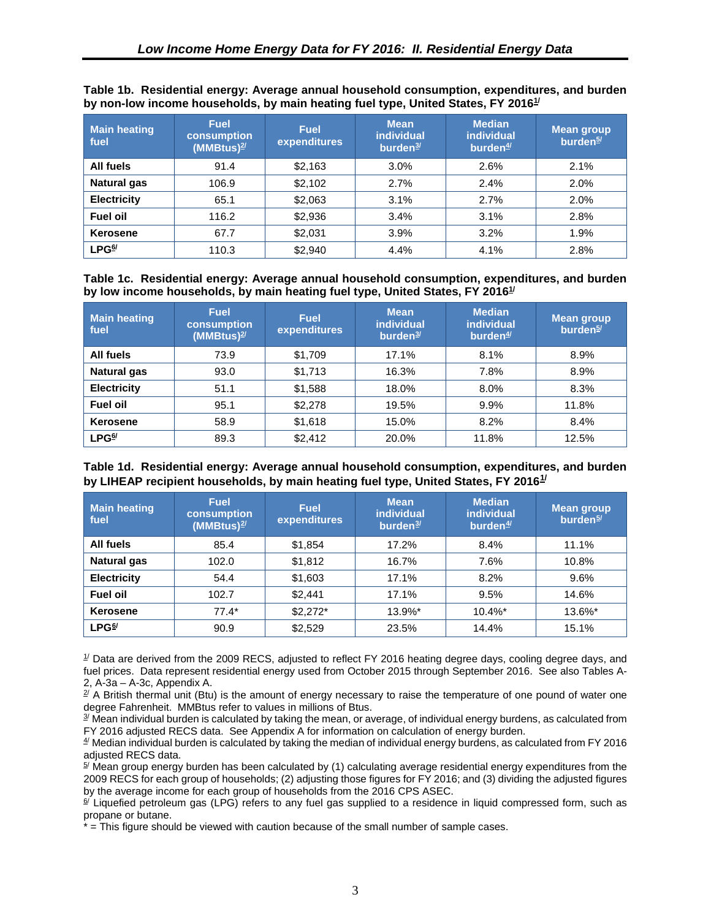| <b>Main heating</b><br>fuel | <b>Fuel</b><br>consumption<br>$(MMBtus)^{2/2}$ | <b>Fuel</b><br>expenditures | <b>Mean</b><br><b>individual</b><br>burden $3/$ | <b>Median</b><br><b>individual</b><br>burden $4/$ | Mean group<br>burden <sup>5/</sup> |
|-----------------------------|------------------------------------------------|-----------------------------|-------------------------------------------------|---------------------------------------------------|------------------------------------|
| All fuels                   | 91.4                                           | \$2,163                     | 3.0%                                            | 2.6%                                              | 2.1%                               |
| <b>Natural gas</b>          | 106.9                                          | \$2,102                     | 2.7%                                            | 2.4%                                              | 2.0%                               |
| <b>Electricity</b>          | 65.1                                           | \$2,063                     | 3.1%                                            | 2.7%                                              | 2.0%                               |
| <b>Fuel oil</b>             | 116.2                                          | \$2,936                     | 3.4%                                            | 3.1%                                              | 2.8%                               |
| Kerosene                    | 67.7                                           | \$2,031                     | 3.9%                                            | 3.2%                                              | 1.9%                               |
| $LPG^{6/2}$                 | 110.3                                          | \$2,940                     | 4.4%                                            | 4.1%                                              | 2.8%                               |

<span id="page-12-0"></span>**Table 1b. Residential energy: Average annual household consumption, expenditures, and burden**  by non-low income households, by main heating fuel type, United States, FY 2016 $^{1\prime}$ 

**Table 1c. Residential energy: Average annual household consumption, expenditures, and burden by low income households, by main heating fuel type, United States, FY 201[61/](#page-12-1)**

| <b>Main heating</b><br>fuel | <b>Fuel</b><br>consumption<br>$(MMBtus)^{2/2}$ | <b>Fuel</b><br>expenditures | <b>Mean</b><br><b>individual</b><br>burden $3/$ | <b>Median</b><br><b>individual</b><br>burden $4/$ | <b>Mean group</b><br>burden <sup>5/</sup> |
|-----------------------------|------------------------------------------------|-----------------------------|-------------------------------------------------|---------------------------------------------------|-------------------------------------------|
| All fuels                   | 73.9                                           | \$1,709                     | 17.1%                                           | 8.1%                                              | 8.9%                                      |
| <b>Natural gas</b>          | 93.0                                           | \$1,713                     | 16.3%                                           | 7.8%                                              | 8.9%                                      |
| <b>Electricity</b>          | 51.1                                           | \$1,588                     | 18.0%                                           | 8.0%                                              | 8.3%                                      |
| <b>Fuel oil</b>             | 95.1                                           | \$2,278                     | 19.5%                                           | 9.9%                                              | 11.8%                                     |
| <b>Kerosene</b>             | 58.9                                           | \$1,618                     | 15.0%                                           | 8.2%                                              | 8.4%                                      |
| $LPG^{6/2}$                 | 89.3                                           | \$2,412                     | 20.0%                                           | 11.8%                                             | 12.5%                                     |

#### **Table 1d. Residential energy: Average annual household consumption, expenditures, and burden by LIHEAP recipient households, by main heating fuel type, United States, FY 2016[1](#page-13-1)/**

<span id="page-12-5"></span><span id="page-12-4"></span><span id="page-12-3"></span><span id="page-12-2"></span><span id="page-12-1"></span>

| <b>Main heating</b><br>fuel | <b>Fuel</b><br>consumption<br>(MMBtus) $2/$ | <b>Fuel</b><br>expenditures | <b>Mean</b><br><b>individual</b><br>burden <sup>3/</sup> | <b>Median</b><br>individual<br>burden $4/$ | <b>Mean group</b><br>burden <sup>5/</sup> |
|-----------------------------|---------------------------------------------|-----------------------------|----------------------------------------------------------|--------------------------------------------|-------------------------------------------|
| All fuels                   | 85.4                                        | \$1,854                     | 17.2%                                                    | 8.4%                                       | 11.1%                                     |
| <b>Natural gas</b>          | 102.0                                       | \$1,812                     | 16.7%                                                    | 7.6%                                       | 10.8%                                     |
| <b>Electricity</b>          | 54.4                                        | \$1,603                     | 17.1%                                                    | 8.2%                                       | 9.6%                                      |
| <b>Fuel oil</b>             | 102.7                                       | \$2,441                     | 17.1%                                                    | 9.5%                                       | 14.6%                                     |
| Kerosene                    | $77.4*$                                     | $$2,272*$                   | 13.9%*                                                   | $10.4\%$ *                                 | 13.6%*                                    |
| LPG <sup>6/</sup>           | 90.9                                        | \$2,529                     | 23.5%                                                    | 14.4%                                      | 15.1%                                     |

<span id="page-12-6"></span> $\mu$  Data are derived from the 2009 RECS, adjusted to reflect FY 2016 heating degree days, cooling degree days, and fuel prices. Data represent residential energy used from October 2015 through September 2016. See also Tables A-2, A-3a – A-3c, Appendix A.

 $2^{7}$  A British thermal unit (Btu) is the amount of energy necessary to raise the temperature of one pound of water one degree Fahrenheit. MMBtus refer to values in millions of Btus.

 $3/$  Mean individual burden is calculated by taking the mean, or average, of individual energy burdens, as calculated from FY 2016 adjusted RECS data. See Appendix A for information on calculation of energy burden.

 $4/$  Median individual burden is calculated by taking the median of individual energy burdens, as calculated from FY 2016 adjusted RECS data.

 $5/$  Mean group energy burden has been calculated by (1) calculating average residential energy expenditures from the 2009 RECS for each group of households; (2) adjusting those figures for FY 2016; and (3) dividing the adjusted figures by the average income for each group of households from the 2016 CPS ASEC.

 $6/$  Liquefied petroleum gas (LPG) refers to any fuel gas supplied to a residence in liquid compressed form, such as propane or butane.

\* = This figure should be viewed with caution because of the small number of sample cases.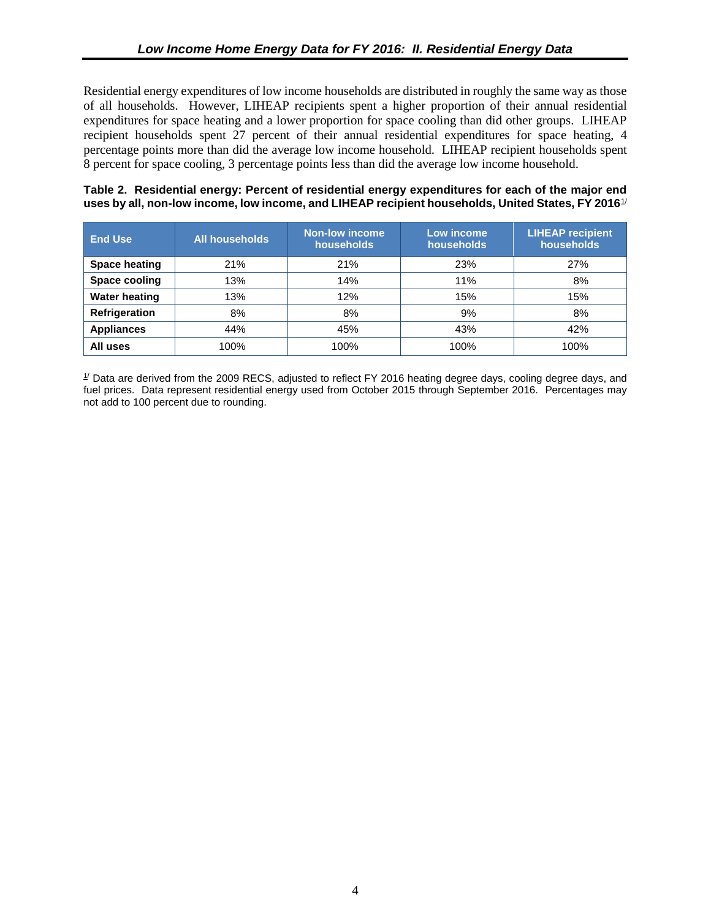<span id="page-13-0"></span>Residential energy expenditures of low income households are distributed in roughly the same way as those of all households. However, LIHEAP recipients spent a higher proportion of their annual residential expenditures for space heating and a lower proportion for space cooling than did other groups. LIHEAP recipient households spent 27 percent of their annual residential expenditures for space heating, 4 percentage points more than did the average low income household. LIHEAP recipient households spent 8 percent for space cooling, 3 percentage points less than did the average low income household.

#### **Table 2. Residential energy: Percent of residential energy expenditures for each of the major end uses by all, non-low income, low income, and LIHEAP recipient households, United States, FY 2016**[1](#page-16-1) /

| <b>End Use</b>       | <b>All households</b> | <b>Non-low income</b><br>households | Low income<br>households | <b>LIHEAP recipient</b><br>households |
|----------------------|-----------------------|-------------------------------------|--------------------------|---------------------------------------|
| <b>Space heating</b> | 21%                   | 21%                                 | 23%                      | 27%                                   |
| Space cooling        | 13%                   | 14%                                 | 11%                      | 8%                                    |
| <b>Water heating</b> | 13%                   | 12%                                 | 15%                      | 15%                                   |
| Refrigeration        | 8%                    | 8%                                  | 9%                       | 8%                                    |
| <b>Appliances</b>    | 44%                   | 45%                                 | 43%                      | 42%                                   |
| All uses             | 100%                  | 100%                                | 100%                     | 100%                                  |

<span id="page-13-4"></span><span id="page-13-3"></span><span id="page-13-2"></span><span id="page-13-1"></span> $1/$  Data are derived from the 2009 RECS, adjusted to reflect FY 2016 heating degree days, cooling degree days, and fuel prices. Data represent residential energy used from October 2015 through September 2016. Percentages may not add to 100 percent due to rounding.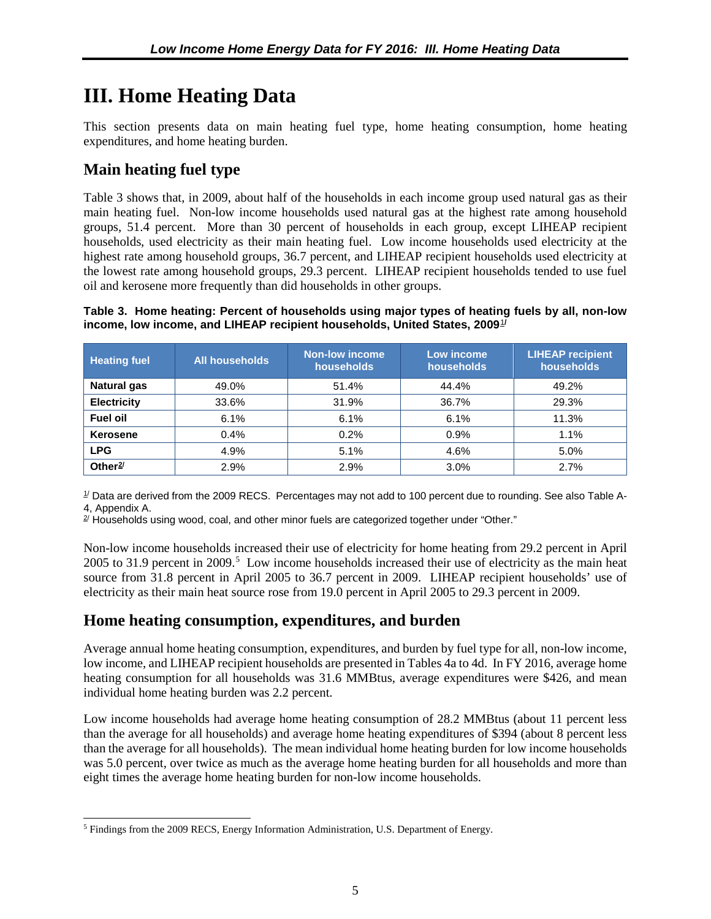## <span id="page-14-0"></span>**III. Home Heating Data**

This section presents data on main heating fuel type, home heating consumption, home heating expenditures, and home heating burden.

### **Main heating fuel type**

Table 3 shows that, in 2009, about half of the households in each income group used natural gas as their main heating fuel. Non-low income households used natural gas at the highest rate among household groups, 51.4 percent. More than 30 percent of households in each group, except LIHEAP recipient households, used electricity as their main heating fuel. Low income households used electricity at the highest rate among household groups, 36.7 percent, and LIHEAP recipient households used electricity at the lowest rate among household groups, 29.3 percent. LIHEAP recipient households tended to use fuel oil and kerosene more frequently than did households in other groups.

**Table 3. Home heating: Percent of households using major types of heating fuels by all, non-low income, low income, and LIHEAP recipient households, United States, 2009**[1](#page-18-1) **/**

| <b>Heating fuel</b> | <b>All households</b> | <b>Non-low income</b><br>households | Low income<br>households | <b>LIHEAP recipient</b><br>households |
|---------------------|-----------------------|-------------------------------------|--------------------------|---------------------------------------|
| <b>Natural gas</b>  | 49.0%                 | 51.4%                               | 44.4%                    | 49.2%                                 |
| <b>Electricity</b>  | 33.6%                 | 31.9%                               | 36.7%                    | 29.3%                                 |
| Fuel oil            | 6.1%                  | 6.1%                                | 6.1%                     | 11.3%                                 |
| Kerosene            | 0.4%                  | 0.2%                                | 0.9%                     | 1.1%                                  |
| <b>LPG</b>          | 4.9%                  | 5.1%                                | 4.6%                     | 5.0%                                  |
| Other $2/$          | 2.9%                  | 2.9%                                | 3.0%                     | 2.7%                                  |

 $1/$  Data are derived from the 2009 RECS. Percentages may not add to 100 percent due to rounding. See also Table A-4, Appendix A.

 $2^{7}$  Households using wood, coal, and other minor fuels are categorized together under "Other."

Non-low income households increased their use of electricity for home heating from 29.2 percent in April  $2005$  $2005$  to 31.9 percent in  $2009$ .<sup>5</sup> Low income households increased their use of electricity as the main heat source from 31.8 percent in April 2005 to 36.7 percent in 2009. LIHEAP recipient households' use of electricity as their main heat source rose from 19.0 percent in April 2005 to 29.3 percent in 2009.

### **Home heating consumption, expenditures, and burden**

Average annual home heating consumption, expenditures, and burden by fuel type for all, non-low income, low income, and LIHEAP recipient households are presented in Tables 4a to 4d. In FY 2016, average home heating consumption for all households was 31.6 MMBtus, average expenditures were \$426, and mean individual home heating burden was 2.2 percent.

<span id="page-14-1"></span>Low income households had average home heating consumption of 28.2 MMBtus (about 11 percent less than the average for all households) and average home heating expenditures of \$394 (about 8 percent less than the average for all households). The mean individual home heating burden for low income households was 5.0 percent, over twice as much as the average home heating burden for all households and more than eight times the average home heating burden for non-low income households.

<span id="page-14-3"></span><span id="page-14-2"></span><sup>5</sup> Findings from the 2009 RECS, Energy Information Administration, U.S. Department of Energy.  $\overline{a}$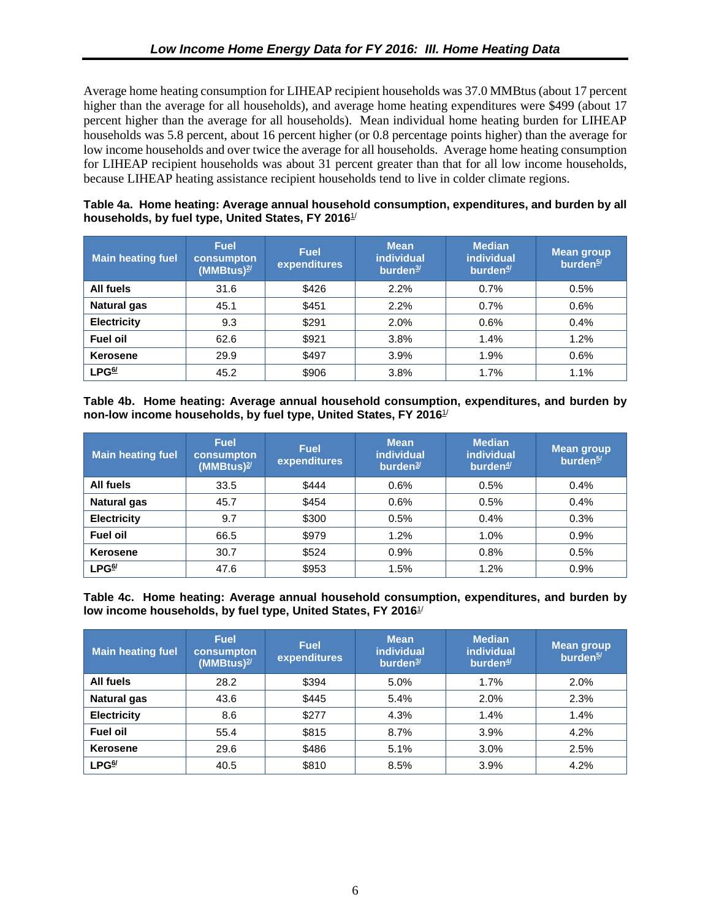<span id="page-15-0"></span>Average home heating consumption for LIHEAP recipient households was 37.0 MMBtus (about 17 percent higher than the average for all households), and average home heating expenditures were \$499 (about 17 percent higher than the average for all households). Mean individual home heating burden for LIHEAP households was 5.8 percent, about 16 percent higher (or 0.8 percentage points higher) than the average for low income households and over twice the average for all households. Average home heating consumption for LIHEAP recipient households was about 31 percent greater than that for all low income households, because LIHEAP heating assistance recipient households tend to live in colder climate regions.

#### **Table 4a. Home heating: Average annual household consumption, expenditures, and burden by all households, by fuel type, United States, FY 2016**1/

| <b>Main heating fuel</b> | <b>Fuel</b><br>consumpton<br>$(MM)$ <sup>2/</sup> | <b>Fuel</b><br>expenditures | <b>Mean</b><br><b>individual</b><br>burden <sup>3/</sup> | <b>Median</b><br><i>individual</i><br>burden $4/$ | <b>Mean group</b><br>burden <sup>5/</sup> |
|--------------------------|---------------------------------------------------|-----------------------------|----------------------------------------------------------|---------------------------------------------------|-------------------------------------------|
| All fuels                | 31.6                                              | \$426                       | 2.2%                                                     | 0.7%                                              | 0.5%                                      |
| <b>Natural gas</b>       | 45.1                                              | \$451                       | 2.2%                                                     | 0.7%                                              | 0.6%                                      |
| <b>Electricity</b>       | 9.3                                               | \$291                       | 2.0%                                                     | 0.6%                                              | 0.4%                                      |
| <b>Fuel oil</b>          | 62.6                                              | \$921                       | 3.8%                                                     | 1.4%                                              | 1.2%                                      |
| <b>Kerosene</b>          | 29.9                                              | \$497                       | 3.9%                                                     | 1.9%                                              | 0.6%                                      |
| LPG <sup>6/</sup>        | 45.2                                              | \$906                       | 3.8%                                                     | 1.7%                                              | 1.1%                                      |

**Table 4b. Home heating: Average annual household consumption, expenditures, and burden by non-low income households, by fuel type, United States, FY 2016**1/

| <b>Main heating fuel</b>          | <b>Fuel</b><br>consumpton<br>$(MM)$ <sup>2/</sup> | <b>Fuel</b><br>expenditures | <b>Mean</b><br><b>individual</b><br>burden $3/$ | <b>Median</b><br><i>individual</i><br>burden $4/$ | <b>Mean group</b><br>burden <sup>5/</sup> |
|-----------------------------------|---------------------------------------------------|-----------------------------|-------------------------------------------------|---------------------------------------------------|-------------------------------------------|
| All fuels                         | 33.5                                              | \$444                       | 0.6%                                            | 0.5%                                              | 0.4%                                      |
| <b>Natural gas</b>                | 45.7                                              | \$454                       | 0.6%                                            | 0.5%                                              | 0.4%                                      |
| <b>Electricity</b>                | 9.7                                               | \$300                       | 0.5%                                            | 0.4%                                              | 0.3%                                      |
| <b>Fuel oil</b>                   | 66.5                                              | \$979                       | 1.2%                                            | 1.0%                                              | 0.9%                                      |
| <b>Kerosene</b>                   | 30.7                                              | \$524                       | 0.9%                                            | 0.8%                                              | 0.5%                                      |
| $\mathsf{LPG}^{\mathsf{6}\prime}$ | 47.6                                              | \$953                       | 1.5%                                            | 1.2%                                              | 0.9%                                      |

**Table 4c. Home heating: Average annual household consumption, expenditures, and burden by low income households, by fuel type, United States, FY 2016**1/

| <b>Main heating fuel</b> | <b>Fuel</b><br>consumpton<br>$(MM)$ <sup>2/</sup> | <b>Fuel</b><br>expenditures | <b>Mean</b><br><b>individual</b><br>burden $3/$ | <b>Median</b><br><i>individual</i><br>burden $4/$ | Mean group<br>burden <sup>5/</sup> |
|--------------------------|---------------------------------------------------|-----------------------------|-------------------------------------------------|---------------------------------------------------|------------------------------------|
| All fuels                | 28.2                                              | \$394                       | 5.0%                                            | 1.7%                                              | 2.0%                               |
| <b>Natural gas</b>       | 43.6                                              | \$445                       | 5.4%                                            | 2.0%                                              | 2.3%                               |
| <b>Electricity</b>       | 8.6                                               | \$277                       | 4.3%                                            | 1.4%                                              | 1.4%                               |
| <b>Fuel oil</b>          | 55.4                                              | \$815                       | 8.7%                                            | 3.9%                                              | 4.2%                               |
| Kerosene                 | 29.6                                              | \$486                       | 5.1%                                            | 3.0%                                              | 2.5%                               |
| LPG <sup>6/</sup>        | 40.5                                              | \$810                       | 8.5%                                            | 3.9%                                              | 4.2%                               |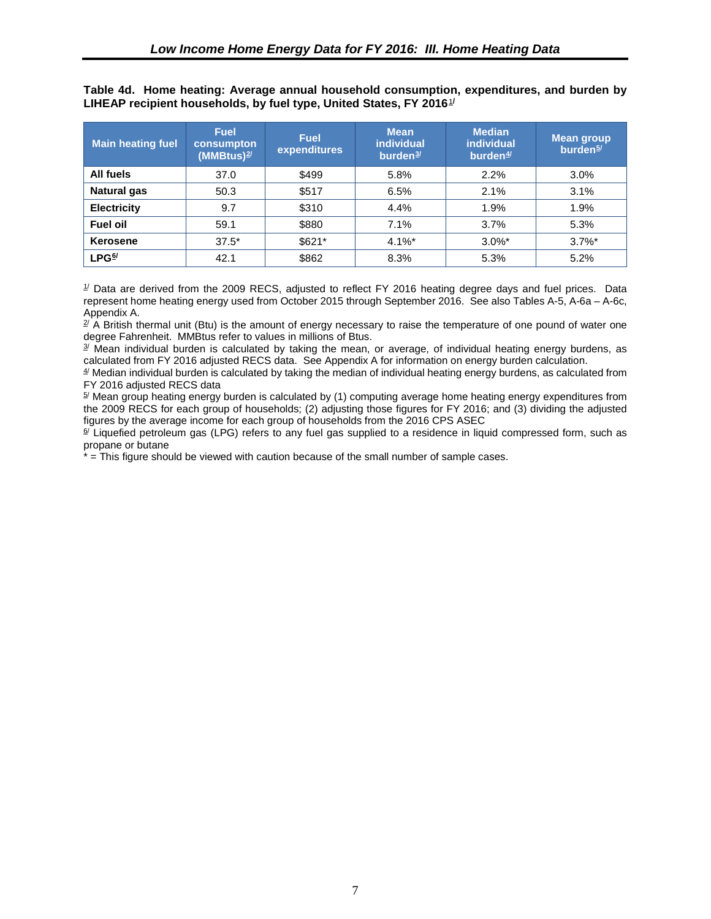<span id="page-16-0"></span>

|  | Table 4d. Home heating: Average annual household consumption, expenditures, and burden by |  |  |  |
|--|-------------------------------------------------------------------------------------------|--|--|--|
|  | LIHEAP recipient households, by fuel type, United States, FY 2016 $\frac{1}{2}$           |  |  |  |

| <b>Main heating fuel</b> | <b>Fuel</b><br>consumpton<br>$(MM)$ <sup>2/</sup> | <b>Fuel</b><br>expenditures | <b>Mean</b><br><b>individual</b><br>burden <sup>3/</sup> | <b>Median</b><br><b>individual</b><br>burden $4/$ | <b>Mean group</b><br>burden <sup>5/</sup> |
|--------------------------|---------------------------------------------------|-----------------------------|----------------------------------------------------------|---------------------------------------------------|-------------------------------------------|
| All fuels                | 37.0                                              | \$499                       | 5.8%                                                     | 2.2%                                              | 3.0%                                      |
| <b>Natural gas</b>       | 50.3                                              | \$517                       | 6.5%                                                     | 2.1%                                              | 3.1%                                      |
| <b>Electricity</b>       | 9.7                                               | \$310                       | 4.4%                                                     | 1.9%                                              | 1.9%                                      |
| <b>Fuel oil</b>          | 59.1                                              | \$880                       | 7.1%                                                     | 3.7%                                              | 5.3%                                      |
| Kerosene                 | $37.5*$                                           | \$621*                      | $4.1\%$ *                                                | $3.0\%$ *                                         | $3.7\%$ *                                 |
| LPG <sup>6/</sup>        | 42.1                                              | \$862                       | 8.3%                                                     | 5.3%                                              | 5.2%                                      |

 $1/$  Data are derived from the 2009 RECS, adjusted to reflect FY 2016 heating degree days and fuel prices. Data represent home heating energy used from October 2015 through September 2016. See also Tables A-5, A-6a – A-6c, Appendix A.

 $2/$  A British thermal unit (Btu) is the amount of energy necessary to raise the temperature of one pound of water one degree Fahrenheit. MMBtus refer to values in millions of Btus.

 $3/$  Mean individual burden is calculated by taking the mean, or average, of individual heating energy burdens, as calculated from FY 2016 adjusted RECS data. See Appendix A for information on energy burden calculation.

<span id="page-16-1"></span> $4/$  Median individual burden is calculated by taking the median of individual heating energy burdens, as calculated from FY 2016 adjusted RECS data

 $5/$  Mean group heating energy burden is calculated by (1) computing average home heating energy expenditures from the 2009 RECS for each group of households; (2) adjusting those figures for FY 2016; and (3) dividing the adjusted figures by the average income for each group of households from the 2016 CPS ASEC

<sup>6/</sup> Liquefied petroleum gas (LPG) refers to any fuel gas supplied to a residence in liquid compressed form, such as propane or butane

\* = This figure should be viewed with caution because of the small number of sample cases.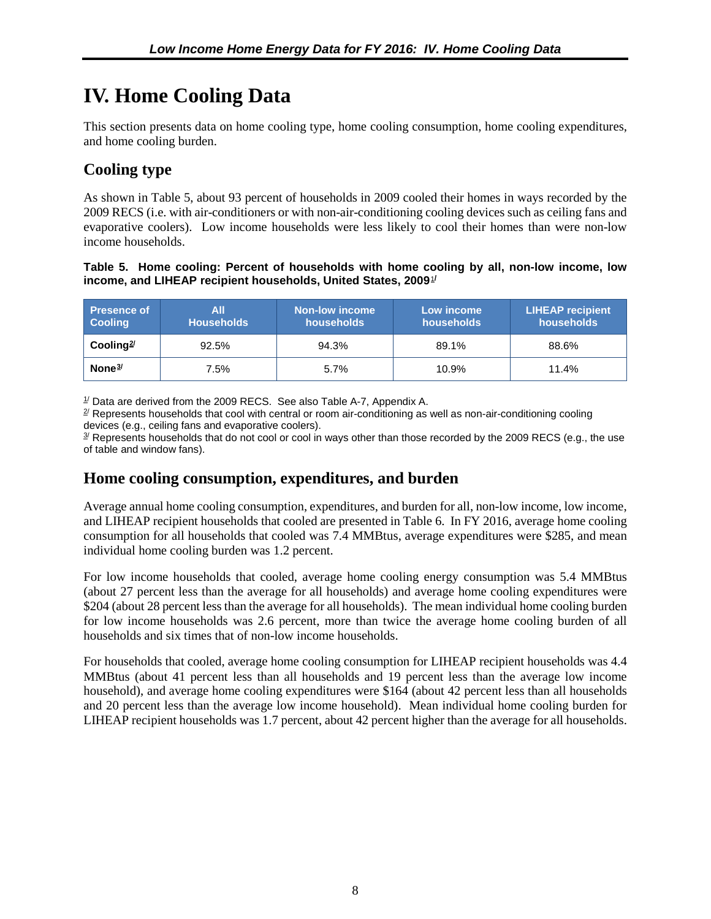## <span id="page-17-0"></span>**IV. Home Cooling Data**

This section presents data on home cooling type, home cooling consumption, home cooling expenditures, and home cooling burden.

### **Cooling type**

As shown in Table 5, about 93 percent of households in 2009 cooled their homes in ways recorded by the 2009 RECS (i.e. with air-conditioners or with non-air-conditioning cooling devices such as ceiling fans and evaporative coolers). Low income households were less likely to cool their homes than were non-low income households.

#### **Table 5. Home cooling: Percent of households with home cooling by all, non-low income, low**  income, and LIHEAP recipient households, United States, 2009 $^{1/2}$  $^{1/2}$  $^{1/2}$

| <b>Presence of</b><br><b>Cooling</b> | ΑII<br><b>Households</b> | <b>Non-low income</b><br>households <b>\</b> | Low income<br>households | <b>LIHEAP recipient</b><br>households |
|--------------------------------------|--------------------------|----------------------------------------------|--------------------------|---------------------------------------|
| Cooling <sup>2/</sup>                | 92.5%                    | 94.3%                                        | 89.1%                    | 88.6%                                 |
| None $3/$                            | 7.5%                     | 5.7%                                         | 10.9%                    | 11.4%                                 |

 $1/$  Data are derived from the 2009 RECS. See also Table A-7, Appendix A.

 $2^{\prime}$  Represents households that cool with central or room air-conditioning as well as non-air-conditioning cooling devices (e.g., ceiling fans and evaporative coolers).

 $\frac{3}{2}$  Represents households that do not cool or cool in ways other than those recorded by the 2009 RECS (e.g., the use of table and window fans).

### **Home cooling consumption, expenditures, and burden**

Average annual home cooling consumption, expenditures, and burden for all, non-low income, low income, and LIHEAP recipient households that cooled are presented in Table 6. In FY 2016, average home cooling consumption for all households that cooled was 7.4 MMBtus, average expenditures were \$285, and mean individual home cooling burden was 1.2 percent.

For low income households that cooled, average home cooling energy consumption was 5.4 MMBtus (about 27 percent less than the average for all households) and average home cooling expenditures were \$204 (about 28 percent less than the average for all households). The mean individual home cooling burden for low income households was 2.6 percent, more than twice the average home cooling burden of all households and six times that of non-low income households.

For households that cooled, average home cooling consumption for LIHEAP recipient households was 4.4 MMBtus (about 41 percent less than all households and 19 percent less than the average low income household), and average home cooling expenditures were \$164 (about 42 percent less than all households and 20 percent less than the average low income household). Mean individual home cooling burden for LIHEAP recipient households was 1.7 percent, about 42 percent higher than the average for all households.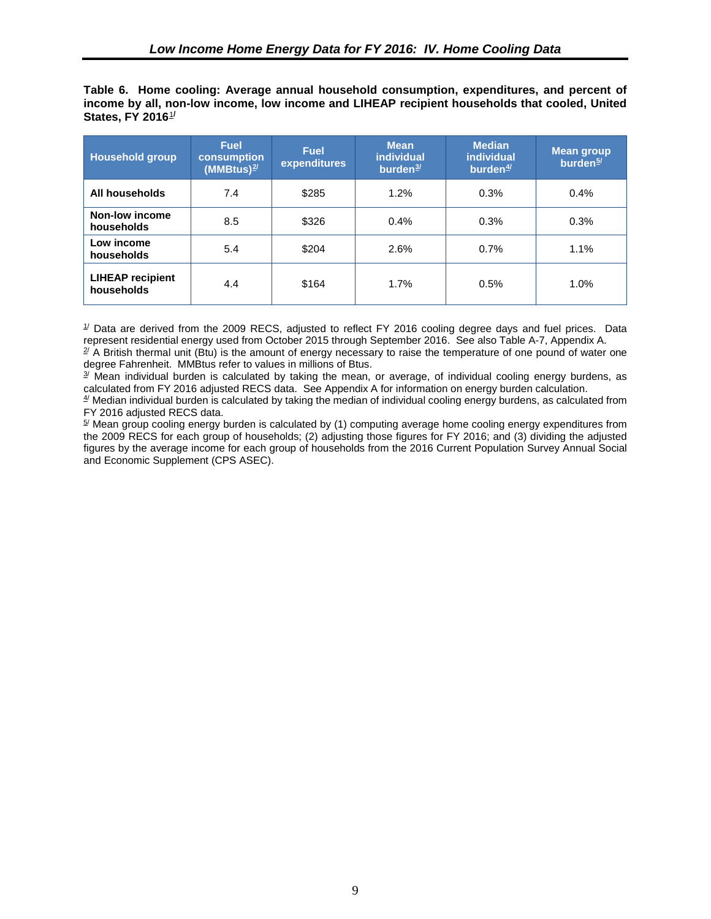<span id="page-18-0"></span>**Table 6. Home cooling: Average annual household consumption, expenditures, and percent of income by all, non-low income, low income and LIHEAP recipient households that cooled, United States, FY 2016**[1](#page-26-1) **/**

| <b>Household group</b>                | <b>Fuel</b><br>consumption<br>$(MM_Btus)^{2/2}$ | <b>Fuel</b><br>expenditures | <b>Mean</b><br><i>individual</i><br>burden <sup>3/</sup> | <b>Median</b><br>individual<br>burden $4/$ | <b>Mean group</b><br>burden <sup>5/</sup> |
|---------------------------------------|-------------------------------------------------|-----------------------------|----------------------------------------------------------|--------------------------------------------|-------------------------------------------|
| All households                        | 7.4                                             | \$285                       | 1.2%                                                     | 0.3%                                       | 0.4%                                      |
| Non-low income<br>households          | 8.5                                             | \$326                       | 0.4%                                                     | 0.3%                                       | 0.3%                                      |
| Low income<br>households              | 5.4                                             | \$204                       | 2.6%                                                     | 0.7%                                       | 1.1%                                      |
| <b>LIHEAP recipient</b><br>households | 4.4                                             | \$164                       | 1.7%                                                     | 0.5%                                       | 1.0%                                      |

 $1/$  Data are derived from the 2009 RECS, adjusted to reflect FY 2016 cooling degree days and fuel prices. Data represent residential energy used from October 2015 through September 2016. See also Table A-7, Appendix A.

 $\frac{2}{3}$  A British thermal unit (Btu) is the amount of energy necessary to raise the temperature of one pound of water one degree Fahrenheit. MMBtus refer to values in millions of Btus.

 $3/$  Mean individual burden is calculated by taking the mean, or average, of individual cooling energy burdens, as calculated from FY 2016 adjusted RECS data. See Appendix A for information on energy burden calculation.

 $4/$  Median individual burden is calculated by taking the median of individual cooling energy burdens, as calculated from FY 2016 adjusted RECS data.

<span id="page-18-2"></span><span id="page-18-1"></span> $5/$  Mean group cooling energy burden is calculated by (1) computing average home cooling energy expenditures from the 2009 RECS for each group of households; (2) adjusting those figures for FY 2016; and (3) dividing the adjusted figures by the average income for each group of households from the 2016 Current Population Survey Annual Social and Economic Supplement (CPS ASEC).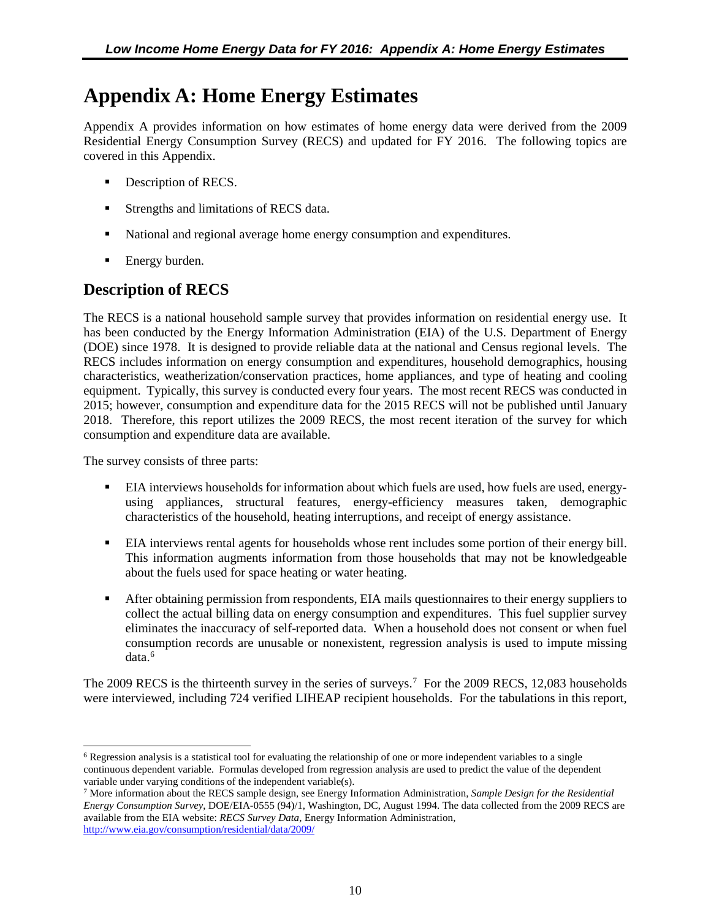## <span id="page-19-0"></span>**Appendix A: Home Energy Estimates**

Appendix A provides information on how estimates of home energy data were derived from the 2009 Residential Energy Consumption Survey (RECS) and updated for FY 2016. The following topics are covered in this Appendix.

- Description of RECS.
- Strengths and limitations of RECS data.
- National and regional average home energy consumption and expenditures.
- Energy burden.

### **Description of RECS**

The RECS is a national household sample survey that provides information on residential energy use. It has been conducted by the Energy Information Administration (EIA) of the U.S. Department of Energy (DOE) since 1978. It is designed to provide reliable data at the national and Census regional levels. The RECS includes information on energy consumption and expenditures, household demographics, housing characteristics, weatherization/conservation practices, home appliances, and type of heating and cooling equipment. Typically, this survey is conducted every four years. The most recent RECS was conducted in 2015; however, consumption and expenditure data for the 2015 RECS will not be published until January 2018. Therefore, this report utilizes the 2009 RECS, the most recent iteration of the survey for which consumption and expenditure data are available.

The survey consists of three parts:

- EIA interviews households for information about which fuels are used, how fuels are used, energyusing appliances, structural features, energy-efficiency measures taken, demographic characteristics of the household, heating interruptions, and receipt of energy assistance.
- EIA interviews rental agents for households whose rent includes some portion of their energy bill. This information augments information from those households that may not be knowledgeable about the fuels used for space heating or water heating.
- **•** After obtaining permission from respondents, EIA mails questionnaires to their energy suppliers to collect the actual billing data on energy consumption and expenditures. This fuel supplier survey eliminates the inaccuracy of self-reported data. When a household does not consent or when fuel consumption records are unusable or nonexistent, regression analysis is used to impute missing data.<sup>[6](#page-19-1)</sup>

The 2009 RECS is the thirteenth survey in the series of surveys.<sup>[7](#page-19-2)</sup> For the 2009 RECS, 12,083 households were interviewed, including 724 verified LIHEAP recipient households. For the tabulations in this report,

<span id="page-19-1"></span><sup>6</sup> Regression analysis is a statistical tool for evaluating the relationship of one or more independent variables to a single continuous dependent variable. Formulas developed from regression analysis are used to predict the value of the dependent variable under varying conditions of the independent variable(s).  $\overline{a}$ 

<span id="page-19-2"></span><sup>7</sup> More information about the RECS sample design, see Energy Information Administration, *Sample Design for the Residential Energy Consumption Survey*, DOE/EIA-0555 (94)/1, Washington, DC, August 1994. The data collected from the 2009 RECS are available from the EIA website: *RECS Survey Data,* Energy Information Administration, <http://www.eia.gov/consumption/residential/data/2009/>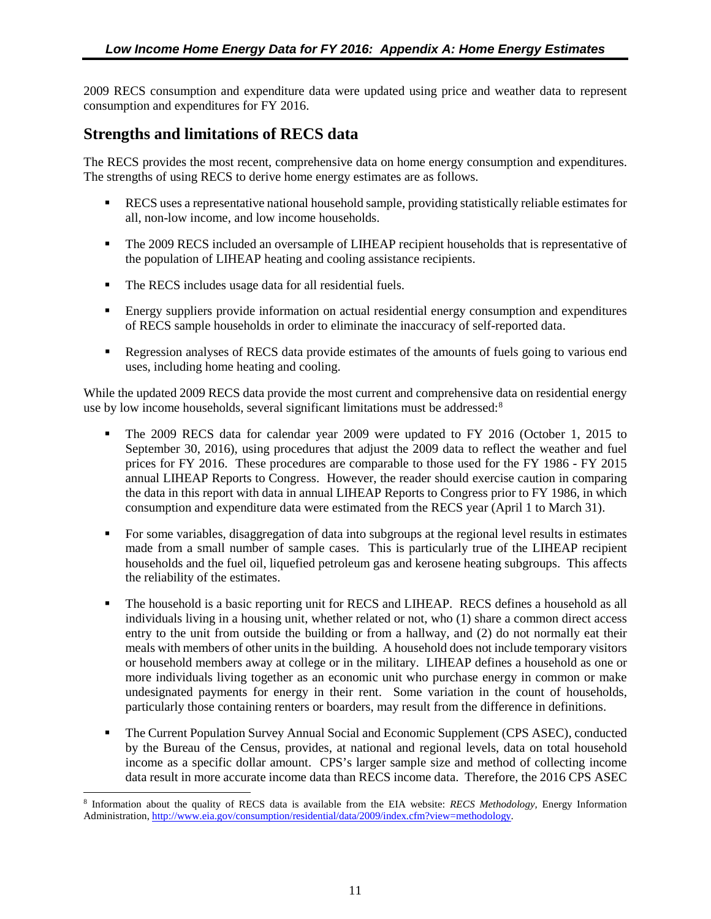<span id="page-20-0"></span>2009 RECS consumption and expenditure data were updated using price and weather data to represent consumption and expenditures for FY 2016.

### **Strengths and limitations of RECS data**

The RECS provides the most recent, comprehensive data on home energy consumption and expenditures. The strengths of using RECS to derive home energy estimates are as follows.

- RECS uses a representative national household sample, providing statistically reliable estimates for all, non-low income, and low income households.
- The 2009 RECS included an oversample of LIHEAP recipient households that is representative of the population of LIHEAP heating and cooling assistance recipients.
- The RECS includes usage data for all residential fuels.
- **Energy suppliers provide information on actual residential energy consumption and expenditures** of RECS sample households in order to eliminate the inaccuracy of self-reported data.
- **Regression analyses of RECS** data provide estimates of the amounts of fuels going to various end uses, including home heating and cooling.

While the updated 2009 RECS data provide the most current and comprehensive data on residential energy use by low income households, several significant limitations must be addressed:<sup>[8](#page-20-1)</sup>

- The 2009 RECS data for calendar year 2009 were updated to FY 2016 (October 1, 2015 to September 30, 2016), using procedures that adjust the 2009 data to reflect the weather and fuel prices for FY 2016. These procedures are comparable to those used for the FY 1986 - FY 2015 annual LIHEAP Reports to Congress. However, the reader should exercise caution in comparing the data in this report with data in annual LIHEAP Reports to Congress prior to FY 1986, in which consumption and expenditure data were estimated from the RECS year (April 1 to March 31).
- For some variables, disaggregation of data into subgroups at the regional level results in estimates made from a small number of sample cases. This is particularly true of the LIHEAP recipient households and the fuel oil, liquefied petroleum gas and kerosene heating subgroups. This affects the reliability of the estimates.
- The household is a basic reporting unit for RECS and LIHEAP. RECS defines a household as all individuals living in a housing unit, whether related or not, who (1) share a common direct access entry to the unit from outside the building or from a hallway, and (2) do not normally eat their meals with members of other units in the building. A household does not include temporary visitors or household members away at college or in the military. LIHEAP defines a household as one or more individuals living together as an economic unit who purchase energy in common or make undesignated payments for energy in their rent. Some variation in the count of households, particularly those containing renters or boarders, may result from the difference in definitions.
- The Current Population Survey Annual Social and Economic Supplement (CPS ASEC), conducted by the Bureau of the Census, provides, at national and regional levels, data on total household income as a specific dollar amount. CPS's larger sample size and method of collecting income data result in more accurate income data than RECS income data. Therefore, the 2016 CPS ASEC

<span id="page-20-1"></span><sup>8</sup> Information about the quality of RECS data is available from the EIA website: *RECS Methodology,* Energy Information Administration, [http://www.eia.gov/consumption/residential/data/2009/index.cfm?view=methodology.](http://www.eia.gov/consumption/residential/data/2009/index.cfm?view=methodology)   $\overline{a}$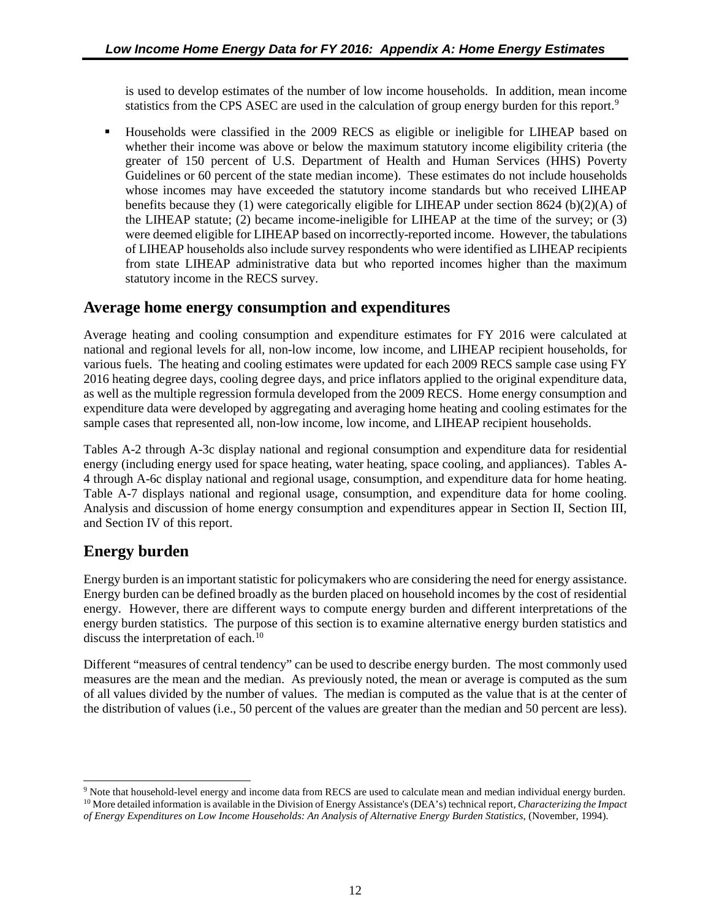<span id="page-21-0"></span>is used to develop estimates of the number of low income households. In addition, mean income statistics from the CPS ASEC are used in the calculation of group energy burden for this report.<sup>[9](#page-21-5)</sup>

 Households were classified in the 2009 RECS as eligible or ineligible for LIHEAP based on whether their income was above or below the maximum statutory income eligibility criteria (the greater of 150 percent of U.S. Department of Health and Human Services (HHS) Poverty Guidelines or 60 percent of the state median income). These estimates do not include households whose incomes may have exceeded the statutory income standards but who received LIHEAP benefits because they (1) were categorically eligible for LIHEAP under section 8624 (b)(2)(A) of the LIHEAP statute; (2) became income-ineligible for LIHEAP at the time of the survey; or (3) were deemed eligible for LIHEAP based on incorrectly-reported income. However, the tabulations of LIHEAP households also include survey respondents who were identified as LIHEAP recipients from state LIHEAP administrative data but who reported incomes higher than the maximum statutory income in the RECS survey.

### <span id="page-21-1"></span>**Average home energy consumption and expenditures**

<span id="page-21-4"></span><span id="page-21-3"></span><span id="page-21-2"></span>Average heating and cooling consumption and expenditure estimates for FY 2016 were calculated at national and regional levels for all, non-low income, low income, and LIHEAP recipient households, for various fuels. The heating and cooling estimates were updated for each 2009 RECS sample case using FY 2016 heating degree days, cooling degree days, and price inflators applied to the original expenditure data, as well as the multiple regression formula developed from the 2009 RECS. Home energy consumption and expenditure data were developed by aggregating and averaging home heating and cooling estimates for the sample cases that represented all, non-low income, low income, and LIHEAP recipient households.

Tables A-2 through A-3c display national and regional consumption and expenditure data for residential energy (including energy used for space heating, water heating, space cooling, and appliances). Tables A-4 through A-6c display national and regional usage, consumption, and expenditure data for home heating. Table A-7 displays national and regional usage, consumption, and expenditure data for home cooling. Analysis and discussion of home energy consumption and expenditures appear in Section II, Section III, and Section IV of this report.

### **Energy burden**

 $\overline{a}$ 

Energy burden is an important statistic for policymakers who are considering the need for energy assistance. Energy burden can be defined broadly as the burden placed on household incomes by the cost of residential energy. However, there are different ways to compute energy burden and different interpretations of the energy burden statistics. The purpose of this section is to examine alternative energy burden statistics and discuss the interpretation of each.<sup>[10](#page-21-6)</sup>

Different "measures of central tendency" can be used to describe energy burden. The most commonly used measures are the mean and the median. As previously noted, the mean or average is computed as the sum of all values divided by the number of values. The median is computed as the value that is at the center of the distribution of values (i.e., 50 percent of the values are greater than the median and 50 percent are less).

<span id="page-21-6"></span><span id="page-21-5"></span><sup>9</sup> Note that household-level energy and income data from RECS are used to calculate mean and median individual energy burden. <sup>10</sup> More detailed information is available in the Division of Energy Assistance's (DEA's) technical report, *Characterizing the Impact of Energy Expenditures on Low Income Households: An Analysis of Alternative Energy Burden Statistics,* (November, 1994).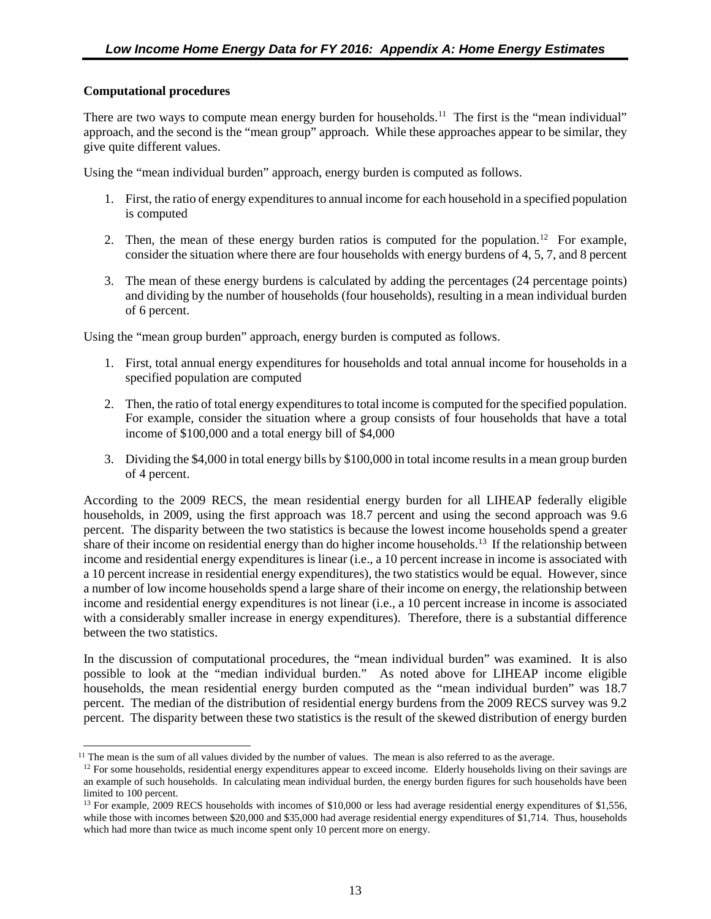#### **Computational procedures**

There are two ways to compute mean energy burden for households.<sup>[11](#page-22-2)</sup> The first is the "mean individual" approach, and the second is the "mean group" approach. While these approaches appear to be similar, they give quite different values.

Using the "mean individual burden" approach, energy burden is computed as follows.

- 1. First, the ratio of energy expenditures to annual income for each household in a specified population is computed
- 2. Then, the mean of these energy burden ratios is computed for the population.<sup>[12](#page-22-3)</sup> For example, consider the situation where there are four households with energy burdens of 4, 5, 7, and 8 percent
- 3. The mean of these energy burdens is calculated by adding the percentages (24 percentage points) and dividing by the number of households (four households), resulting in a mean individual burden of 6 percent.

<span id="page-22-0"></span>Using the "mean group burden" approach, energy burden is computed as follows.

- 1. First, total annual energy expenditures for households and total annual income for households in a specified population are computed
- 2. Then, the ratio of total energy expenditures to total income is computed for the specified population. For example, consider the situation where a group consists of four households that have a total income of \$100,000 and a total energy bill of \$4,000
- 3. Dividing the \$4,000 in total energy bills by \$100,000 in total income results in a mean group burden of 4 percent.

<span id="page-22-1"></span>According to the 2009 RECS, the mean residential energy burden for all LIHEAP federally eligible households, in 2009, using the first approach was 18.7 percent and using the second approach was 9.6 percent. The disparity between the two statistics is because the lowest income households spend a greater share of their income on residential energy than do higher income households.<sup>[13](#page-22-4)</sup> If the relationship between income and residential energy expenditures is linear (i.e., a 10 percent increase in income is associated with a 10 percent increase in residential energy expenditures), the two statistics would be equal. However, since a number of low income households spend a large share of their income on energy, the relationship between income and residential energy expenditures is not linear (i.e., a 10 percent increase in income is associated with a considerably smaller increase in energy expenditures). Therefore, there is a substantial difference between the two statistics.

In the discussion of computational procedures, the "mean individual burden" was examined. It is also possible to look at the "median individual burden." As noted above for LIHEAP income eligible households, the mean residential energy burden computed as the "mean individual burden" was 18.7 percent. The median of the distribution of residential energy burdens from the 2009 RECS survey was 9.2 percent. The disparity between these two statistics is the result of the skewed distribution of energy burden

<span id="page-22-3"></span><span id="page-22-2"></span> $11$  The mean is the sum of all values divided by the number of values. The mean is also referred to as the average.  $\overline{a}$ 

 $12$  For some households, residential energy expenditures appear to exceed income. Elderly households living on their savings are an example of such households. In calculating mean individual burden, the energy burden figures for such households have been limited to 100 percent.

<span id="page-22-4"></span><sup>&</sup>lt;sup>13</sup> For example, 2009 RECS households with incomes of \$10,000 or less had average residential energy expenditures of \$1,556, while those with incomes between \$20,000 and \$35,000 had average residential energy expenditures of \$1,714. Thus, households which had more than twice as much income spent only 10 percent more on energy.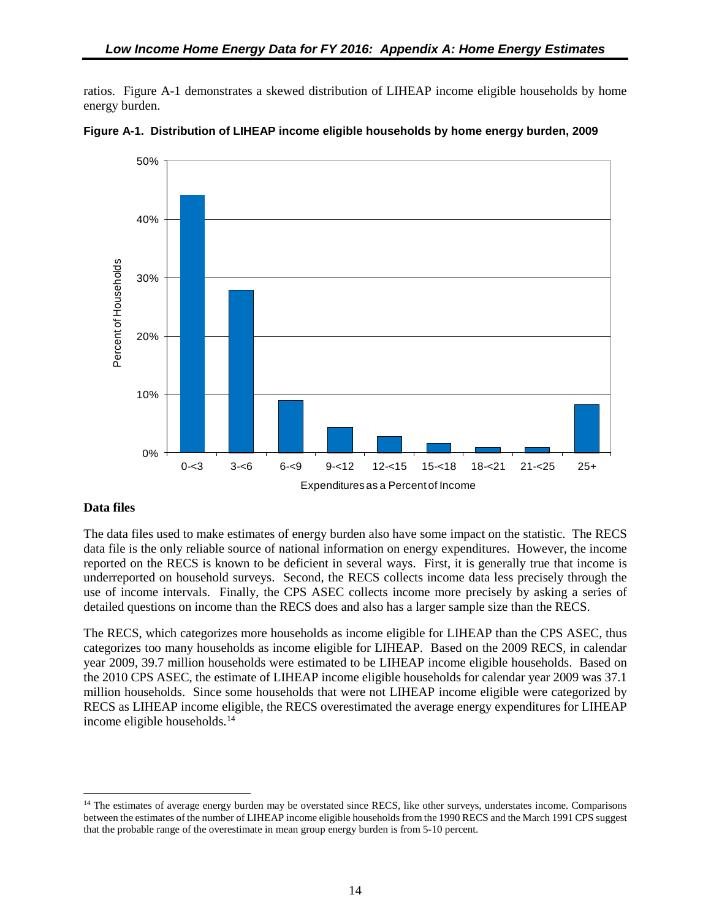<span id="page-23-0"></span>ratios. Figure A-1 demonstrates a skewed distribution of LIHEAP income eligible households by home energy burden.





#### **Data files**

 $\overline{a}$ 

The data files used to make estimates of energy burden also have some impact on the statistic. The RECS data file is the only reliable source of national information on energy expenditures. However, the income reported on the RECS is known to be deficient in several ways. First, it is generally true that income is underreported on household surveys. Second, the RECS collects income data less precisely through the use of income intervals. Finally, the CPS ASEC collects income more precisely by asking a series of detailed questions on income than the RECS does and also has a larger sample size than the RECS.

The RECS, which categorizes more households as income eligible for LIHEAP than the CPS ASEC, thus categorizes too many households as income eligible for LIHEAP. Based on the 2009 RECS, in calendar year 2009, 39.7 million households were estimated to be LIHEAP income eligible households. Based on the 2010 CPS ASEC, the estimate of LIHEAP income eligible households for calendar year 2009 was 37.1 million households. Since some households that were not LIHEAP income eligible were categorized by RECS as LIHEAP income eligible, the RECS overestimated the average energy expenditures for LIHEAP income eligible households.[14](#page-23-1)

<span id="page-23-1"></span><sup>&</sup>lt;sup>14</sup> The estimates of average energy burden may be overstated since RECS, like other surveys, understates income. Comparisons between the estimates of the number of LIHEAP income eligible households from the 1990 RECS and the March 1991 CPS suggest that the probable range of the overestimate in mean group energy burden is from 5-10 percent.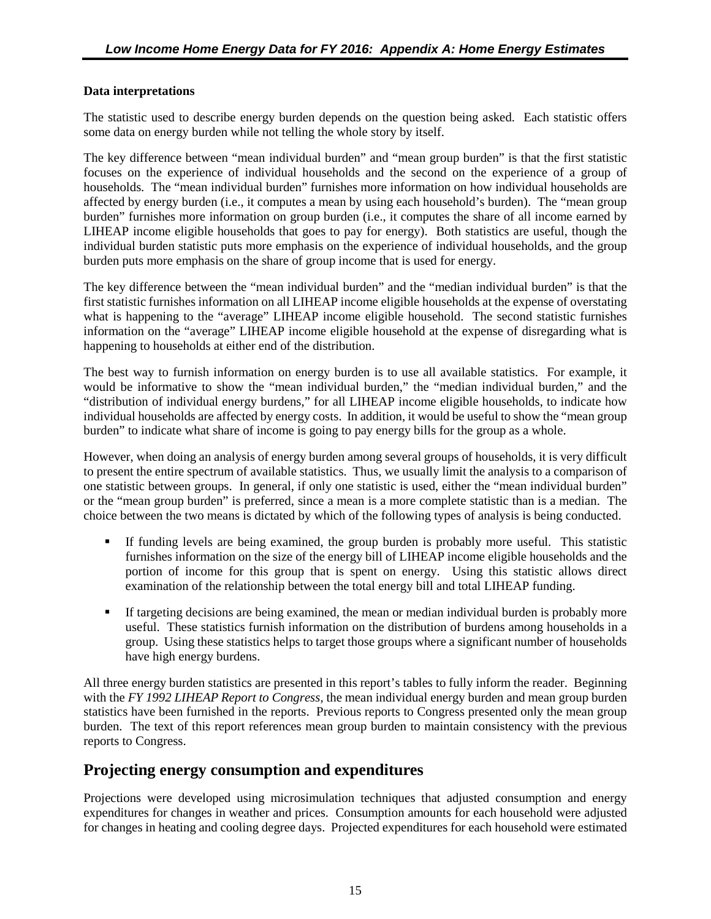#### **Data interpretations**

The statistic used to describe energy burden depends on the question being asked. Each statistic offers some data on energy burden while not telling the whole story by itself.

The key difference between "mean individual burden" and "mean group burden" is that the first statistic focuses on the experience of individual households and the second on the experience of a group of households. The "mean individual burden" furnishes more information on how individual households are affected by energy burden (i.e., it computes a mean by using each household's burden). The "mean group burden" furnishes more information on group burden (i.e., it computes the share of all income earned by LIHEAP income eligible households that goes to pay for energy). Both statistics are useful, though the individual burden statistic puts more emphasis on the experience of individual households, and the group burden puts more emphasis on the share of group income that is used for energy.

The key difference between the "mean individual burden" and the "median individual burden" is that the first statistic furnishes information on all LIHEAP income eligible households at the expense of overstating what is happening to the "average" LIHEAP income eligible household. The second statistic furnishes information on the "average" LIHEAP income eligible household at the expense of disregarding what is happening to households at either end of the distribution.

<span id="page-24-1"></span><span id="page-24-0"></span>The best way to furnish information on energy burden is to use all available statistics. For example, it would be informative to show the "mean individual burden," the "median individual burden," and the "distribution of individual energy burdens," for all LIHEAP income eligible households, to indicate how individual households are affected by energy costs. In addition, it would be useful to show the "mean group burden" to indicate what share of income is going to pay energy bills for the group as a whole.

<span id="page-24-2"></span>However, when doing an analysis of energy burden among several groups of households, it is very difficult to present the entire spectrum of available statistics. Thus, we usually limit the analysis to a comparison of one statistic between groups. In general, if only one statistic is used, either the "mean individual burden" or the "mean group burden" is preferred, since a mean is a more complete statistic than is a median. The choice between the two means is dictated by which of the following types of analysis is being conducted.

- If funding levels are being examined, the group burden is probably more useful. This statistic furnishes information on the size of the energy bill of LIHEAP income eligible households and the portion of income for this group that is spent on energy. Using this statistic allows direct examination of the relationship between the total energy bill and total LIHEAP funding.
- If targeting decisions are being examined, the mean or median individual burden is probably more useful. These statistics furnish information on the distribution of burdens among households in a group. Using these statistics helps to target those groups where a significant number of households have high energy burdens.

All three energy burden statistics are presented in this report's tables to fully inform the reader. Beginning with the *FY 1992 LIHEAP Report to Congress*, the mean individual energy burden and mean group burden statistics have been furnished in the reports. Previous reports to Congress presented only the mean group burden. The text of this report references mean group burden to maintain consistency with the previous reports to Congress.

### **Projecting energy consumption and expenditures**

Projections were developed using microsimulation techniques that adjusted consumption and energy expenditures for changes in weather and prices. Consumption amounts for each household were adjusted for changes in heating and cooling degree days. Projected expenditures for each household were estimated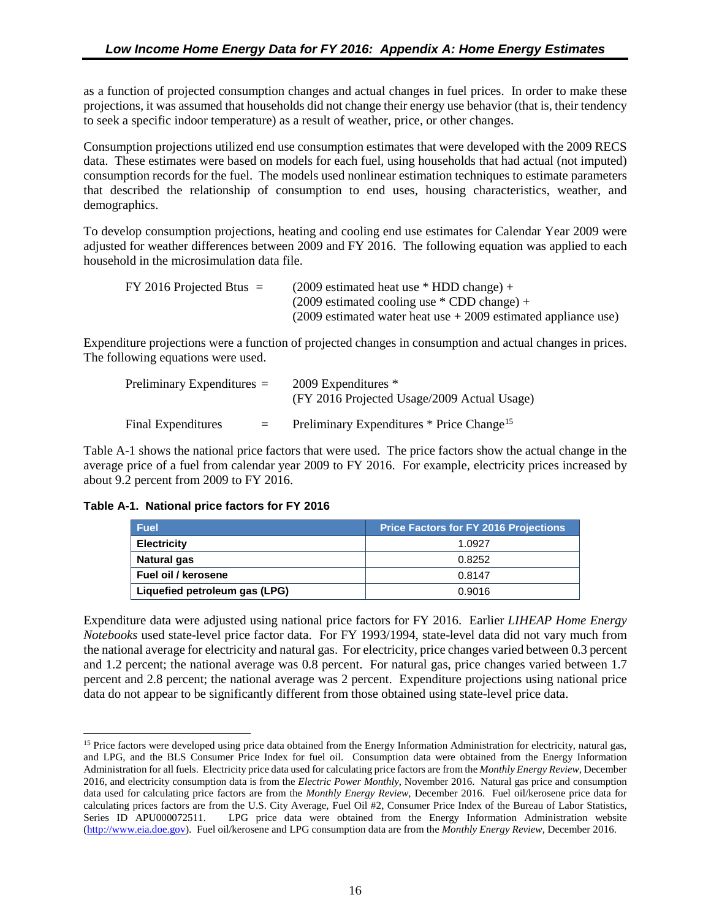<span id="page-25-0"></span>as a function of projected consumption changes and actual changes in fuel prices. In order to make these projections, it was assumed that households did not change their energy use behavior (that is, their tendency to seek a specific indoor temperature) as a result of weather, price, or other changes.

Consumption projections utilized end use consumption estimates that were developed with the 2009 RECS data. These estimates were based on models for each fuel, using households that had actual (not imputed) consumption records for the fuel. The models used nonlinear estimation techniques to estimate parameters that described the relationship of consumption to end uses, housing characteristics, weather, and demographics.

To develop consumption projections, heating and cooling end use estimates for Calendar Year 2009 were adjusted for weather differences between 2009 and FY 2016. The following equation was applied to each household in the microsimulation data file.

| $FY$ 2016 Projected Btus $=$ | $(2009$ estimated heat use * HDD change) +                         |
|------------------------------|--------------------------------------------------------------------|
|                              | $(2009$ estimated cooling use $*$ CDD change) +                    |
|                              | $(2009$ estimated water heat use $+ 2009$ estimated appliance use) |

Expenditure projections were a function of projected changes in consumption and actual changes in prices. The following equations were used.

| Preliminary Expenditures $=$ |     | 2009 Expenditures *<br>(FY 2016 Projected Usage/2009 Actual Usage) |
|------------------------------|-----|--------------------------------------------------------------------|
| Final Expenditures           | $=$ | Preliminary Expenditures * Price Change <sup>15</sup>              |

Table A-1 shows the national price factors that were used. The price factors show the actual change in the average price of a fuel from calendar year 2009 to FY 2016. For example, electricity prices increased by about 9.2 percent from 2009 to FY 2016.

| Table A-1. National price factors for FY 2016 |  |  |  |  |  |  |
|-----------------------------------------------|--|--|--|--|--|--|
|-----------------------------------------------|--|--|--|--|--|--|

| <b>Fuel</b>                   | <b>Price Factors for FY 2016 Projections</b> |
|-------------------------------|----------------------------------------------|
| <b>Electricity</b>            | 1.0927                                       |
| <b>Natural gas</b>            | 0.8252                                       |
| Fuel oil / kerosene           | 0.8147                                       |
| Liquefied petroleum gas (LPG) | 0.9016                                       |

Expenditure data were adjusted using national price factors for FY 2016. Earlier *LIHEAP Home Energy Notebooks* used state-level price factor data. For FY 1993/1994, state-level data did not vary much from the national average for electricity and natural gas. For electricity, price changes varied between 0.3 percent and 1.2 percent; the national average was 0.8 percent. For natural gas, price changes varied between 1.7 percent and 2.8 percent; the national average was 2 percent. Expenditure projections using national price data do not appear to be significantly different from those obtained using state-level price data.

<span id="page-25-1"></span><sup>&</sup>lt;sup>15</sup> Price factors were developed using price data obtained from the Energy Information Administration for electricity, natural gas, and LPG, and the BLS Consumer Price Index for fuel oil. Consumption data were obtained from the Energy Information Administration for all fuels. Electricity price data used for calculating price factors are from the *Monthly Energy Review*, December 2016, and electricity consumption data is from the *Electric Power Monthly*, November 2016. Natural gas price and consumption data used for calculating price factors are from the *Monthly Energy Review*, December 2016. Fuel oil/kerosene price data for calculating prices factors are from the U.S. City Average, Fuel Oil #2, Consumer Price Index of the Bureau of Labor Statistics, Series ID APU000072511. LPG price data were obtained from the Energy Information Administration website [\(http://www.eia.doe.gov\)](http://www.eia.doe.gov/). Fuel oil/kerosene and LPG consumption data are from the *Monthly Energy Review*, December 2016.  $\overline{a}$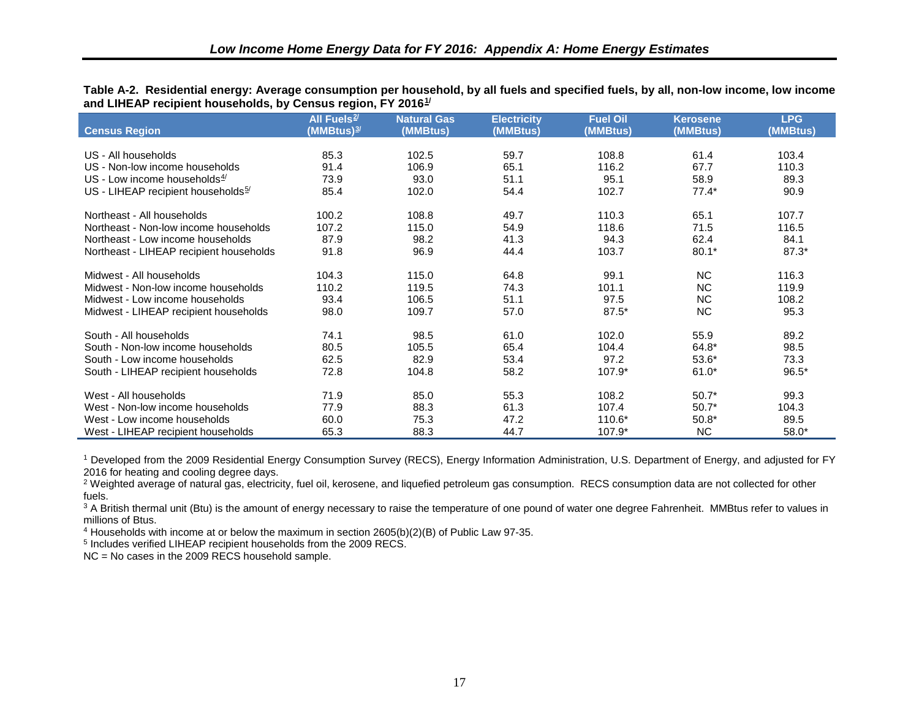<span id="page-26-0"></span>

|  | Table A-2. Residential energy: Average consumption per household, by all fuels and specified fuels, by all, non-low income, low income |  |  |
|--|----------------------------------------------------------------------------------------------------------------------------------------|--|--|
|  | and LIHEAP recipient households, by Census region, FY 2016 <sup>1/</sup>                                                               |  |  |

| <b>Census Region</b>                           | All Fuels <sup>2/</sup><br>(MMBtus) <del></del> " | <b>Natural Gas</b><br>(MMBtus) | <b>Electricity</b><br>(MMBtus) | <b>Fuel Oil</b><br>(MMBtus) | <b>Kerosene</b><br>(MMBtus) | <b>LPG</b><br>(MMBtus) |
|------------------------------------------------|---------------------------------------------------|--------------------------------|--------------------------------|-----------------------------|-----------------------------|------------------------|
| U.S.- All households                           | 85.3                                              | 102.5                          | 59.7                           | 108.8                       | 61.4                        | 103.4                  |
| US - Non-low income households                 | 91.4                                              | 106.9                          | 65.1                           | 116.2                       | 67.7                        | 110.3                  |
| US - Low income households $4/$                | 73.9                                              | 93.0                           | 51.1                           | 95.1                        | 58.9                        | 89.3                   |
| US - LIHEAP recipient households <sup>5/</sup> | 85.4                                              | 102.0                          | 54.4                           | 102.7                       | $77.4*$                     | 90.9                   |
| Northeast - All households                     | 100.2                                             | 108.8                          | 49.7                           | 110.3                       | 65.1                        | 107.7                  |
| Northeast - Non-low income households          | 107.2                                             | 115.0                          | 54.9                           | 118.6                       | 71.5                        | 116.5                  |
| Northeast - Low income households              | 87.9                                              | 98.2                           | 41.3                           | 94.3                        | 62.4                        | 84.1                   |
| Northeast - LIHEAP recipient households        | 91.8                                              | 96.9                           | 44.4                           | 103.7                       | $80.1*$                     | 87.3*                  |
| Midwest - All households                       | 104.3                                             | 115.0                          | 64.8                           | 99.1                        | <b>NC</b>                   | 116.3                  |
| Midwest - Non-low income households            | 110.2                                             | 119.5                          | 74.3                           | 101.1                       | <b>NC</b>                   | 119.9                  |
| Midwest - Low income households                | 93.4                                              | 106.5                          | 51.1                           | 97.5                        | <b>NC</b>                   | 108.2                  |
| Midwest - LIHEAP recipient households          | 98.0                                              | 109.7                          | 57.0                           | $87.5*$                     | <b>NC</b>                   | 95.3                   |
| South - All households                         | 74.1                                              | 98.5                           | 61.0                           | 102.0                       | 55.9                        | 89.2                   |
| South - Non-low income households              | 80.5                                              | 105.5                          | 65.4                           | 104.4                       | 64.8*                       | 98.5                   |
| South - Low income households                  | 62.5                                              | 82.9                           | 53.4                           | 97.2                        | $53.6*$                     | 73.3                   |
| South - LIHEAP recipient households            | 72.8                                              | 104.8                          | 58.2                           | 107.9*                      | $61.0*$                     | $96.5*$                |
| West - All households                          | 71.9                                              | 85.0                           | 55.3                           | 108.2                       | $50.7*$                     | 99.3                   |
| West - Non-low income households               | 77.9                                              | 88.3                           | 61.3                           | 107.4                       | $50.7*$                     | 104.3                  |
| West - Low income households                   | 60.0                                              | 75.3                           | 47.2                           | 110.6*                      | $50.8*$                     | 89.5                   |
| West - LIHEAP recipient households             | 65.3                                              | 88.3                           | 44.7                           | $107.9*$                    | <b>NC</b>                   | $58.0*$                |

<span id="page-26-4"></span><span id="page-26-3"></span><span id="page-26-2"></span><span id="page-26-1"></span><sup>1</sup> Developed from the 2009 Residential Energy Consumption Survey (RECS), Energy Information Administration, U.S. Department of Energy, and adjusted for FY 2016 for heating and cooling degree days.

<sup>2</sup> Weighted average of natural gas, electricity, fuel oil, kerosene, and liquefied petroleum gas consumption. RECS consumption data are not collected for other fuels.

<sup>3</sup> A British thermal unit (Btu) is the amount of energy necessary to raise the temperature of one pound of water one degree Fahrenheit. MMBtus refer to values in millions of Btus.

<sup>4</sup> Households with income at or below the maximum in section 2605(b)(2)(B) of Public Law 97-35.

<sup>5</sup> Includes verified LIHEAP recipient households from the 2009 RECS.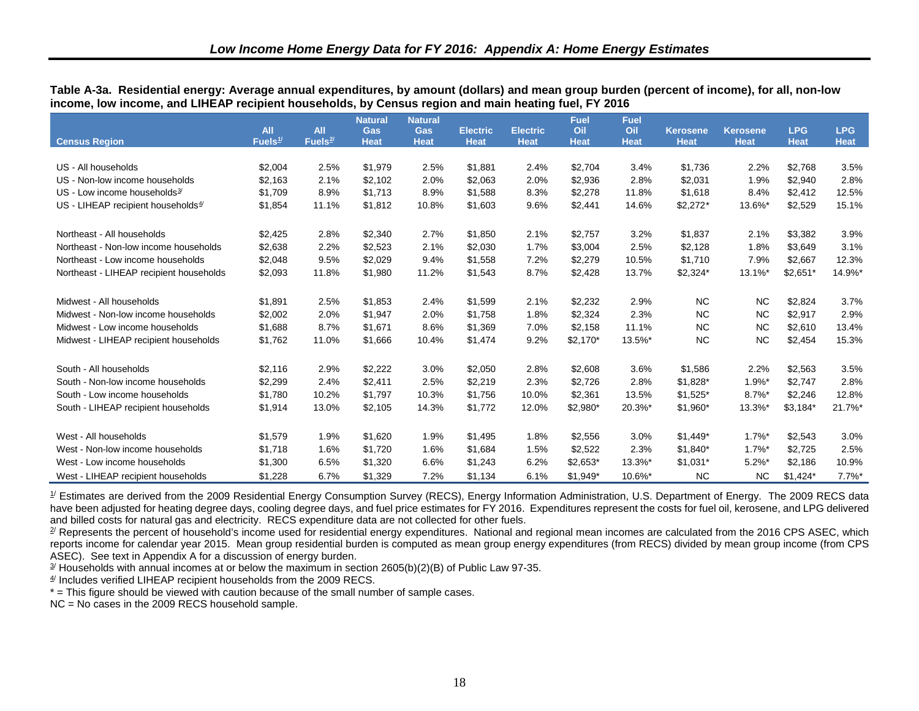| <b>Census Region</b>                     | <b>All</b><br>Fuels $1/$ | All<br>Fuels $2/$ | <b>Natural</b><br>Gas<br><b>Heat</b> | <b>Natural</b><br>Gas<br><b>Heat</b> | <b>Electric</b><br><b>Heat</b> | <b>Electric</b><br><b>Heat</b> | <b>Fuel</b><br>Oil<br><b>Heat</b> | Fuel<br>Oil<br><b>Heat</b> | <b>Kerosene</b><br><b>Heat</b> | <b>Kerosene</b><br><b>Heat</b> | <b>LPG</b><br><b>Heat</b> | <b>LPG</b><br><b>Heat</b> |
|------------------------------------------|--------------------------|-------------------|--------------------------------------|--------------------------------------|--------------------------------|--------------------------------|-----------------------------------|----------------------------|--------------------------------|--------------------------------|---------------------------|---------------------------|
|                                          |                          |                   |                                      |                                      |                                |                                |                                   |                            |                                |                                |                           |                           |
| US - All households                      | \$2,004                  | 2.5%              | \$1,979                              | 2.5%                                 | \$1,881                        | 2.4%                           | \$2,704                           | 3.4%                       | \$1,736                        | 2.2%                           | \$2,768                   | 3.5%                      |
| US - Non-low income households           | \$2.163                  | 2.1%              | \$2.102                              | 2.0%                                 | \$2.063                        | 2.0%                           | \$2,936                           | 2.8%                       | \$2,031                        | 1.9%                           | \$2,940                   | 2.8%                      |
| US - Low income households $\frac{3}{2}$ | \$1,709                  | 8.9%              | \$1,713                              | 8.9%                                 | \$1,588                        | 8.3%                           | \$2,278                           | 11.8%                      | \$1,618                        | 8.4%                           | \$2,412                   | 12.5%                     |
| US - LIHEAP recipient households $4/$    | \$1,854                  | 11.1%             | \$1,812                              | 10.8%                                | \$1,603                        | 9.6%                           | \$2,441                           | 14.6%                      | $$2,272*$                      | 13.6%*                         | \$2,529                   | 15.1%                     |
| Northeast - All households               | \$2,425                  | 2.8%              | \$2,340                              | 2.7%                                 | \$1,850                        | 2.1%                           | \$2,757                           | 3.2%                       | \$1,837                        | 2.1%                           | \$3,382                   | 3.9%                      |
| Northeast - Non-low income households    | \$2,638                  | 2.2%              | \$2,523                              | 2.1%                                 | \$2,030                        | 1.7%                           | \$3,004                           | 2.5%                       | \$2,128                        | 1.8%                           | \$3,649                   | 3.1%                      |
| Northeast - Low income households        | \$2,048                  | 9.5%              | \$2,029                              | 9.4%                                 | \$1,558                        | 7.2%                           | \$2,279                           | 10.5%                      | \$1,710                        | 7.9%                           | \$2,667                   | 12.3%                     |
| Northeast - LIHEAP recipient households  | \$2,093                  | 11.8%             | \$1,980                              | 11.2%                                | \$1,543                        | 8.7%                           | \$2,428                           | 13.7%                      | $$2,324*$                      | 13.1%*                         | $$2,651*$                 | 14.9%*                    |
| Midwest - All households                 | \$1,891                  | 2.5%              | \$1,853                              | 2.4%                                 | \$1,599                        | 2.1%                           | \$2,232                           | 2.9%                       | <b>NC</b>                      | NC.                            | \$2,824                   | 3.7%                      |
| Midwest - Non-low income households      | \$2,002                  | 2.0%              | \$1,947                              | 2.0%                                 | \$1.758                        | 1.8%                           | \$2,324                           | 2.3%                       | <b>NC</b>                      | <b>NC</b>                      | \$2,917                   | 2.9%                      |
| Midwest - Low income households          | \$1,688                  | 8.7%              | \$1.671                              | 8.6%                                 | \$1,369                        | 7.0%                           | \$2,158                           | 11.1%                      | <b>NC</b>                      | NC.                            | \$2,610                   | 13.4%                     |
| Midwest - LIHEAP recipient households    | \$1,762                  | 11.0%             | \$1,666                              | 10.4%                                | \$1,474                        | 9.2%                           | $$2,170*$                         | 13.5%*                     | <b>NC</b>                      | <b>NC</b>                      | \$2,454                   | 15.3%                     |
| South - All households                   | \$2,116                  | 2.9%              | \$2,222                              | 3.0%                                 | \$2,050                        | 2.8%                           | \$2,608                           | 3.6%                       | \$1,586                        | 2.2%                           | \$2,563                   | 3.5%                      |
| South - Non-low income households        | \$2,299                  | 2.4%              | \$2,411                              | 2.5%                                 | \$2,219                        | 2.3%                           | \$2,726                           | 2.8%                       | $$1,828$ *                     | $1.9\%$ <sup>*</sup>           | \$2,747                   | 2.8%                      |
| South - Low income households            | \$1,780                  | 10.2%             | \$1.797                              | 10.3%                                | \$1,756                        | 10.0%                          | \$2,361                           | 13.5%                      | $$1,525$ *                     | $8.7\%$ <sup>*</sup>           | \$2,246                   | 12.8%                     |
| South - LIHEAP recipient households      | \$1,914                  | 13.0%             | \$2,105                              | 14.3%                                | \$1,772                        | 12.0%                          | \$2,980*                          | 20.3%*                     | $$1,960*$                      | 13.3%*                         | \$3,184"                  | 21.7%*                    |
| West - All households                    | \$1,579                  | 1.9%              | \$1,620                              | 1.9%                                 | \$1,495                        | 1.8%                           | \$2,556                           | 3.0%                       | $$1,449$ *                     | $1.7\%$ <sup>*</sup>           | \$2,543                   | 3.0%                      |
| West - Non-low income households         | \$1,718                  | 1.6%              | \$1,720                              | 1.6%                                 | \$1,684                        | 1.5%                           | \$2,522                           | 2.3%                       | $$1,840*$                      | $1.7\%$ <sup>*</sup>           | \$2,725                   | 2.5%                      |
| West - Low income households             | \$1,300                  | 6.5%              | \$1,320                              | 6.6%                                 | \$1,243                        | 6.2%                           | $$2,653*$                         | 13.3%*                     | $$1,031*$                      | $5.2\%$ *                      | \$2,186                   | 10.9%                     |
| West - LIHEAP recipient households       | \$1,228                  | 6.7%              | \$1,329                              | 7.2%                                 | \$1,134                        | 6.1%                           | $$1,949$ *                        | 10.6%*                     | <b>NC</b>                      | <b>NC</b>                      | $$1,424$ *                | $7.7\%$ *                 |

<span id="page-27-7"></span><span id="page-27-6"></span><span id="page-27-5"></span><span id="page-27-4"></span><span id="page-27-3"></span><span id="page-27-2"></span><span id="page-27-0"></span>**Table A-3a. Residential energy: Average annual expenditures, by amount (dollars) and mean group burden (percent of income), for all, non-low income, low income, and LIHEAP recipient households, by Census region and main heating fuel, FY 2016** 

<span id="page-27-1"></span> $\mathcal I$  Estimates are derived from the 2009 Residential Energy Consumption Survey (RECS), Energy Information Administration, U.S. Department of Energy. The 2009 RECS data have been adjusted for heating degree days, cooling degree days, and fuel price estimates for FY 2016. Expenditures represent the costs for fuel oil, kerosene, and LPG delivered and billed costs for natural gas and electricity. RECS expenditure data are not collected for other fuels.

 $\mathbb{Z}$  Represents the percent of household's income used for residential energy expenditures. National and regional mean incomes are calculated from the 2016 CPS ASEC, which reports income for calendar year 2015. Mean group residential burden is computed as mean group energy expenditures (from RECS) divided by mean group income (from CPS ASEC). See text in Appendix A for a discussion of energy burden.

 $3/$  Households with annual incomes at or below the maximum in section 2605(b)(2)(B) of Public Law 97-35.

 $4/$  Includes verified LIHEAP recipient households from the 2009 RECS.

\* = This figure should be viewed with caution because of the small number of sample cases.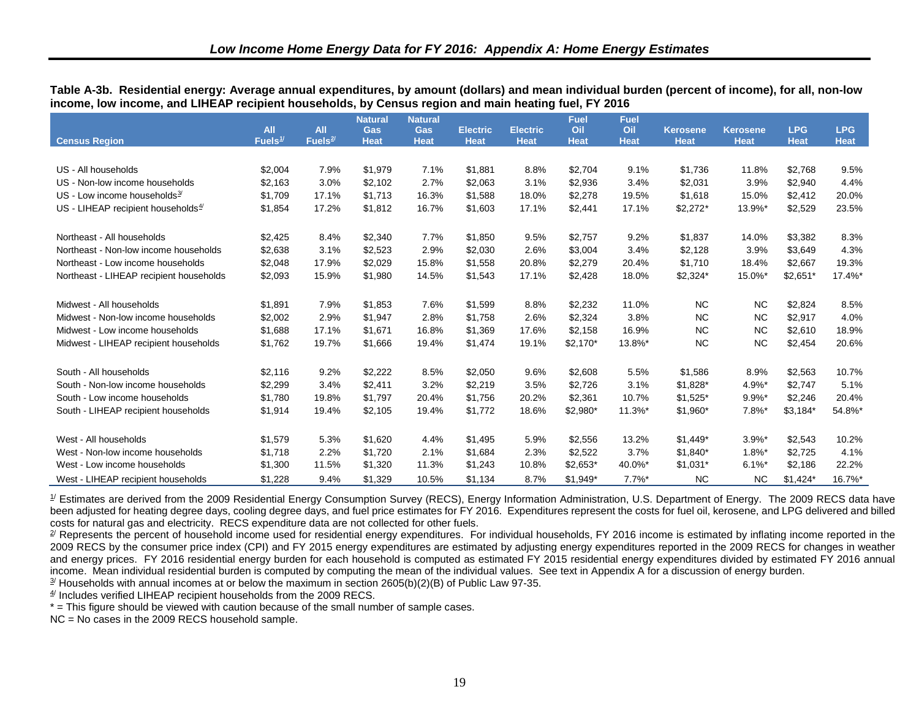|                                          |                          |                                   | <b>Natural</b>            | <b>Natural</b>            |                                |                                | <b>Fuel</b>        | <b>Fuel</b>        |                                |                                |                           |                           |
|------------------------------------------|--------------------------|-----------------------------------|---------------------------|---------------------------|--------------------------------|--------------------------------|--------------------|--------------------|--------------------------------|--------------------------------|---------------------------|---------------------------|
| <b>Census Region</b>                     | <b>All</b><br>Fuels $1/$ | <b>All</b><br>Fuels <sup>2/</sup> | <b>Gas</b><br><b>Heat</b> | <b>Gas</b><br><b>Heat</b> | <b>Electric</b><br><b>Heat</b> | <b>Electric</b><br><b>Heat</b> | Oil<br><b>Heat</b> | Oil<br><b>Heat</b> | <b>Kerosene</b><br><b>Heat</b> | <b>Kerosene</b><br><b>Heat</b> | <b>LPG</b><br><b>Heat</b> | <b>LPG</b><br><b>Heat</b> |
|                                          |                          |                                   |                           |                           |                                |                                |                    |                    |                                |                                |                           |                           |
| US - All households                      | \$2,004                  | 7.9%                              | \$1,979                   | 7.1%                      | \$1,881                        | 8.8%                           | \$2,704            | 9.1%               | \$1,736                        | 11.8%                          | \$2,768                   | 9.5%                      |
| US - Non-low income households           | \$2,163                  | 3.0%                              | \$2,102                   | 2.7%                      | \$2,063                        | 3.1%                           | \$2,936            | 3.4%               | \$2,031                        | 3.9%                           | \$2,940                   | 4.4%                      |
| US - Low income households $\frac{3}{2}$ | \$1,709                  | 17.1%                             | \$1,713                   | 16.3%                     | \$1,588                        | 18.0%                          | \$2,278            | 19.5%              | \$1,618                        | 15.0%                          | \$2,412                   | 20.0%                     |
| US - LIHEAP recipient households $4/$    | \$1,854                  | 17.2%                             | \$1,812                   | 16.7%                     | \$1,603                        | 17.1%                          | \$2,441            | 17.1%              | $$2,272*$                      | 13.9%*                         | \$2,529                   | 23.5%                     |
| Northeast - All households               | \$2,425                  | 8.4%                              | \$2,340                   | 7.7%                      | \$1,850                        | 9.5%                           | \$2,757            | 9.2%               | \$1,837                        | 14.0%                          | \$3,382                   | 8.3%                      |
| Northeast - Non-low income households    | \$2,638                  | 3.1%                              | \$2,523                   | 2.9%                      | \$2,030                        | 2.6%                           | \$3,004            | 3.4%               | \$2,128                        | 3.9%                           | \$3,649                   | 4.3%                      |
| Northeast - Low income households        | \$2,048                  | 17.9%                             | \$2,029                   | 15.8%                     | \$1,558                        | 20.8%                          | \$2,279            | 20.4%              | \$1,710                        | 18.4%                          | \$2,667                   | 19.3%                     |
| Northeast - LIHEAP recipient households  | \$2,093                  | 15.9%                             | \$1,980                   | 14.5%                     | \$1,543                        | 17.1%                          | \$2,428            | 18.0%              | \$2,324*                       | 15.0%*                         | $$2,651*$                 | 17.4%*                    |
| Midwest - All households                 | \$1,891                  | 7.9%                              | \$1,853                   | 7.6%                      | \$1,599                        | 8.8%                           | \$2,232            | 11.0%              | NC.                            | <b>NC</b>                      | \$2,824                   | 8.5%                      |
| Midwest - Non-low income households      | \$2,002                  | 2.9%                              | \$1,947                   | 2.8%                      | \$1,758                        | 2.6%                           | \$2,324            | 3.8%               | NC.                            | <b>NC</b>                      | \$2,917                   | 4.0%                      |
| Midwest - Low income households          | \$1,688                  | 17.1%                             | \$1,671                   | 16.8%                     | \$1,369                        | 17.6%                          | \$2,158            | 16.9%              | <b>NC</b>                      | <b>NC</b>                      | \$2,610                   | 18.9%                     |
| Midwest - LIHEAP recipient households    | \$1,762                  | 19.7%                             | \$1,666                   | 19.4%                     | \$1,474                        | 19.1%                          | $$2,170*$          | 13.8%*             | <b>NC</b>                      | <b>NC</b>                      | \$2,454                   | 20.6%                     |
| South - All households                   | \$2,116                  | 9.2%                              | \$2,222                   | 8.5%                      | \$2,050                        | 9.6%                           | \$2,608            | 5.5%               | \$1,586                        | 8.9%                           | \$2,563                   | 10.7%                     |
| South - Non-low income households        | \$2,299                  | 3.4%                              | \$2,411                   | 3.2%                      | \$2,219                        | 3.5%                           | \$2,726            | 3.1%               | $$1,828$ *                     | 4.9%*                          | \$2,747                   | 5.1%                      |
| South - Low income households            | \$1,780                  | 19.8%                             | \$1,797                   | 20.4%                     | \$1,756                        | 20.2%                          | \$2,361            | 10.7%              | $$1,525$ *                     | $9.9\%$ *                      | \$2,246                   | 20.4%                     |
| South - LIHEAP recipient households      | \$1,914                  | 19.4%                             | \$2,105                   | 19.4%                     | \$1,772                        | 18.6%                          | \$2,980*           | 11.3%*             | $$1,960*$                      | $7.8\%$ <sup>*</sup>           | $$3,184$ *                | 54.8%*                    |
| West - All households                    | \$1,579                  | 5.3%                              | \$1,620                   | 4.4%                      | \$1,495                        | 5.9%                           | \$2,556            | 13.2%              | $$1,449$ *                     | $3.9%$ *                       | \$2,543                   | 10.2%                     |
| West - Non-low income households         | \$1,718                  | 2.2%                              | \$1,720                   | 2.1%                      | \$1,684                        | 2.3%                           | \$2,522            | 3.7%               | $$1,840*$                      | $1.8\%$ <sup>*</sup>           | \$2,725                   | 4.1%                      |
| West - Low income households             | \$1,300                  | 11.5%                             | \$1,320                   | 11.3%                     | \$1,243                        | 10.8%                          | $$2,653*$          | 40.0%*             | $$1,031*$                      | $6.1\%$ *                      | \$2,186                   | 22.2%                     |
| West - LIHEAP recipient households       | \$1.228                  | 9.4%                              | \$1.329                   | 10.5%                     | \$1.134                        | 8.7%                           | $$1.949*$          | $7.7\%$ *          | <b>NC</b>                      | <b>NC</b>                      | $$1.424*$                 | 16.7%*                    |

<span id="page-28-6"></span><span id="page-28-5"></span><span id="page-28-4"></span><span id="page-28-3"></span><span id="page-28-2"></span><span id="page-28-1"></span><span id="page-28-0"></span>**Table A-3b. Residential energy: Average annual expenditures, by amount (dollars) and mean individual burden (percent of income), for all, non-low income, low income, and LIHEAP recipient households, by Census region and main heating fuel, FY 2016** 

 $\mathcal I$  Estimates are derived from the 2009 Residential Energy Consumption Survey (RECS), Energy Information Administration, U.S. Department of Energy. The 2009 RECS data have been adjusted for heating degree days, cooling degree days, and fuel price estimates for FY 2016. Expenditures represent the costs for fuel oil, kerosene, and LPG delivered and billed costs for natural gas and electricity. RECS expenditure data are not collected for other fuels.

<sup>2/</sup> Represents the percent of household income used for residential energy expenditures. For individual households, FY 2016 income is estimated by inflating income reported in the 2009 RECS by the consumer price index (CPI) and FY 2015 energy expenditures are estimated by adjusting energy expenditures reported in the 2009 RECS for changes in weather and energy prices. FY 2016 residential energy burden for each household is computed as estimated FY 2015 residential energy expenditures divided by estimated FY 2016 annual income. Mean individual residential burden is computed by computing the mean of the individual values. See text in Appendix A for a discussion of energy burden.

 $\frac{3}{2}$  Households with annual incomes at or below the maximum in section 2605(b)(2)(B) of Public Law 97-35.

 $4/$  Includes verified LIHEAP recipient households from the 2009 RECS.

\* = This figure should be viewed with caution because of the small number of sample cases.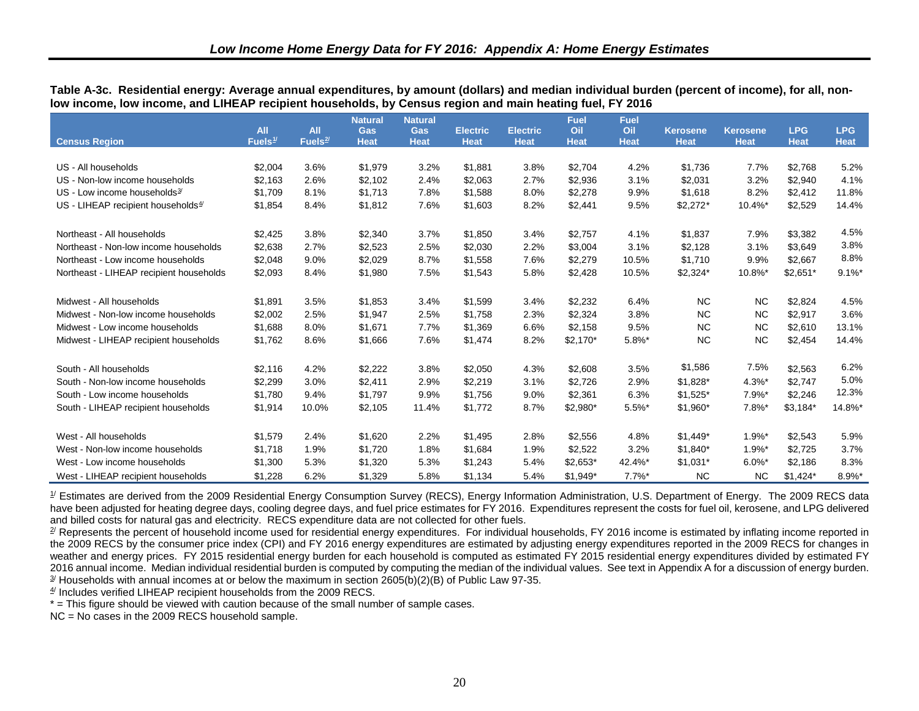|                                          | <b>All</b> | <b>All</b> | <b>Natural</b><br><b>Gas</b> | <b>Natural</b><br>Gas | <b>Electric</b> | <b>Electric</b> | <b>Fuel</b><br>Oil | <b>Fuel</b><br>Oil | <b>Kerosene</b> | <b>Kerosene</b> | <b>LPG</b>  | <b>LPG</b>  |
|------------------------------------------|------------|------------|------------------------------|-----------------------|-----------------|-----------------|--------------------|--------------------|-----------------|-----------------|-------------|-------------|
| <b>Census Region</b>                     | Fuels $1/$ | Fuels $2/$ | <b>Heat</b>                  | <b>Heat</b>           | <b>Heat</b>     | <b>Heat</b>     | <b>Heat</b>        | <b>Heat</b>        | <b>Heat</b>     | <b>Heat</b>     | <b>Heat</b> | <b>Heat</b> |
|                                          |            |            |                              |                       |                 |                 |                    |                    |                 |                 |             |             |
| US - All households                      | \$2,004    | 3.6%       | \$1,979                      | 3.2%                  | \$1,881         | 3.8%            | \$2,704            | 4.2%               | \$1,736         | 7.7%            | \$2,768     | 5.2%        |
| US - Non-low income households           | \$2,163    | 2.6%       | \$2,102                      | 2.4%                  | \$2,063         | 2.7%            | \$2,936            | 3.1%               | \$2,031         | 3.2%            | \$2,940     | 4.1%        |
| US - Low income households $\frac{3}{2}$ | \$1,709    | 8.1%       | \$1,713                      | 7.8%                  | \$1,588         | 8.0%            | \$2,278            | 9.9%               | \$1,618         | 8.2%            | \$2,412     | 11.8%       |
| US - LIHEAP recipient households $4/$    | \$1,854    | 8.4%       | \$1,812                      | 7.6%                  | \$1,603         | 8.2%            | \$2,441            | 9.5%               | $$2,272*$       | 10.4%*          | \$2,529     | 14.4%       |
| Northeast - All households               | \$2,425    | 3.8%       | \$2,340                      | 3.7%                  | \$1,850         | 3.4%            | \$2,757            | 4.1%               | \$1,837         | 7.9%            | \$3,382     | 4.5%        |
| Northeast - Non-low income households    | \$2,638    | 2.7%       | \$2,523                      | 2.5%                  | \$2,030         | 2.2%            | \$3,004            | 3.1%               | \$2,128         | 3.1%            | \$3,649     | 3.8%        |
| Northeast - Low income households        | \$2,048    | 9.0%       | \$2,029                      | 8.7%                  | \$1,558         | 7.6%            | \$2,279            | 10.5%              | \$1,710         | 9.9%            | \$2,667     | 8.8%        |
| Northeast - LIHEAP recipient households  | \$2,093    | 8.4%       | \$1,980                      | 7.5%                  | \$1,543         | 5.8%            | \$2,428            | 10.5%              | $$2,324*$       | 10.8%*          | $$2,651*$   | $9.1\%$ *   |
| Midwest - All households                 | \$1,891    | 3.5%       | \$1,853                      | 3.4%                  | \$1,599         | 3.4%            | \$2,232            | 6.4%               | <b>NC</b>       | <b>NC</b>       | \$2,824     | 4.5%        |
| Midwest - Non-low income households      | \$2,002    | 2.5%       | \$1,947                      | 2.5%                  | \$1,758         | 2.3%            | \$2,324            | 3.8%               | <b>NC</b>       | <b>NC</b>       | \$2,917     | 3.6%        |
| Midwest - Low income households          | \$1,688    | 8.0%       | \$1,671                      | 7.7%                  | \$1,369         | 6.6%            | \$2,158            | 9.5%               | <b>NC</b>       | <b>NC</b>       | \$2,610     | 13.1%       |
|                                          |            |            |                              |                       |                 |                 |                    |                    | <b>NC</b>       |                 |             |             |
| Midwest - LIHEAP recipient households    | \$1,762    | 8.6%       | \$1,666                      | 7.6%                  | \$1,474         | 8.2%            | $$2,170*$          | $5.8%$ *           |                 | <b>NC</b>       | \$2,454     | 14.4%       |
| South - All households                   | \$2,116    | 4.2%       | \$2,222                      | 3.8%                  | \$2,050         | 4.3%            | \$2,608            | 3.5%               | \$1,586         | 7.5%            | \$2,563     | 6.2%        |
| South - Non-low income households        | \$2,299    | 3.0%       | \$2,411                      | 2.9%                  | \$2,219         | 3.1%            | \$2,726            | 2.9%               | $$1,828$ *      | $4.3\%$ *       | \$2,747     | 5.0%        |
| South - Low income households            | \$1,780    | 9.4%       | \$1,797                      | 9.9%                  | \$1,756         | 9.0%            | \$2,361            | 6.3%               | $$1,525$ *      | $7.9%$ *        | \$2,246     | 12.3%       |
| South - LIHEAP recipient households      | \$1,914    | 10.0%      | \$2,105                      | 11.4%                 | \$1,772         | 8.7%            | \$2,980*           | 5.5%*              | $$1,960*$       | $7.8\%$ *       | \$3,184"    | 14.8%*      |
| West - All households                    | \$1,579    | 2.4%       | \$1,620                      | 2.2%                  | \$1,495         | 2.8%            | \$2,556            | 4.8%               | $$1,449$ *      | $1.9\%$ *       | \$2,543     | 5.9%        |
| West - Non-low income households         | \$1,718    | 1.9%       | \$1,720                      | 1.8%                  | \$1,684         | 1.9%            | \$2,522            | 3.2%               | $$1,840*$       | $1.9%$ *        | \$2,725     | 3.7%        |
| West - Low income households             | \$1,300    | 5.3%       | \$1,320                      | 5.3%                  | \$1,243         | 5.4%            | \$2,653*           | 42.4%*             | $$1,031*$       | $6.0\%$ *       | \$2,186     | 8.3%        |
| West - LIHEAP recipient households       | \$1,228    | 6.2%       | \$1,329                      | 5.8%                  | \$1,134         | 5.4%            | $$1,949*$          | $7.7\%$ *          | <b>NC</b>       | <b>NC</b>       | $$1,424$ *  | 8.9%*       |

<span id="page-29-6"></span><span id="page-29-5"></span><span id="page-29-4"></span><span id="page-29-3"></span><span id="page-29-2"></span><span id="page-29-1"></span><span id="page-29-0"></span>**Table A-3c. Residential energy: Average annual expenditures, by amount (dollars) and median individual burden (percent of income), for all, nonlow income, low income, and LIHEAP recipient households, by Census region and main heating fuel, FY 2016** 

 $\mathcal I$  Estimates are derived from the 2009 Residential Energy Consumption Survey (RECS), Energy Information Administration, U.S. Department of Energy. The 2009 RECS data have been adjusted for heating degree days, cooling degree days, and fuel price estimates for FY 2016. Expenditures represent the costs for fuel oil, kerosene, and LPG delivered and billed costs for natural gas and electricity. RECS expenditure data are not collected for other fuels.

 $\frac{2}{3}$  Represents the percent of household income used for residential energy expenditures. For individual households, FY 2016 income is estimated by inflating income reported in the 2009 RECS by the consumer price index (CPI) and FY 2016 energy expenditures are estimated by adjusting energy expenditures reported in the 2009 RECS for changes in weather and energy prices. FY 2015 residential energy burden for each household is computed as estimated FY 2015 residential energy expenditures divided by estimated FY 2016 annual income. Median individual residential burden is computed by computing the median of the individual values. See text in Appendix A for a discussion of energy burden.  $\frac{3}{2}$  Households with annual incomes at or below the maximum in section 2605(b)(2)(B) of Public Law 97-35.

 $4/$  Includes verified LIHEAP recipient households from the 2009 RECS.

\* = This figure should be viewed with caution because of the small number of sample cases.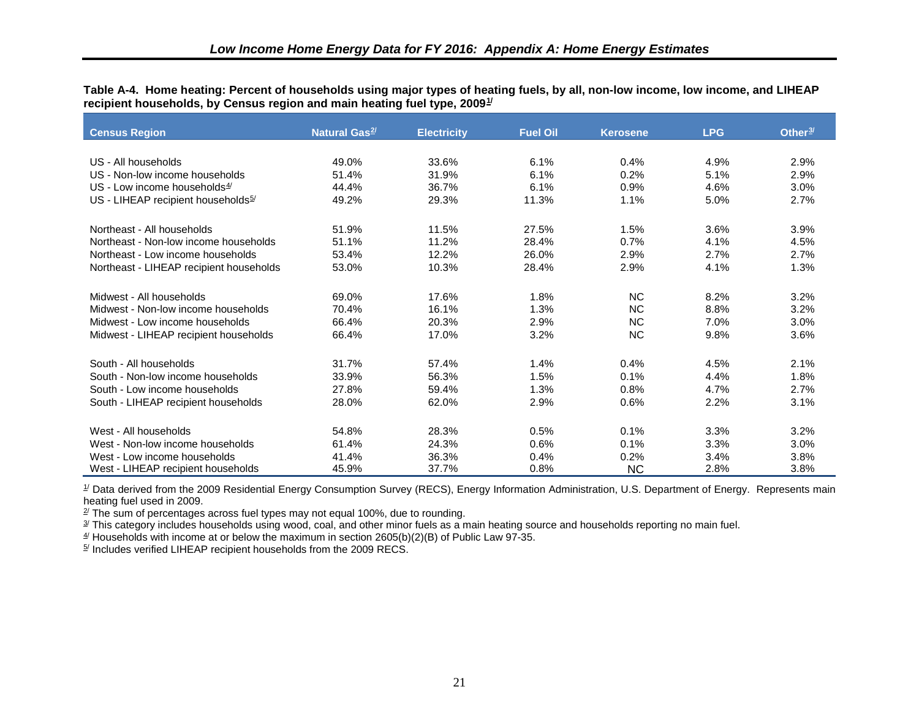<span id="page-30-0"></span>**Table A-4. Home heating: Percent of households using major types of heating fuels, by all, non-low income, low income, and LIHEAP recipient households, by Census region and main heating fuel type, 2009[1](#page-41-1) /** 

| <b>Census Region</b>                           | Natural Gas <sup>2/</sup> | <b>Electricity</b> | <b>Fuel Oil</b> | <b>Kerosene</b> | <b>LPG</b> | Other <sup>3/</sup> |
|------------------------------------------------|---------------------------|--------------------|-----------------|-----------------|------------|---------------------|
|                                                |                           |                    |                 |                 |            |                     |
| US - All households                            | 49.0%                     | 33.6%              | 6.1%            | 0.4%            | 4.9%       | 2.9%                |
| US - Non-low income households                 | 51.4%                     | 31.9%              | 6.1%            | 0.2%            | 5.1%       | 2.9%                |
| US - Low income households $4/$                | 44.4%                     | 36.7%              | 6.1%            | 0.9%            | 4.6%       | 3.0%                |
| US - LIHEAP recipient households <sup>5/</sup> | 49.2%                     | 29.3%              | 11.3%           | 1.1%            | 5.0%       | 2.7%                |
| Northeast - All households                     | 51.9%                     | 11.5%              | 27.5%           | 1.5%            | 3.6%       | 3.9%                |
| Northeast - Non-low income households          | 51.1%                     | 11.2%              | 28.4%           | 0.7%            | 4.1%       | 4.5%                |
| Northeast - Low income households              | 53.4%                     | 12.2%              | 26.0%           | 2.9%            | 2.7%       | 2.7%                |
| Northeast - LIHEAP recipient households        | 53.0%                     | 10.3%              | 28.4%           | 2.9%            | 4.1%       | 1.3%                |
| Midwest - All households                       | 69.0%                     | 17.6%              | 1.8%            | <b>NC</b>       | 8.2%       | 3.2%                |
| Midwest - Non-low income households            | 70.4%                     | 16.1%              | 1.3%            | <b>NC</b>       | 8.8%       | 3.2%                |
| Midwest - Low income households                | 66.4%                     | 20.3%              | 2.9%            | <b>NC</b>       | 7.0%       | 3.0%                |
| Midwest - LIHEAP recipient households          | 66.4%                     | 17.0%              | 3.2%            | <b>NC</b>       | 9.8%       | 3.6%                |
| South - All households                         | 31.7%                     | 57.4%              | 1.4%            | 0.4%            | 4.5%       | 2.1%                |
| South - Non-low income households              | 33.9%                     | 56.3%              | 1.5%            | 0.1%            | 4.4%       | 1.8%                |
| South - Low income households                  | 27.8%                     | 59.4%              | 1.3%            | 0.8%            | 4.7%       | 2.7%                |
| South - LIHEAP recipient households            | 28.0%                     | 62.0%              | 2.9%            | 0.6%            | 2.2%       | 3.1%                |
| West - All households                          | 54.8%                     | 28.3%              | 0.5%            | 0.1%            | 3.3%       | 3.2%                |
| West - Non-low income households               | 61.4%                     | 24.3%              | 0.6%            | 0.1%            | 3.3%       | 3.0%                |
| West - Low income households                   | 41.4%                     | 36.3%              | 0.4%            | 0.2%            | 3.4%       | 3.8%                |
| West - LIHEAP recipient households             | 45.9%                     | 37.7%              | 0.8%            | <b>NC</b>       | 2.8%       | 3.8%                |

<sup>1/</sup> Data derived from the 2009 Residential Energy Consumption Survey (RECS), Energy Information Administration, U.S. Department of Energy. Represents main heating fuel used in 2009.

 $2^{\prime}$  The sum of percentages across fuel types may not equal 100%, due to rounding.

 $\frac{3}{2}$  This category includes households using wood, coal, and other minor fuels as a main heating source and households reporting no main fuel.

 $4/$  Households with income at or below the maximum in section 2605(b)(2)(B) of Public Law 97-35.

 $5/$  Includes verified LIHEAP recipient households from the 2009 RECS.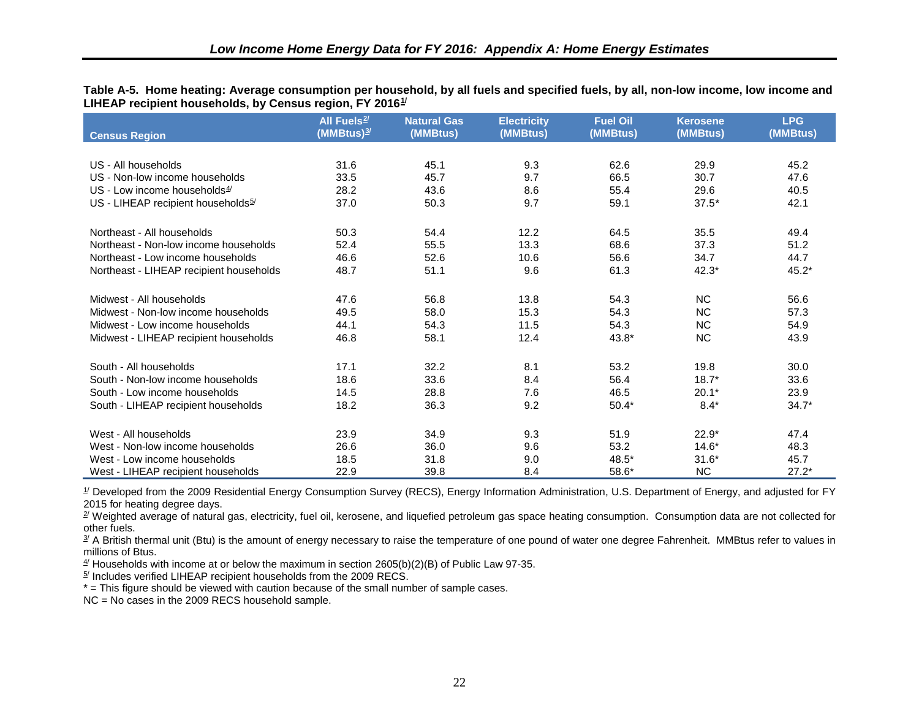<span id="page-31-0"></span>**Table A-5. Home heating: Average consumption per household, by all fuels and specified fuels, by all, non-low income, low income and LIHEAP recipient households, by Census region, FY 2016[1](#page-42-0) /** 

|                                                | All Fuels <sup>2/</sup><br>(MMBtus) <sup><u>3</u>/</sup> | <b>Natural Gas</b><br>(MMBtus) | <b>Electricity</b><br>(MMBtus) | <b>Fuel Oil</b><br>(MMBtus) | <b>Kerosene</b><br>(MMBtus) | <b>LPG</b><br>(MMBtus) |
|------------------------------------------------|----------------------------------------------------------|--------------------------------|--------------------------------|-----------------------------|-----------------------------|------------------------|
| <b>Census Region</b>                           |                                                          |                                |                                |                             |                             |                        |
| US - All households                            | 31.6                                                     | 45.1                           | 9.3                            | 62.6                        | 29.9                        | 45.2                   |
| US - Non-low income households                 | 33.5                                                     | 45.7                           | 9.7                            | 66.5                        | 30.7                        | 47.6                   |
| US - Low income households $4/$                | 28.2                                                     | 43.6                           | 8.6                            | 55.4                        | 29.6                        | 40.5                   |
|                                                |                                                          |                                |                                |                             |                             |                        |
| US - LIHEAP recipient households <sup>5/</sup> | 37.0                                                     | 50.3                           | 9.7                            | 59.1                        | $37.5*$                     | 42.1                   |
| Northeast - All households                     | 50.3                                                     | 54.4                           | 12.2                           | 64.5                        | 35.5                        | 49.4                   |
| Northeast - Non-low income households          | 52.4                                                     | 55.5                           | 13.3                           | 68.6                        | 37.3                        | 51.2                   |
| Northeast - Low income households              | 46.6                                                     | 52.6                           | 10.6                           | 56.6                        | 34.7                        | 44.7                   |
| Northeast - LIHEAP recipient households        | 48.7                                                     | 51.1                           | 9.6                            | 61.3                        | $42.3*$                     | $45.2*$                |
|                                                |                                                          |                                |                                |                             |                             |                        |
| Midwest - All households                       | 47.6                                                     | 56.8                           | 13.8                           | 54.3                        | <b>NC</b>                   | 56.6                   |
| Midwest - Non-low income households            | 49.5                                                     | 58.0                           | 15.3                           | 54.3                        | <b>NC</b>                   | 57.3                   |
| Midwest - Low income households                | 44.1                                                     | 54.3                           | 11.5                           | 54.3                        | <b>NC</b>                   | 54.9                   |
| Midwest - LIHEAP recipient households          | 46.8                                                     | 58.1                           | 12.4                           | 43.8*                       | <b>NC</b>                   | 43.9                   |
|                                                |                                                          |                                |                                |                             |                             |                        |
| South - All households                         | 17.1                                                     | 32.2                           | 8.1                            | 53.2                        | 19.8                        | 30.0                   |
| South - Non-low income households              | 18.6                                                     | 33.6                           | 8.4                            | 56.4                        | $18.7*$                     | 33.6                   |
| South - Low income households                  | 14.5                                                     | 28.8                           | 7.6                            | 46.5                        | $20.1*$                     | 23.9                   |
| South - LIHEAP recipient households            | 18.2                                                     | 36.3                           | 9.2                            | $50.4*$                     | $8.4*$                      | $34.7*$                |
|                                                |                                                          |                                |                                |                             |                             |                        |
| West - All households                          | 23.9                                                     | 34.9                           | 9.3                            | 51.9                        | $22.9*$                     | 47.4                   |
| West - Non-low income households               | 26.6                                                     | 36.0                           | 9.6                            | 53.2                        | $14.6*$                     | 48.3                   |
| West - Low income households                   | 18.5                                                     | 31.8                           | 9.0                            | 48.5*                       | $31.6*$                     | 45.7                   |
| West - LIHEAP recipient households             | 22.9                                                     | 39.8                           | 8.4                            | 58.6*                       | <b>NC</b>                   | $27.2*$                |

 $\mathcal I$  Developed from the 2009 Residential Energy Consumption Survey (RECS), Energy Information Administration, U.S. Department of Energy, and adjusted for FY 2015 for heating degree days.

<sup>2/</sup> Weighted average of natural gas, electricity, fuel oil, kerosene, and liquefied petroleum gas space heating consumption. Consumption data are not collected for other fuels.

<sup>3/</sup> A British thermal unit (Btu) is the amount of energy necessary to raise the temperature of one pound of water one degree Fahrenheit. MMBtus refer to values in millions of Btus.

 $4/$  Households with income at or below the maximum in section 2605(b)(2)(B) of Public Law 97-35.

 $5/$  Includes verified LIHEAP recipient households from the 2009 RECS.

\* = This figure should be viewed with caution because of the small number of sample cases.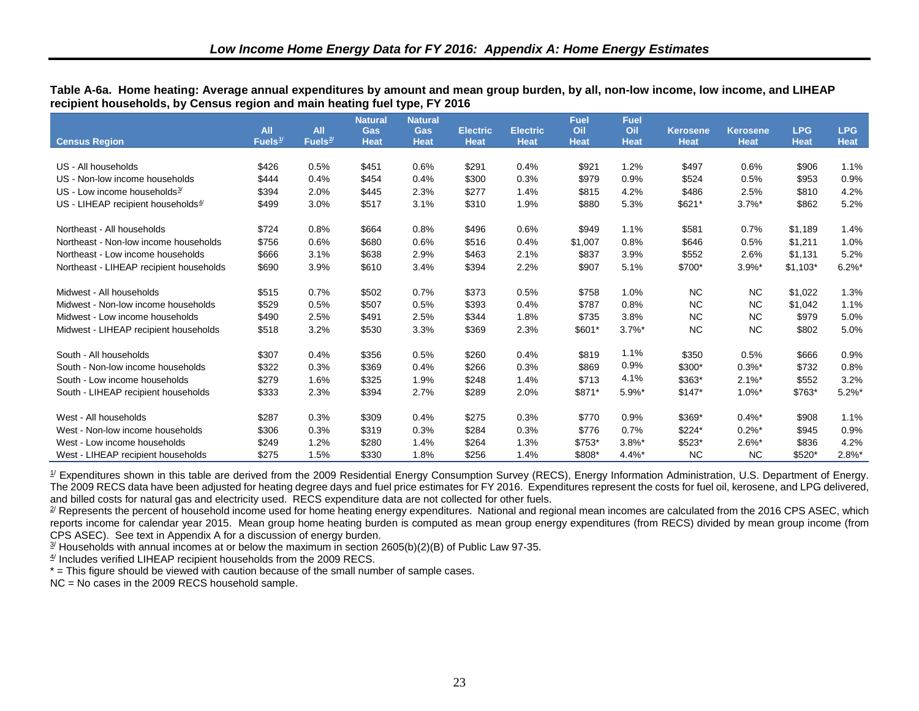<span id="page-32-0"></span>

| Table A-6a.  Home heating: Average annual expenditures by amount and mean group burden, by all, non-low income, low income, and LIHEAP |  |
|----------------------------------------------------------------------------------------------------------------------------------------|--|
| recipient households, by Census region and main heating fuel type, FY 2016                                                             |  |

|                                                               | <b>All</b> | <b>All</b> | <b>Natural</b><br><b>Gas</b> | <b>Natural</b><br><b>Gas</b> | <b>Electric</b> | <b>Electric</b> | <b>Fuel</b><br>Oil | <b>Fuel</b><br>Oil | <b>Kerosene</b> | <b>Kerosene</b>      | <b>LPG</b>  | <b>LPG</b>  |
|---------------------------------------------------------------|------------|------------|------------------------------|------------------------------|-----------------|-----------------|--------------------|--------------------|-----------------|----------------------|-------------|-------------|
| <b>Census Region</b>                                          | Fuels $1/$ | Fuels $2/$ | <b>Heat</b>                  | <b>Heat</b>                  | <b>Heat</b>     | <b>Heat</b>     | <b>Heat</b>        | <b>Heat</b>        | <b>Heat</b>     | <b>Heat</b>          | <b>Heat</b> | <b>Heat</b> |
|                                                               |            |            |                              |                              |                 |                 |                    |                    |                 |                      |             |             |
| US - All households                                           | \$426      | 0.5%       | \$451                        | 0.6%                         | \$291           | 0.4%            | \$921              | 1.2%               | \$497           | 0.6%                 | \$906       | 1.1%        |
| US - Non-low income households                                | \$444      | 0.4%       | \$454                        | 0.4%                         | \$300           | 0.3%            | \$979              | 0.9%               | \$524           | 0.5%                 | \$953       | 0.9%        |
| US - Low income households $3/2$                              | \$394      | 2.0%       | \$445                        | 2.3%                         | \$277           | 1.4%            | \$815              | 4.2%               | \$486           | 2.5%                 | \$810       | 4.2%        |
| $US$ - LIHEAP recipient households <sup><math>4/</math></sup> | \$499      | 3.0%       | \$517                        | 3.1%                         | \$310           | 1.9%            | \$880              | 5.3%               | \$621*          | $3.7\%$ *            | \$862       | 5.2%        |
| Northeast - All households                                    | \$724      | 0.8%       | \$664                        | 0.8%                         | \$496           | 0.6%            | \$949              | 1.1%               | \$581           | 0.7%                 | \$1,189     | 1.4%        |
| Northeast - Non-low income households                         | \$756      | 0.6%       | \$680                        | 0.6%                         | \$516           | 0.4%            | \$1,007            | 0.8%               | \$646           | 0.5%                 | \$1,211     | 1.0%        |
| Northeast - Low income households                             | \$666      | 3.1%       | \$638                        | 2.9%                         | \$463           | 2.1%            | \$837              | 3.9%               | \$552           | 2.6%                 | \$1,131     | 5.2%        |
| Northeast - LIHEAP recipient households                       | \$690      | 3.9%       | \$610                        | 3.4%                         | \$394           | 2.2%            | \$907              | 5.1%               | \$700*          | $3.9%$ *             | $$1,103*$   | $6.2\%$ *   |
| Midwest - All households                                      | \$515      | 0.7%       | \$502                        | 0.7%                         | \$373           | 0.5%            | \$758              | 1.0%               | <b>NC</b>       | <b>NC</b>            | \$1,022     | 1.3%        |
| Midwest - Non-low income households                           | \$529      | 0.5%       | \$507                        | 0.5%                         | \$393           | 0.4%            | \$787              | 0.8%               | <b>NC</b>       | <b>NC</b>            | \$1,042     | 1.1%        |
| Midwest - Low income households                               | \$490      | 2.5%       | \$491                        | 2.5%                         | \$344           | 1.8%            | \$735              | 3.8%               | <b>NC</b>       | <b>NC</b>            | \$979       | 5.0%        |
| Midwest - LIHEAP recipient households                         | \$518      | 3.2%       | \$530                        | 3.3%                         | \$369           | 2.3%            | \$601*             | $3.7\%$ *          | <b>NC</b>       | <b>NC</b>            | \$802       | 5.0%        |
| South - All households                                        | \$307      | 0.4%       | \$356                        | 0.5%                         | \$260           | 0.4%            | \$819              | 1.1%               | \$350           | 0.5%                 | \$666       | 0.9%        |
| South - Non-low income households                             | \$322      | 0.3%       | \$369                        | 0.4%                         | \$266           | 0.3%            | \$869              | 0.9%               | \$300*          | $0.3\%$ *            | \$732       | 0.8%        |
| South - Low income households                                 | \$279      | 1.6%       | \$325                        | 1.9%                         | \$248           | 1.4%            | \$713              | 4.1%               | \$363*          | $2.1\%$ *            | \$552       | 3.2%        |
| South - LIHEAP recipient households                           | \$333      | 2.3%       | \$394                        | 2.7%                         | \$289           | 2.0%            | \$871*             | 5.9%*              | $$147*$         | $1.0\%$ *            | \$763*      | $5.2\%$ *   |
| West - All households                                         | \$287      | 0.3%       | \$309                        | 0.4%                         | \$275           | 0.3%            | \$770              | 0.9%               | \$369*          | $0.4\%$ *            | \$908       | 1.1%        |
| West - Non-low income households                              | \$306      | 0.3%       | \$319                        | 0.3%                         | \$284           | 0.3%            | \$776              | 0.7%               | \$224*          | $0.2\%$ <sup>*</sup> | \$945       | 0.9%        |
| West - Low income households                                  | \$249      | 1.2%       | \$280                        | 1.4%                         | \$264           | 1.3%            | \$753*             | $3.8\%$ *          | \$523*          | $2.6\%$ *            | \$836       | 4.2%        |
| West - LIHEAP recipient households                            | \$275      | 1.5%       | \$330                        | 1.8%                         | \$256           | 1.4%            | \$808*             | $4.4\%$ *          | <b>NC</b>       | <b>NC</b>            | $$520*$     | $2.8\%$ *   |

 $1/$  Expenditures shown in this table are derived from the 2009 Residential Energy Consumption Survey (RECS), Energy Information Administration, U.S. Department of Energy. The 2009 RECS data have been adjusted for heating degree days and fuel price estimates for FY 2016. Expenditures represent the costs for fuel oil, kerosene, and LPG delivered, and billed costs for natural gas and electricity used. RECS expenditure data are not collected for other fuels.

<sup>2/</sup> Represents the percent of household income used for home heating energy expenditures. National and regional mean incomes are calculated from the 2016 CPS ASEC, which reports income for calendar year 2015. Mean group home heating burden is computed as mean group energy expenditures (from RECS) divided by mean group income (from CPS ASEC). See text in Appendix A for a discussion of energy burden.

 $\frac{3}{2}$  Households with annual incomes at or below the maximum in section 2605(b)(2)(B) of Public Law 97-35.

 $4/$  Includes verified LIHEAP recipient households from the 2009 RECS.

\* = This figure should be viewed with caution because of the small number of sample cases.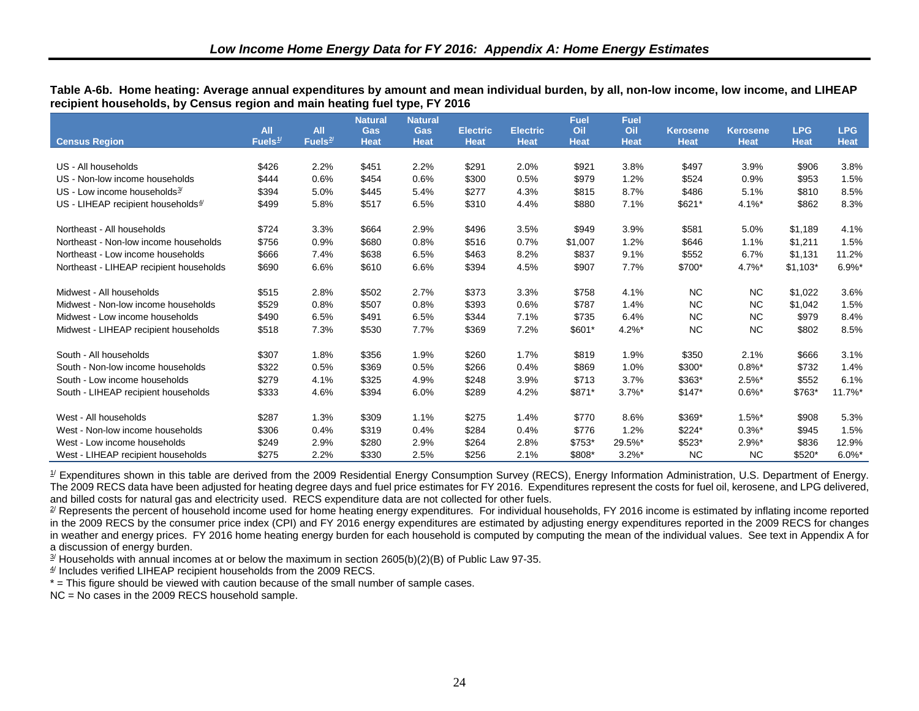|                                         | <b>All</b> | <b>All</b> | <b>Natural</b><br>Gas | <b>Natural</b><br><b>Gas</b> | <b>Electric</b> | <b>Electric</b> | <b>Fuel</b><br>Oil | <b>Fuel</b><br>Oil | <b>Kerosene</b> | <b>Kerosene</b> | <b>LPG</b>  | <b>LPG</b>            |
|-----------------------------------------|------------|------------|-----------------------|------------------------------|-----------------|-----------------|--------------------|--------------------|-----------------|-----------------|-------------|-----------------------|
| <b>Census Region</b>                    | Fuels $1/$ | Fuels $2/$ | <b>Heat</b>           | <b>Heat</b>                  | <b>Heat</b>     | <b>Heat</b>     | <b>Heat</b>        | <b>Heat</b>        | <b>Heat</b>     | <b>Heat</b>     | <b>Heat</b> | <b>Heat</b>           |
|                                         |            |            |                       |                              |                 |                 |                    |                    |                 |                 |             |                       |
| US - All households                     | \$426      | 2.2%       | \$451                 | 2.2%                         | \$291           | 2.0%            | \$921              | 3.8%               | \$497           | 3.9%            | \$906       | 3.8%                  |
| US - Non-low income households          | \$444      | 0.6%       | \$454                 | 0.6%                         | \$300           | 0.5%            | \$979              | 1.2%               | \$524           | 0.9%            | \$953       | 1.5%                  |
| US - Low income households $3/$         | \$394      | 5.0%       | \$445                 | 5.4%                         | \$277           | 4.3%            | \$815              | 8.7%               | \$486           | 5.1%            | \$810       | 8.5%                  |
| US - LIHEAP recipient households $4/$   | \$499      | 5.8%       | \$517                 | 6.5%                         | \$310           | 4.4%            | \$880              | 7.1%               | \$621*          | $4.1\%$ *       | \$862       | 8.3%                  |
| Northeast - All households              | \$724      | 3.3%       | \$664                 | 2.9%                         | \$496           | 3.5%            | \$949              | 3.9%               | \$581           | 5.0%            | \$1,189     | 4.1%                  |
| Northeast - Non-low income households   | \$756      | 0.9%       | \$680                 | 0.8%                         | \$516           | 0.7%            | \$1,007            | 1.2%               | \$646           | 1.1%            | \$1,211     | 1.5%                  |
| Northeast - Low income households       | \$666      | 7.4%       | \$638                 | 6.5%                         | \$463           | 8.2%            | \$837              | 9.1%               | \$552           | 6.7%            | \$1,131     | 11.2%                 |
| Northeast - LIHEAP recipient households | \$690      | 6.6%       | \$610                 | 6.6%                         | \$394           | 4.5%            | \$907              | 7.7%               | \$700*          | $4.7\%$ *       | $$1,103*$   | $6.9%$ *              |
| Midwest - All households                | \$515      | 2.8%       | \$502                 | 2.7%                         | \$373           | 3.3%            | \$758              | 4.1%               | <b>NC</b>       | <b>NC</b>       | \$1,022     | 3.6%                  |
| Midwest - Non-low income households     | \$529      | 0.8%       | \$507                 | 0.8%                         | \$393           | 0.6%            | \$787              | 1.4%               | <b>NC</b>       | <b>NC</b>       | \$1,042     | 1.5%                  |
| Midwest - Low income households         | \$490      | 6.5%       | \$491                 | 6.5%                         | \$344           | 7.1%            | \$735              | 6.4%               | <b>NC</b>       | <b>NC</b>       | \$979       | 8.4%                  |
| Midwest - LIHEAP recipient households   | \$518      | 7.3%       | \$530                 | 7.7%                         | \$369           | 7.2%            | \$601*             | $4.2\%$ *          | <b>NC</b>       | <b>NC</b>       | \$802       | 8.5%                  |
| South - All households                  | \$307      | 1.8%       | \$356                 | 1.9%                         | \$260           | 1.7%            | \$819              | 1.9%               | \$350           | 2.1%            | \$666       | 3.1%                  |
| South - Non-low income households       | \$322      | 0.5%       | \$369                 | 0.5%                         | \$266           | 0.4%            | \$869              | 1.0%               | \$300*          | $0.8\%$ *       | \$732       | 1.4%                  |
| South - Low income households           | \$279      | 4.1%       | \$325                 | 4.9%                         | \$248           | 3.9%            | \$713              | 3.7%               | \$363*          | $2.5\%$ *       | \$552       | 6.1%                  |
| South - LIHEAP recipient households     | \$333      | 4.6%       | \$394                 | 6.0%                         | \$289           | 4.2%            | \$871*             | $3.7\%$ *          | $$147*$         | $0.6\%$ *       | $$763*$     | $11.7\%$ <sup>*</sup> |
| West - All households                   | \$287      | 1.3%       | \$309                 | 1.1%                         | \$275           | 1.4%            | \$770              | 8.6%               | \$369*          | $1.5\%$ *       | \$908       | 5.3%                  |
| West - Non-low income households        | \$306      | 0.4%       | \$319                 | 0.4%                         | \$284           | 0.4%            | \$776              | 1.2%               | \$224*          | $0.3\%$ *       | \$945       | 1.5%                  |
| West - Low income households            | \$249      | 2.9%       | \$280                 | 2.9%                         | \$264           | 2.8%            | $$753*$            | 29.5%*             | \$523*          | $2.9\%$ *       | \$836       | 12.9%                 |
| West - LIHEAP recipient households      | \$275      | 2.2%       | \$330                 | 2.5%                         | \$256           | 2.1%            | \$808*             | $3.2\%$ *          | <b>NC</b>       | <b>NC</b>       | \$520*      | $6.0\%$ *             |

<span id="page-33-0"></span>**Table A-6b. Home heating: Average annual expenditures by amount and mean individual burden, by all, non-low income, low income, and LIHEAP recipient households, by Census region and main heating fuel type, FY 2016** 

 $\mathcal I$  Expenditures shown in this table are derived from the 2009 Residential Energy Consumption Survey (RECS), Energy Information Administration, U.S. Department of Energy. The 2009 RECS data have been adjusted for heating degree days and fuel price estimates for FY 2016. Expenditures represent the costs for fuel oil, kerosene, and LPG delivered, and billed costs for natural gas and electricity used. RECS expenditure data are not collected for other fuels.

<sup>2/</sup> Represents the percent of household income used for home heating energy expenditures. For individual households, FY 2016 income is estimated by inflating income reported in the 2009 RECS by the consumer price index (CPI) and FY 2016 energy expenditures are estimated by adjusting energy expenditures reported in the 2009 RECS for changes in weather and energy prices. FY 2016 home heating energy burden for each household is computed by computing the mean of the individual values. See text in Appendix A for a discussion of energy burden.

 $\frac{3}{2}$  Households with annual incomes at or below the maximum in section 2605(b)(2)(B) of Public Law 97-35.

 $4/$  Includes verified LIHEAP recipient households from the 2009 RECS.

\* = This figure should be viewed with caution because of the small number of sample cases.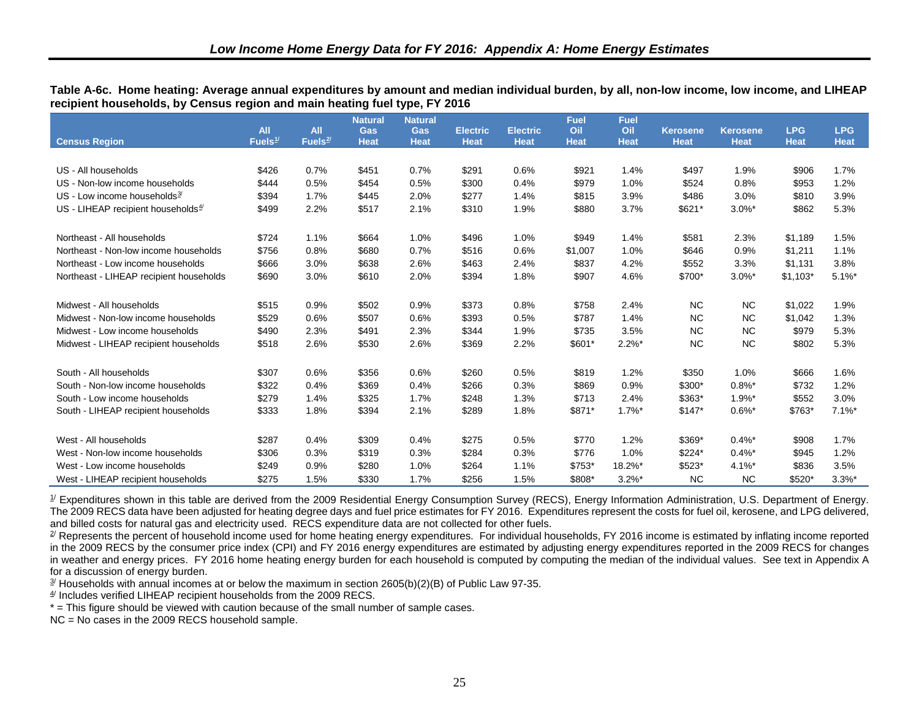|                                          |                                   |                          | <b>Natural</b>     | <b>Natural</b>            |                                |                                | Fuel               | <b>Fuel</b>        |                                |                                |                           |                           |
|------------------------------------------|-----------------------------------|--------------------------|--------------------|---------------------------|--------------------------------|--------------------------------|--------------------|--------------------|--------------------------------|--------------------------------|---------------------------|---------------------------|
| <b>Census Region</b>                     | <b>All</b><br>Fuels <sup>1/</sup> | <b>All</b><br>Fuels $2/$ | Gas<br><b>Heat</b> | <b>Gas</b><br><b>Heat</b> | <b>Electric</b><br><b>Heat</b> | <b>Electric</b><br><b>Heat</b> | Oil<br><b>Heat</b> | Oil<br><b>Heat</b> | <b>Kerosene</b><br><b>Heat</b> | <b>Kerosene</b><br><b>Heat</b> | <b>LPG</b><br><b>Heat</b> | <b>LPG</b><br><b>Heat</b> |
|                                          |                                   |                          |                    |                           |                                |                                |                    |                    |                                |                                |                           |                           |
| US - All households                      | \$426                             | 0.7%                     | \$451              | 0.7%                      | \$291                          | 0.6%                           | \$921              | 1.4%               | \$497                          | 1.9%                           | \$906                     | 1.7%                      |
| US - Non-low income households           | \$444                             | 0.5%                     | \$454              | 0.5%                      | \$300                          | 0.4%                           | \$979              | 1.0%               | \$524                          | 0.8%                           | \$953                     | 1.2%                      |
| US - Low income households $\frac{3}{2}$ | \$394                             | 1.7%                     | \$445              | 2.0%                      | \$277                          | 1.4%                           | \$815              | 3.9%               | \$486                          | 3.0%                           | \$810                     | 3.9%                      |
| US - LIHEAP recipient households $4/$    | \$499                             | 2.2%                     | \$517              | 2.1%                      | \$310                          | 1.9%                           | \$880              | 3.7%               | \$621*                         | $3.0\%$ *                      | \$862                     | 5.3%                      |
| Northeast - All households               | \$724                             | 1.1%                     | \$664              | 1.0%                      | \$496                          | 1.0%                           | \$949              | 1.4%               | \$581                          | 2.3%                           | \$1,189                   | 1.5%                      |
| Northeast - Non-low income households    | \$756                             | 0.8%                     | \$680              | 0.7%                      | \$516                          | 0.6%                           | \$1,007            | 1.0%               | \$646                          | 0.9%                           | \$1,211                   | 1.1%                      |
| Northeast - Low income households        | \$666                             | 3.0%                     | \$638              | 2.6%                      | \$463                          | 2.4%                           | \$837              | 4.2%               | \$552                          | 3.3%                           | \$1,131                   | 3.8%                      |
| Northeast - LIHEAP recipient households  | \$690                             | 3.0%                     | \$610              | 2.0%                      | \$394                          | 1.8%                           | \$907              | 4.6%               | \$700*                         | $3.0\%$ *                      | $$1,103*$                 | $5.1\%$ *                 |
| Midwest - All households                 | \$515                             | 0.9%                     | \$502              | 0.9%                      | \$373                          | 0.8%                           | \$758              | 2.4%               | <b>NC</b>                      | <b>NC</b>                      | \$1,022                   | 1.9%                      |
| Midwest - Non-low income households      | \$529                             | 0.6%                     | \$507              | 0.6%                      | \$393                          | 0.5%                           | \$787              | 1.4%               | <b>NC</b>                      | <b>NC</b>                      | \$1,042                   | 1.3%                      |
| Midwest - Low income households          | \$490                             | 2.3%                     | \$491              | 2.3%                      | \$344                          | 1.9%                           | \$735              | 3.5%               | <b>NC</b>                      | <b>NC</b>                      | \$979                     | 5.3%                      |
| Midwest - LIHEAP recipient households    | \$518                             | 2.6%                     | \$530              | 2.6%                      | \$369                          | 2.2%                           | \$601*             | $2.2\%$ *          | <b>NC</b>                      | <b>NC</b>                      | \$802                     | 5.3%                      |
| South - All households                   | \$307                             | 0.6%                     | \$356              | 0.6%                      | \$260                          | 0.5%                           | \$819              | 1.2%               | \$350                          | 1.0%                           | \$666                     | 1.6%                      |
| South - Non-low income households        | \$322                             | 0.4%                     | \$369              | 0.4%                      | \$266                          | 0.3%                           | \$869              | 0.9%               | \$300*                         | $0.8\%$ *                      | \$732                     | 1.2%                      |
| South - Low income households            | \$279                             | 1.4%                     | \$325              | 1.7%                      | \$248                          | 1.3%                           | \$713              | 2.4%               | \$363*                         | $1.9%$ *                       | \$552                     | 3.0%                      |
| South - LIHEAP recipient households      | \$333                             | 1.8%                     | \$394              | 2.1%                      | \$289                          | 1.8%                           | \$871*             | $1.7\%$ *          | $$147*$                        | $0.6\%$ *                      | \$763*                    | $7.1\%$ *                 |
| West - All households                    | \$287                             | 0.4%                     | \$309              | 0.4%                      | \$275                          | 0.5%                           | \$770              | 1.2%               | \$369*                         | $0.4\%$ *                      | \$908                     | 1.7%                      |
| West - Non-low income households         | \$306                             | 0.3%                     | \$319              | 0.3%                      | \$284                          | 0.3%                           | \$776              | 1.0%               | \$224*                         | $0.4\%$ *                      | \$945                     | 1.2%                      |
| West - Low income households             | \$249                             | 0.9%                     | \$280              | 1.0%                      | \$264                          | 1.1%                           | \$753*             | 18.2%*             | \$523*                         | $4.1\%$ *                      | \$836                     | 3.5%                      |
| West - LIHEAP recipient households       | \$275                             | 1.5%                     | \$330              | 1.7%                      | \$256                          | 1.5%                           | \$808*             | $3.2\%$ *          | <b>NC</b>                      | <b>NC</b>                      | \$520*                    | $3.3%$ *                  |

<span id="page-34-6"></span><span id="page-34-5"></span><span id="page-34-4"></span><span id="page-34-3"></span><span id="page-34-2"></span><span id="page-34-1"></span><span id="page-34-0"></span>**Table A-6c. Home heating: Average annual expenditures by amount and median individual burden, by all, non-low income, low income, and LIHEAP recipient households, by Census region and main heating fuel type, FY 2016** 

 $1/$  Expenditures shown in this table are derived from the 2009 Residential Energy Consumption Survey (RECS), Energy Information Administration, U.S. Department of Energy. The 2009 RECS data have been adjusted for heating degree days and fuel price estimates for FY 2016. Expenditures represent the costs for fuel oil, kerosene, and LPG delivered, and billed costs for natural gas and electricity used. RECS expenditure data are not collected for other fuels.

<sup>2/</sup> Represents the percent of household income used for home heating energy expenditures. For individual households, FY 2016 income is estimated by inflating income reported in the 2009 RECS by the consumer price index (CPI) and FY 2016 energy expenditures are estimated by adjusting energy expenditures reported in the 2009 RECS for changes in weather and energy prices. FY 2016 home heating energy burden for each household is computed by computing the median of the individual values. See text in Appendix A for a discussion of energy burden.

 $\frac{3}{2}$  Households with annual incomes at or below the maximum in section 2605(b)(2)(B) of Public Law 97-35.

 $4/$  Includes verified LIHEAP recipient households from the 2009 RECS.

\* = This figure should be viewed with caution because of the small number of sample cases.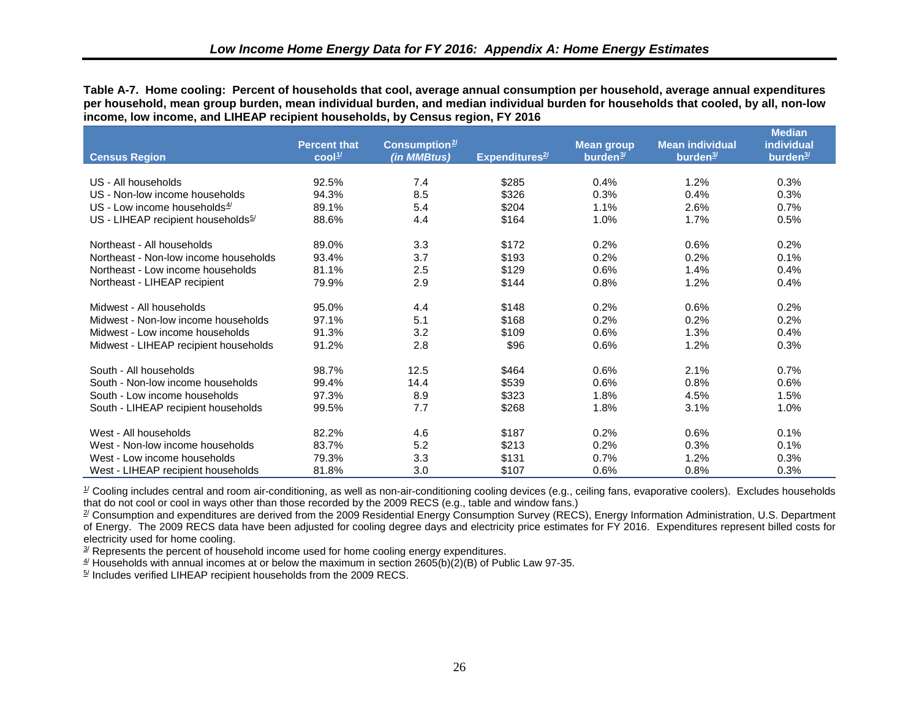<span id="page-35-7"></span><span id="page-35-6"></span><span id="page-35-5"></span><span id="page-35-4"></span><span id="page-35-3"></span><span id="page-35-0"></span>**Table A-7. Home cooling: Percent of households that cool, average annual consumption per household, average annual expenditures per household, mean group burden, mean individual burden, and median individual burden for households that cooled, by all, non-low income, low income, and LIHEAP recipient households, by Census region, FY 2016** 

<span id="page-35-2"></span><span id="page-35-1"></span>

|                                                | <b>Percent that</b>                    | Consumption <sup>2/</sup> |                   | <b>Mean group</b>    | <b>Mean individual</b> | <b>Median</b><br>individual |
|------------------------------------------------|----------------------------------------|---------------------------|-------------------|----------------------|------------------------|-----------------------------|
| <b>Census Region</b>                           | $\overline{\text{cool}}^{\frac{1}{2}}$ | (in MMBtus)               | Expenditures $2/$ | burden <sup>3/</sup> | burden <sup>3/</sup>   | burden <sup>3/</sup>        |
| US - All households                            | 92.5%                                  | 7.4                       | \$285             | 0.4%                 | 1.2%                   | 0.3%                        |
| US - Non-low income households                 | 94.3%                                  | 8.5                       | \$326             | 0.3%                 | 0.4%                   | 0.3%                        |
| US - Low income households $4/$                | 89.1%                                  | 5.4                       | \$204             | 1.1%                 | 2.6%                   | 0.7%                        |
| US - LIHEAP recipient households <sup>5/</sup> | 88.6%                                  | 4.4                       | \$164             | 1.0%                 | 1.7%                   | 0.5%                        |
| Northeast - All households                     | 89.0%                                  | 3.3                       | \$172             | 0.2%                 | 0.6%                   | 0.2%                        |
| Northeast - Non-low income households          | 93.4%                                  | 3.7                       | \$193             | 0.2%                 | 0.2%                   | 0.1%                        |
| Northeast - Low income households              | 81.1%                                  | 2.5                       | \$129             | 0.6%                 | 1.4%                   | 0.4%                        |
| Northeast - LIHEAP recipient                   | 79.9%                                  | 2.9                       | \$144             | 0.8%                 | 1.2%                   | 0.4%                        |
| Midwest - All households                       | 95.0%                                  | 4.4                       | \$148             | 0.2%                 | 0.6%                   | 0.2%                        |
| Midwest - Non-low income households            | 97.1%                                  | 5.1                       | \$168             | 0.2%                 | 0.2%                   | 0.2%                        |
| Midwest - Low income households                | 91.3%                                  | 3.2                       | \$109             | 0.6%                 | 1.3%                   | 0.4%                        |
| Midwest - LIHEAP recipient households          | 91.2%                                  | 2.8                       | \$96              | 0.6%                 | 1.2%                   | 0.3%                        |
| South - All households                         | 98.7%                                  | 12.5                      | \$464             | 0.6%                 | 2.1%                   | 0.7%                        |
| South - Non-low income households              | 99.4%                                  | 14.4                      | \$539             | 0.6%                 | 0.8%                   | 0.6%                        |
| South - Low income households                  | 97.3%                                  | 8.9                       | \$323             | 1.8%                 | 4.5%                   | 1.5%                        |
| South - LIHEAP recipient households            | 99.5%                                  | 7.7                       | \$268             | 1.8%                 | 3.1%                   | 1.0%                        |
| West - All households                          | 82.2%                                  | 4.6                       | \$187             | 0.2%                 | 0.6%                   | 0.1%                        |
| West - Non-low income households               | 83.7%                                  | 5.2                       | \$213             | 0.2%                 | 0.3%                   | 0.1%                        |
| West - Low income households                   | 79.3%                                  | 3.3                       | \$131             | 0.7%                 | 1.2%                   | 0.3%                        |
| West - LIHEAP recipient households             | 81.8%                                  | 3.0                       | \$107             | 0.6%                 | 0.8%                   | 0.3%                        |

 $\mathcal I$  Cooling includes central and room air-conditioning, as well as non-air-conditioning cooling devices (e.g., ceiling fans, evaporative coolers). Excludes households that do not cool or cool in ways other than those recorded by the 2009 RECS (e.g., table and window fans.)

 $\mathbb{Z}$  Consumption and expenditures are derived from the 2009 Residential Energy Consumption Survey (RECS), Energy Information Administration, U.S. Department of Energy. The 2009 RECS data have been adjusted for cooling degree days and electricity price estimates for FY 2016. Expenditures represent billed costs for electricity used for home cooling.

 $3/$  Represents the percent of household income used for home cooling energy expenditures.

 $4/$  Households with annual incomes at or below the maximum in section 2605(b)(2)(B) of Public Law 97-35.

 $5/$  Includes verified LIHEAP recipient households from the 2009 RECS.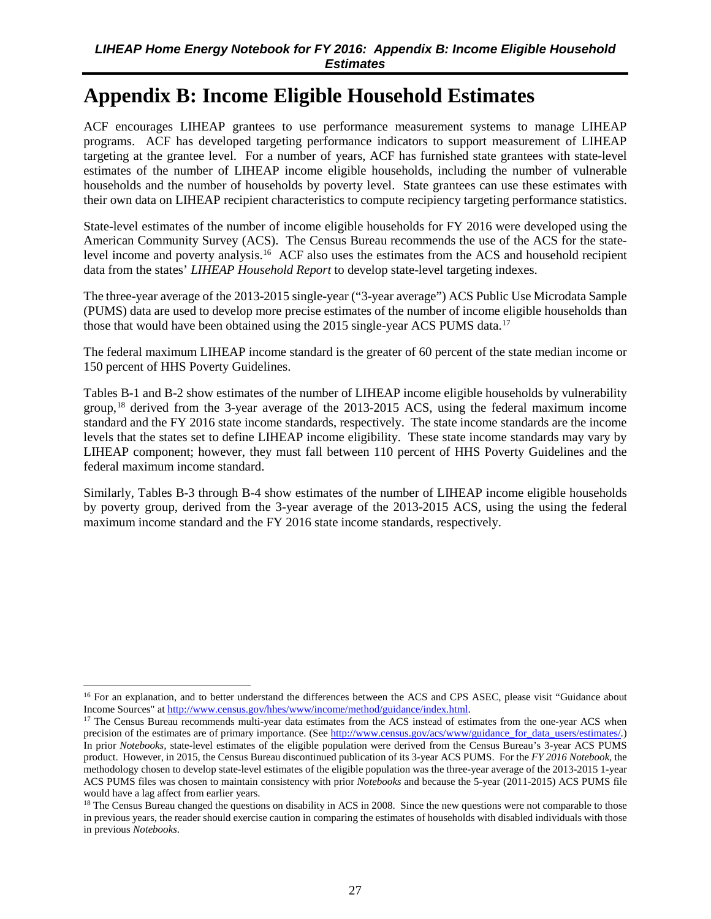## <span id="page-36-6"></span><span id="page-36-5"></span><span id="page-36-4"></span><span id="page-36-3"></span><span id="page-36-2"></span><span id="page-36-1"></span><span id="page-36-0"></span>**Appendix B: Income Eligible Household Estimates**

ACF encourages LIHEAP grantees to use performance measurement systems to manage LIHEAP programs. ACF has developed targeting performance indicators to support measurement of LIHEAP targeting at the grantee level. For a number of years, ACF has furnished state grantees with state-level estimates of the number of LIHEAP income eligible households, including the number of vulnerable households and the number of households by poverty level. State grantees can use these estimates with their own data on LIHEAP recipient characteristics to compute recipiency targeting performance statistics.

State-level estimates of the number of income eligible households for FY 2016 were developed using the American Community Survey (ACS). The Census Bureau recommends the use of the ACS for the state-level income and poverty analysis.<sup>[16](#page-36-7)</sup> ACF also uses the estimates from the ACS and household recipient data from the states' *LIHEAP Household Report* to develop state-level targeting indexes.

The three-year average of the 2013-2015 single-year ("3-year average") ACS Public Use Microdata Sample (PUMS) data are used to develop more precise estimates of the number of income eligible households than those that would have been obtained using the 2015 single-year ACS PUMS data.<sup>[17](#page-36-8)</sup>

The federal maximum LIHEAP income standard is the greater of 60 percent of the state median income or 150 percent of HHS Poverty Guidelines.

Tables B-1 and B-2 show estimates of the number of LIHEAP income eligible households by vulnerability group,<sup>[18](#page-36-9)</sup> derived from the 3-year average of the 2013-2015 ACS, using the federal maximum income standard and the FY 2016 state income standards, respectively. The state income standards are the income levels that the states set to define LIHEAP income eligibility. These state income standards may vary by LIHEAP component; however, they must fall between 110 percent of HHS Poverty Guidelines and the federal maximum income standard.

Similarly, Tables B-3 through B-4 show estimates of the number of LIHEAP income eligible households by poverty group, derived from the 3-year average of the 2013-2015 ACS, using the using the federal maximum income standard and the FY 2016 state income standards, respectively.

 $\overline{a}$ 

<span id="page-36-7"></span><sup>&</sup>lt;sup>16</sup> For an explanation, and to better understand the differences between the ACS and CPS ASEC, please visit "Guidance about Income Sources" a[t http://www.census.gov/hhes/www/income/method/guidance/index.html.](http://www.census.gov/hhes/www/income/method/guidance/index.html)

<span id="page-36-8"></span><sup>&</sup>lt;sup>17</sup> The Census Bureau recommends multi-year data estimates from the ACS instead of estimates from the one-year ACS when precision of the estimates are of primary importance. (See [http://www.census.gov/acs/www/guidance\\_for\\_data\\_users/estimates/.\)](http://www.census.gov/acs/www/guidance_for_data_users/estimates/) In prior *Notebooks,* state-level estimates of the eligible population were derived from the Census Bureau's 3-year ACS PUMS product. However, in 2015, the Census Bureau discontinued publication of its 3-year ACS PUMS. For the *FY 2016 Notebook*, the methodology chosen to develop state-level estimates of the eligible population was the three-year average of the 2013-2015 1-year ACS PUMS files was chosen to maintain consistency with prior *Notebooks* and because the 5-year (2011-2015) ACS PUMS file would have a lag affect from earlier years.

<span id="page-36-9"></span><sup>&</sup>lt;sup>18</sup> The Census Bureau changed the questions on disability in ACS in 2008. Since the new questions were not comparable to those in previous years, the reader should exercise caution in comparing the estimates of households with disabled individuals with those in previous *Notebooks*.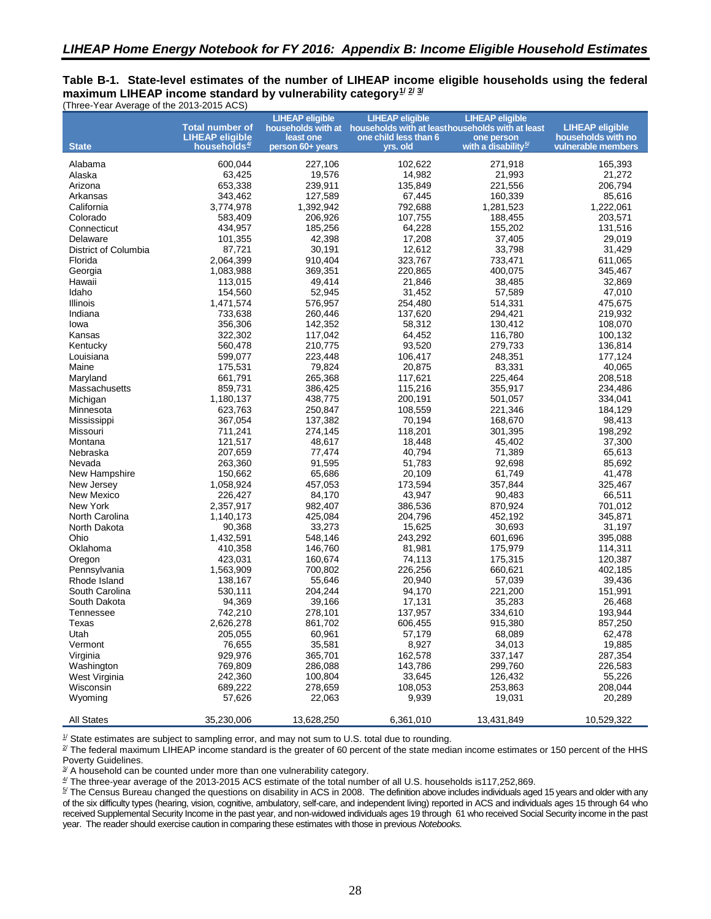#### <span id="page-37-0"></span>**Table B-1. State-level estimates of the number of LIHEAP income eligible households using the federal** maximum LIHEAP income standard by vulnerability category $\frac{1}{2}$  $\frac{1}{2}$  $\frac{1}{2}$ (Three-Year Average of the 2013-2015 ACS)

|                             | <b>Total number of</b>   | <b>LIHEAP eligible</b> | <b>LIHEAP eligible</b><br>households with at households with at leasthouseholds with at least | <b>LIHEAP eligible</b>          | <b>LIHEAP eligible</b> |
|-----------------------------|--------------------------|------------------------|-----------------------------------------------------------------------------------------------|---------------------------------|------------------------|
|                             | <b>LIHEAP eligible</b>   | least one              | one child less than 6                                                                         | one person                      | households with no     |
| <b>State</b>                | households <sup>4/</sup> | person 60+ years       | yrs. old                                                                                      | with a disability <sup>5/</sup> | vulnerable members     |
|                             |                          |                        |                                                                                               |                                 |                        |
| Alabama                     | 600,044                  | 227,106                | 102,622                                                                                       | 271,918                         | 165,393                |
| Alaska                      | 63,425                   | 19,576<br>239,911      | 14,982                                                                                        | 21,993<br>221,556               | 21,272                 |
| Arizona                     | 653,338                  |                        | 135,849                                                                                       |                                 | 206,794                |
| Arkansas<br>California      | 343,462<br>3,774,978     | 127,589                | 67,445                                                                                        | 160,339                         | 85,616                 |
| Colorado                    | 583,409                  | 1,392,942<br>206,926   | 792,688<br>107,755                                                                            | 1,281,523<br>188,455            | 1,222,061<br>203,571   |
| Connecticut                 | 434,957                  | 185,256                | 64,228                                                                                        | 155,202                         | 131,516                |
| Delaware                    | 101,355                  | 42,398                 | 17,208                                                                                        | 37,405                          | 29,019                 |
| <b>District of Columbia</b> | 87,721                   | 30,191                 | 12,612                                                                                        | 33,798                          | 31,429                 |
| Florida                     | 2,064,399                | 910,404                | 323,767                                                                                       | 733,471                         | 611,065                |
| Georgia                     | 1,083,988                | 369,351                | 220,865                                                                                       | 400,075                         | 345,467                |
| Hawaii                      | 113,015                  | 49,414                 | 21,846                                                                                        | 38,485                          | 32,869                 |
| Idaho                       | 154,560                  | 52,945                 | 31,452                                                                                        | 57,589                          | 47,010                 |
| Illinois                    | 1,471,574                | 576,957                | 254,480                                                                                       | 514,331                         | 475,675                |
| Indiana                     | 733,638                  | 260,446                | 137,620                                                                                       | 294,421                         | 219,932                |
| lowa                        | 356,306                  | 142,352                | 58,312                                                                                        | 130,412                         | 108,070                |
| Kansas                      | 322,302                  | 117,042                | 64,452                                                                                        | 116,780                         | 100,132                |
| Kentucky                    | 560,478                  | 210,775                | 93,520                                                                                        | 279,733                         | 136,814                |
| Louisiana                   | 599,077                  | 223,448                | 106,417                                                                                       | 248,351                         | 177,124                |
| Maine                       | 175,531                  | 79,824                 | 20,875                                                                                        | 83,331                          | 40,065                 |
| Maryland                    | 661.791                  | 265,368                | 117,621                                                                                       | 225,464                         | 208,518                |
| Massachusetts               | 859,731                  | 386,425                | 115,216                                                                                       | 355,917                         | 234,486                |
| Michigan                    | 1,180,137                | 438,775                | 200,191                                                                                       | 501,057                         | 334,041                |
| Minnesota                   | 623,763                  | 250,847                | 108,559                                                                                       | 221,346                         | 184,129                |
| Mississippi                 | 367,054                  | 137,382                | 70,194                                                                                        | 168,670                         | 98,413                 |
| Missouri                    | 711,241                  | 274,145                | 118,201                                                                                       | 301,395                         | 198,292                |
| Montana                     | 121,517                  | 48,617                 | 18,448                                                                                        | 45,402                          | 37,300                 |
| Nebraska                    | 207,659                  | 77,474                 | 40,794                                                                                        | 71,389                          | 65,613                 |
| Nevada                      | 263,360                  | 91,595                 | 51,783                                                                                        | 92,698                          | 85,692                 |
| New Hampshire               | 150,662                  | 65,686                 | 20,109                                                                                        | 61,749                          | 41,478                 |
| New Jersey                  | 1,058,924                | 457,053                | 173,594                                                                                       | 357,844                         | 325,467                |
| New Mexico                  | 226,427                  | 84,170                 | 43,947                                                                                        | 90,483                          | 66,511                 |
| New York                    | 2,357,917                | 982,407                | 386,536                                                                                       | 870,924                         | 701,012                |
| North Carolina              | 1,140,173                | 425,084                | 204,796                                                                                       | 452,192                         | 345,871                |
| North Dakota                | 90,368                   | 33,273                 | 15,625                                                                                        | 30,693                          | 31,197                 |
| Ohio                        | 1,432,591                | 548,146                | 243,292                                                                                       | 601,696                         | 395,088                |
| Oklahoma                    | 410,358                  | 146,760                | 81,981                                                                                        | 175,979                         | 114,311                |
| Oregon                      | 423,031                  | 160,674                | 74,113                                                                                        | 175,315                         | 120,387                |
| Pennsylvania                | 1,563,909                | 700,802                | 226,256                                                                                       | 660,621                         | 402,185                |
| Rhode Island                | 138.167                  | 55,646                 | 20,940                                                                                        | 57,039                          | 39,436                 |
| South Carolina              | 530,111                  | 204,244                | 94,170                                                                                        | 221,200                         | 151,991                |
| South Dakota                | 94,369                   | 39,166                 | 17,131                                                                                        | 35,283                          | 26,468                 |
| Tennessee                   | 742,210                  | 278,101                | 137,957                                                                                       | 334,610                         | 193,944                |
| Texas                       | 2,626,278                | 861,702                | 606,455                                                                                       | 915,380                         | 857,250                |
| Utah                        | 205,055                  | 60,961                 | 57,179                                                                                        | 68,089                          | 62,478                 |
| Vermont                     | 76,655                   | 35,581                 | 8,927                                                                                         | 34,013                          | 19,885                 |
| Virginia                    | 929,976                  | 365,701                | 162,578                                                                                       | 337,147                         | 287,354                |
| Washington                  | 769,809                  | 286,088                | 143,786                                                                                       | 299,760                         | 226,583                |
| West Virginia               | 242,360                  | 100.804                | 33,645                                                                                        | 126,432                         | 55,226                 |
| Wisconsin                   | 689,222                  | 278,659                | 108,053                                                                                       | 253,863                         | 208,044                |
| Wyoming                     | 57,626                   | 22,063                 | 9,939                                                                                         | 19,031                          | 20,289                 |
| <b>All States</b>           | 35,230,006               | 13,628,250             | 6,361,010                                                                                     | 13,431,849                      | 10,529,322             |

<span id="page-37-1"></span> $1/$  State estimates are subject to sampling error, and may not sum to U.S. total due to rounding.

<span id="page-37-2"></span><sup>2/</sup> The federal maximum LIHEAP income standard is the greater of 60 percent of the state median income estimates or 150 percent of the HHS Poverty Guidelines.

<span id="page-37-3"></span> $3/$  A household can be counted under more than one vulnerability category.

<span id="page-37-4"></span>4/ The three-year average of the 2013-2015 ACS estimate of the total number of all U.S. households is117,252,869.

<span id="page-37-5"></span><sup>5/</sup> The Census Bureau changed the questions on disability in ACS in 2008. The definition above includes individuals aged 15 years and older with any of the six difficulty types (hearing, vision, cognitive, ambulatory, self-care, and independent living) reported in ACS and individuals ages 15 through 64 who received Supplemental Security Income in the past year, and non-widowed individuals ages 19 through 61 who received Social Security income in the past year. The reader should exercise caution in comparing these estimates with those in previous *Notebooks.*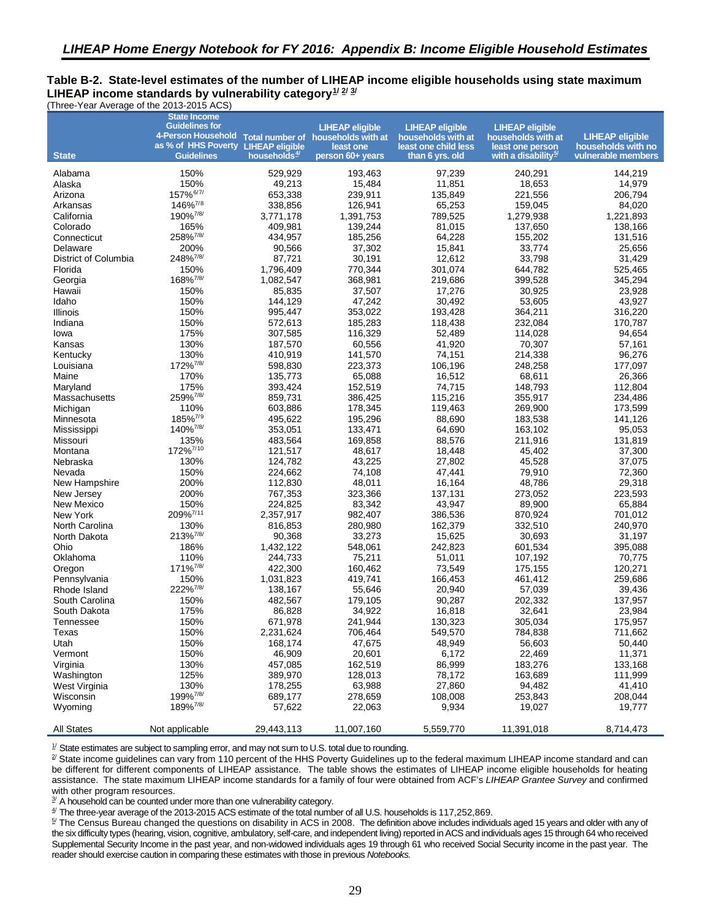#### <span id="page-38-0"></span>**Table B-2. State-level estimates of the number of LIHEAP income eligible households using state maximum** LIHEAP income standards by vulnerability category $\frac{1}{2}$  $\frac{1}{2}$  $\frac{1}{2}$ (Three-Year Average of the 2013-2015 ACS)

<span id="page-38-2"></span><span id="page-38-1"></span>

|                        | <b>State Income</b><br><b>Guidelines for</b><br>4-Person Household Total number of households with at |                          | <b>LIHEAP eligible</b> | <b>LIHEAP eligible</b>                     | <b>LIHEAP eligible</b>                 | <b>LIHEAP eligible</b> |
|------------------------|-------------------------------------------------------------------------------------------------------|--------------------------|------------------------|--------------------------------------------|----------------------------------------|------------------------|
|                        | as % of HHS Poverty LIHEAP eligible                                                                   |                          | least one              | households with at<br>least one child less | households with at<br>least one person | households with no     |
| <b>State</b>           | <b>Guidelines</b>                                                                                     | households <sup>4/</sup> | person 60+ years       | than 6 yrs. old                            | with a disability <sup>b/</sup>        | vulnerable members     |
| Alabama                | 150%                                                                                                  | 529,929                  | 193,463                | 97,239                                     | 240,291                                | 144,219                |
| Alaska                 | 150%                                                                                                  | 49,213                   | 15,484                 | 11,851                                     | 18,653                                 | 14,979                 |
| Arizona                | 157% <sup>6/7/</sup><br>146% <sup>7/8</sup>                                                           | 653,338                  | 239,911                | 135,849                                    | 221,556                                | 206,794                |
| Arkansas<br>California | 190% <sup>7/8/</sup>                                                                                  | 338,856<br>3,771,178     | 126,941<br>1,391,753   | 65,253<br>789,525                          | 159,045<br>1,279,938                   | 84,020<br>1,221,893    |
| Colorado               | 165%                                                                                                  | 409,981                  | 139,244                | 81,015                                     | 137,650                                | 138,166                |
| Connecticut            | 258%7/8/                                                                                              | 434,957                  | 185,256                | 64,228                                     | 155,202                                | 131,516                |
| Delaware               | 200%                                                                                                  | 90,566                   | 37,302                 | 15,841                                     | 33,774                                 | 25,656                 |
| District of Columbia   | 248% <sup>7/8/</sup>                                                                                  | 87,721                   | 30,191                 | 12,612                                     | 33,798                                 | 31,429                 |
| Florida                | 150%                                                                                                  | 1,796,409                | 770,344                | 301,074                                    | 644,782                                | 525,465                |
| Georgia                | 168% <sup>7/8/</sup>                                                                                  | 1,082,547                | 368,981                | 219,686                                    | 399,528                                | 345,294                |
| Hawaii                 | 150%                                                                                                  | 85,835                   | 37,507                 | 17,276                                     | 30,925                                 | 23,928                 |
| Idaho                  | 150%                                                                                                  | 144,129                  | 47,242                 | 30,492                                     | 53,605                                 | 43,927                 |
| Illinois               | 150%                                                                                                  | 995,447                  | 353,022                | 193,428                                    | 364,211                                | 316,220                |
| Indiana                | 150%                                                                                                  | 572,613                  | 185,283                | 118,438                                    | 232,084                                | 170,787                |
| lowa                   | 175%                                                                                                  | 307,585                  | 116,329                | 52,489                                     | 114,028                                | 94,654                 |
| Kansas                 | 130%                                                                                                  | 187,570                  | 60,556                 | 41,920                                     | 70,307                                 | 57,161                 |
| Kentucky               | 130%                                                                                                  | 410,919                  | 141,570                | 74,151                                     | 214,338                                | 96,276                 |
| Louisiana              | 172% <sup>7/8/</sup>                                                                                  | 598,830                  | 223,373                | 106,196                                    | 248,258                                | 177,097                |
| Maine                  | 170%                                                                                                  | 135,773                  | 65,088                 | 16,512                                     | 68,611                                 | 26,366                 |
| Maryland               | 175%                                                                                                  | 393,424                  | 152,519                | 74,715                                     | 148,793                                | 112,804                |
| Massachusetts          | 259%7/8/                                                                                              | 859,731                  | 386,425                | 115,216                                    | 355,917                                | 234,486                |
| Michigan               | 110%                                                                                                  | 603,886                  | 178,345                | 119,463                                    | 269,900                                | 173,599                |
| Minnesota              | 185% <sup>7/9</sup>                                                                                   | 495,622                  | 195,296                | 88,690                                     | 183,538                                | 141,126                |
| Mississippi            | 140% <sup>7/8/</sup>                                                                                  | 353.051                  | 133,471                | 64,690                                     | 163,102                                | 95,053                 |
| Missouri               | 135%                                                                                                  | 483,564                  | 169,858                | 88,576                                     | 211,916                                | 131,819                |
| Montana                | 172% <sup>7/10</sup>                                                                                  | 121,517                  | 48,617                 | 18,448                                     | 45,402                                 | 37,300                 |
| Nebraska               | 130%                                                                                                  | 124,782                  | 43,225                 | 27,802                                     | 45,528                                 | 37,075                 |
| Nevada                 | 150%                                                                                                  | 224,662                  | 74,108                 | 47,441                                     | 79,910                                 | 72,360                 |
| New Hampshire          | 200%                                                                                                  | 112,830                  | 48,011                 | 16,164                                     | 48,786                                 | 29,318                 |
| New Jersey             | 200%                                                                                                  | 767,353                  | 323,366                | 137,131                                    | 273,052                                | 223,593                |
| New Mexico             | 150%<br>209%7/11                                                                                      | 224,825                  | 83,342                 | 43,947                                     | 89,900                                 | 65,884                 |
| New York               |                                                                                                       | 2,357,917                | 982,407                | 386,536                                    | 870,924                                | 701,012                |
| North Carolina         | 130%<br>213% <sup>7/8/</sup>                                                                          | 816,853<br>90,368        | 280,980<br>33,273      | 162,379                                    | 332,510<br>30,693                      | 240,970                |
| North Dakota<br>Ohio   | 186%                                                                                                  | 1,432,122                | 548,061                | 15,625<br>242,823                          | 601,534                                | 31,197<br>395,088      |
| Oklahoma               | 110%                                                                                                  | 244,733                  | 75,211                 | 51,011                                     | 107,192                                | 70,775                 |
| Oregon                 | 171% <sup>7/8/</sup>                                                                                  | 422,300                  | 160,462                | 73,549                                     | 175,155                                | 120,271                |
| Pennsylvania           | 150%                                                                                                  | 1,031,823                | 419,741                | 166,453                                    | 461,412                                | 259,686                |
| Rhode Island           | 222% <sup>7/8/</sup>                                                                                  | 138,167                  | 55,646                 | 20,940                                     | 57,039                                 | 39,436                 |
| South Carolina         | 150%                                                                                                  | 482,567                  | 179.105                | 90,287                                     | 202,332                                | 137,957                |
| South Dakota           | 175%                                                                                                  | 86,828                   | 34,922                 | 16,818                                     | 32,641                                 | 23,984                 |
| Tennessee              | 150%                                                                                                  | 671,978                  | 241,944                | 130,323                                    | 305,034                                | 175,957                |
| I exas                 | 150%                                                                                                  | 2,231,624                | 706,464                | 549,570                                    | 784,838                                | /11,662                |
| Utah                   | 150%                                                                                                  | 168,174                  | 47,675                 | 48,949                                     | 56,603                                 | 50,440                 |
| Vermont                | 150%                                                                                                  | 46,909                   | 20,601                 | 6,172                                      | 22,469                                 | 11,371                 |
| Virginia               | 130%                                                                                                  | 457,085                  | 162,519                | 86,999                                     | 183,276                                | 133,168                |
| Washington             | 125%                                                                                                  | 389,970                  | 128,013                | 78,172                                     | 163,689                                | 111,999                |
| West Virginia          | 130%                                                                                                  | 178,255                  | 63,988                 | 27,860                                     | 94,482                                 | 41,410                 |
| Wisconsin              | 199% <sup>7/8/</sup>                                                                                  | 689,177                  | 278,659                | 108,008                                    | 253,843                                | 208,044                |
| Wyoming                | 189% <sup>7/8/</sup>                                                                                  | 57,622                   | 22,063                 | 9,934                                      | 19,027                                 | 19,777                 |
| <b>All States</b>      | Not applicable                                                                                        | 29,443,113               | 11,007,160             | 5,559,770                                  | 11,391,018                             | 8,714,473              |

 $1/$  State estimates are subject to sampling error, and may not sum to U.S. total due to rounding.

<sup>2/</sup> State income guidelines can vary from 110 percent of the HHS Poverty Guidelines up to the federal maximum LIHEAP income standard and can be different for different components of LIHEAP assistance. The table shows the estimates of LIHEAP income eligible households for heating assistance. The state maximum LIHEAP income standards for a family of four were obtained from ACF's *LIHEAP Grantee Survey* and confirmed with other program resources.

<sup>3/</sup> A household can be counted under more than one vulnerability category.

4/ The three-year average of the 2013-2015 ACS estimate of the total number of all U.S. households is 117,252,869.

<sup>5/</sup> The Census Bureau changed the questions on disability in ACS in 2008. The definition above includes individuals aged 15 years and older with any of the six difficulty types (hearing, vision, cognitive, ambulatory, self-care, and independent living) reported in ACS and individuals ages 15 through 64 who received Supplemental Security Income in the past year, and non-widowed individuals ages 19 through 61 who received Social Security income in the past year. The reader should exercise caution in comparing these estimates with those in previous *Notebooks.*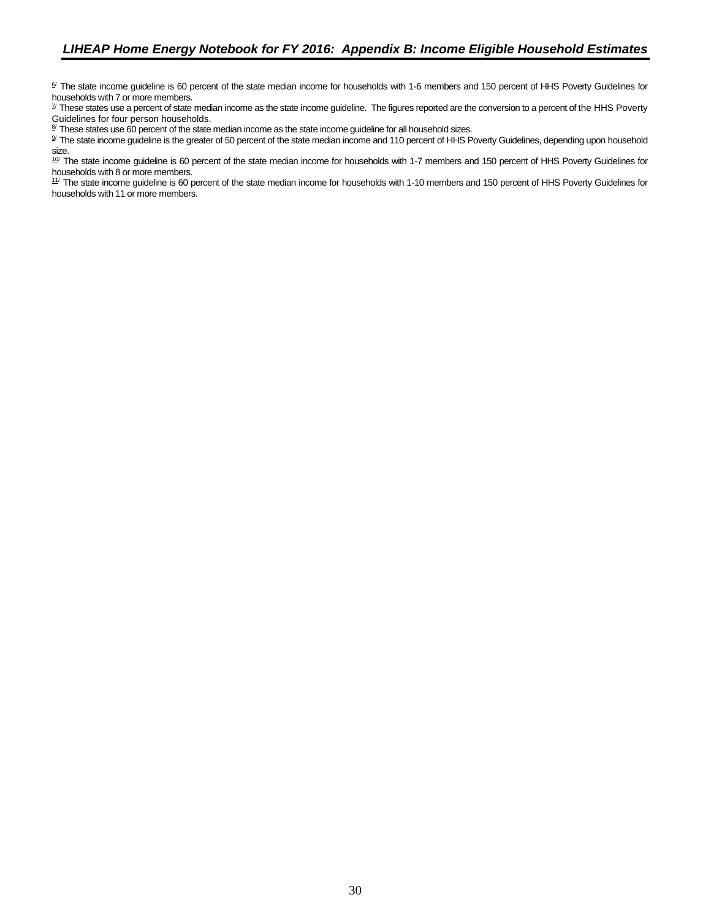<sup>6/</sup> The state income quideline is 60 percent of the state median income for households with 1-6 members and 150 percent of HHS Poverty Guidelines for households with 7 or more members.

<sup>7/</sup> These states use a percent of state median income as the state income guideline. The figures reported are the conversion to a percent of the HHS Poverty Guidelines for four person households.

8/ These states use 60 percent of the state median income as the state income guideline for all household sizes.

<sup>9/</sup> The state income guideline is the greater of 50 percent of the state median income and 110 percent of HHS Poverty Guidelines, depending upon household size.

 $10$  The state income guideline is 60 percent of the state median income for households with 1-7 members and 150 percent of HHS Poverty Guidelines for households with 8 or more members.

<sup>11/</sup> The state income guideline is 60 percent of the state median income for households with 1-10 members and 150 percent of HHS Poverty Guidelines for households with 11 or more members.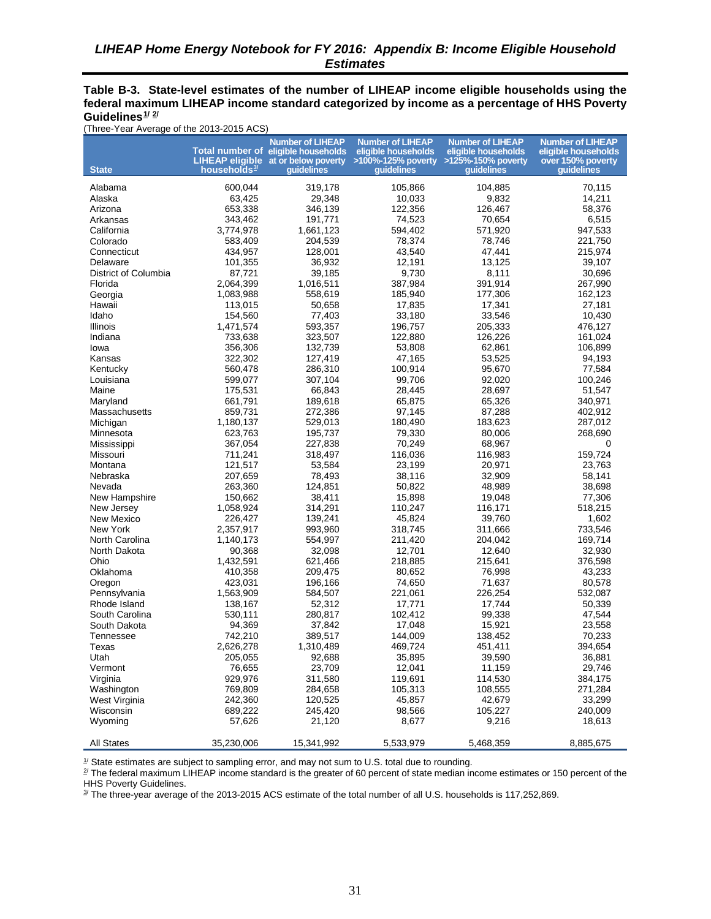#### <span id="page-40-0"></span>**Table B-3. State-level estimates of the number of LIHEAP income eligible households using the federal maximum LIHEAP income standard categorized by income as a percentage of HHS Poverty Guidelines[1](#page-40-1)/ [2](#page-40-2) /**

(Three-Year Average of the 2013-2015 ACS)

| <b>State</b>          | households <sup>3/</sup> | <b>Number of LIHEAP</b><br>Total number of eligible households<br>quidelines | <b>Number of LIHEAP</b><br>eligible households<br>LIHEAP eligible at or below poverty >100%-125% poverty<br>quidelines | <b>Number of LIHEAP</b><br>eligible households<br>>125%-150% poverty<br>quidelines | <b>Number of LIHEAP</b><br>eligible households<br>over 150% poverty<br><b>auidelines</b> |
|-----------------------|--------------------------|------------------------------------------------------------------------------|------------------------------------------------------------------------------------------------------------------------|------------------------------------------------------------------------------------|------------------------------------------------------------------------------------------|
|                       |                          |                                                                              |                                                                                                                        |                                                                                    |                                                                                          |
| Alabama               | 600,044                  | 319,178                                                                      | 105,866                                                                                                                | 104,885                                                                            | 70,115                                                                                   |
| Alaska                | 63,425                   | 29,348                                                                       | 10,033                                                                                                                 | 9,832                                                                              | 14,211                                                                                   |
| Arizona               | 653,338                  | 346,139                                                                      | 122,356                                                                                                                | 126,467                                                                            | 58,376                                                                                   |
| Arkansas              | 343,462                  | 191,771                                                                      | 74,523                                                                                                                 | 70,654                                                                             | 6,515                                                                                    |
| California            | 3,774,978                | 1,661,123                                                                    | 594,402                                                                                                                | 571,920                                                                            | 947,533                                                                                  |
| Colorado              | 583,409                  | 204,539                                                                      | 78,374                                                                                                                 | 78,746                                                                             | 221,750                                                                                  |
| Connecticut           | 434,957                  | 128,001                                                                      | 43,540                                                                                                                 | 47,441                                                                             | 215,974                                                                                  |
| Delaware              | 101,355                  | 36,932                                                                       | 12,191                                                                                                                 | 13,125                                                                             | 39,107                                                                                   |
| District of Columbia  | 87,721                   | 39,185                                                                       | 9,730                                                                                                                  | 8,111                                                                              | 30,696                                                                                   |
| Florida               | 2,064,399                | 1,016,511                                                                    | 387,984                                                                                                                | 391,914                                                                            | 267,990                                                                                  |
| Georgia               | 1,083,988                | 558,619                                                                      | 185,940                                                                                                                | 177,306                                                                            | 162,123                                                                                  |
| Hawaii                | 113,015                  | 50,658                                                                       | 17,835                                                                                                                 | 17,341                                                                             | 27,181                                                                                   |
| Idaho                 | 154,560                  | 77,403                                                                       | 33,180                                                                                                                 | 33,546                                                                             | 10,430                                                                                   |
| Illinois              | 1,471,574                | 593,357                                                                      | 196,757                                                                                                                | 205,333                                                                            | 476,127                                                                                  |
| Indiana               | 733,638                  | 323,507                                                                      | 122,880                                                                                                                | 126,226                                                                            | 161,024                                                                                  |
| Iowa                  | 356,306<br>322,302       | 132,739<br>127,419                                                           | 53,808                                                                                                                 | 62,861<br>53,525                                                                   | 106,899                                                                                  |
| Kansas                | 560,478                  | 286,310                                                                      | 47,165<br>100,914                                                                                                      | 95,670                                                                             | 94,193<br>77,584                                                                         |
| Kentucky<br>Louisiana | 599,077                  | 307,104                                                                      | 99,706                                                                                                                 | 92,020                                                                             | 100,246                                                                                  |
| Maine                 | 175,531                  | 66,843                                                                       | 28,445                                                                                                                 | 28,697                                                                             | 51,547                                                                                   |
| Maryland              | 661,791                  | 189,618                                                                      | 65,875                                                                                                                 | 65,326                                                                             | 340.971                                                                                  |
| Massachusetts         | 859.731                  | 272,386                                                                      | 97,145                                                                                                                 | 87,288                                                                             | 402,912                                                                                  |
| Michigan              | 1,180,137                | 529,013                                                                      | 180,490                                                                                                                | 183,623                                                                            | 287,012                                                                                  |
| Minnesota             | 623,763                  | 195,737                                                                      | 79,330                                                                                                                 | 80,006                                                                             | 268,690                                                                                  |
| Mississippi           | 367,054                  | 227,838                                                                      | 70,249                                                                                                                 | 68,967                                                                             | 0                                                                                        |
| Missouri              | 711,241                  | 318,497                                                                      | 116,036                                                                                                                | 116,983                                                                            | 159,724                                                                                  |
| Montana               | 121,517                  | 53,584                                                                       | 23,199                                                                                                                 | 20,971                                                                             | 23,763                                                                                   |
| Nebraska              | 207,659                  | 78,493                                                                       | 38,116                                                                                                                 | 32,909                                                                             | 58,141                                                                                   |
| Nevada                | 263,360                  | 124,851                                                                      | 50,822                                                                                                                 | 48,989                                                                             | 38,698                                                                                   |
| New Hampshire         | 150,662                  | 38,411                                                                       | 15,898                                                                                                                 | 19,048                                                                             | 77,306                                                                                   |
| New Jersey            | 1,058,924                | 314,291                                                                      | 110,247                                                                                                                | 116,171                                                                            | 518,215                                                                                  |
| New Mexico            | 226,427                  | 139,241                                                                      | 45,824                                                                                                                 | 39,760                                                                             | 1,602                                                                                    |
| New York              | 2,357,917                | 993,960                                                                      | 318,745                                                                                                                | 311,666                                                                            | 733,546                                                                                  |
| North Carolina        | 1,140,173                | 554,997                                                                      | 211,420                                                                                                                | 204,042                                                                            | 169,714                                                                                  |
| North Dakota          | 90,368                   | 32,098                                                                       | 12,701                                                                                                                 | 12,640                                                                             | 32,930                                                                                   |
| Ohio                  | 1,432,591                | 621,466                                                                      | 218,885                                                                                                                | 215,641                                                                            | 376,598                                                                                  |
| Oklahoma              | 410,358                  | 209,475                                                                      | 80,652                                                                                                                 | 76,998                                                                             | 43,233                                                                                   |
| Oregon                | 423,031                  | 196,166                                                                      | 74,650                                                                                                                 | 71,637                                                                             | 80,578                                                                                   |
| Pennsylvania          | 1,563,909                | 584,507                                                                      | 221,061                                                                                                                | 226,254                                                                            | 532,087                                                                                  |
| Rhode Island          | 138,167                  | 52,312                                                                       | 17,771                                                                                                                 | 17,744                                                                             | 50,339                                                                                   |
| South Carolina        | 530,111                  | 280,817                                                                      | 102,412                                                                                                                | 99,338                                                                             | 47,544                                                                                   |
| South Dakota          | 94,369                   | 37,842                                                                       | 17,048                                                                                                                 | 15,921                                                                             | 23,558                                                                                   |
| Tennessee             | 742,210                  | 389,517                                                                      | 144,009                                                                                                                | 138,452                                                                            | 70,233                                                                                   |
| Texas                 | 2,626,278                | 1,310,489                                                                    | 469,724                                                                                                                | 451,411                                                                            | 394,654                                                                                  |
| Utah                  | 205,055                  | 92,688                                                                       | 35,895                                                                                                                 | 39,590                                                                             | 36,881                                                                                   |
| Vermont               | 76,655                   | 23,709                                                                       | 12,041                                                                                                                 | 11,159                                                                             | 29,746                                                                                   |
| Virginia              | 929,976                  | 311,580                                                                      | 119,691                                                                                                                | 114,530                                                                            | 384,175                                                                                  |
| Washington            | 769,809                  | 284,658                                                                      | 105,313                                                                                                                | 108,555                                                                            | 271,284                                                                                  |
| West Virginia         | 242,360                  | 120,525                                                                      | 45,857                                                                                                                 | 42,679                                                                             | 33,299                                                                                   |
| Wisconsin             | 689,222                  | 245,420                                                                      | 98,566                                                                                                                 | 105,227                                                                            | 240,009                                                                                  |
| Wyoming               | 57,626                   | 21,120                                                                       | 8,677                                                                                                                  | 9,216                                                                              | 18,613                                                                                   |
| <b>All States</b>     | 35,230,006               | 15,341,992                                                                   | 5,533,979                                                                                                              | 5,468,359                                                                          | 8,885,675                                                                                |

<span id="page-40-1"></span> $1/$  State estimates are subject to sampling error, and may not sum to U.S. total due to rounding.

<span id="page-40-2"></span><sup>2/</sup> The federal maximum LIHEAP income standard is the greater of 60 percent of state median income estimates or 150 percent of the HHS Poverty Guidelines.

<span id="page-40-3"></span><sup>3/</sup> The three-year average of the 2013-2015 ACS estimate of the total number of all U.S. households is 117,252,869.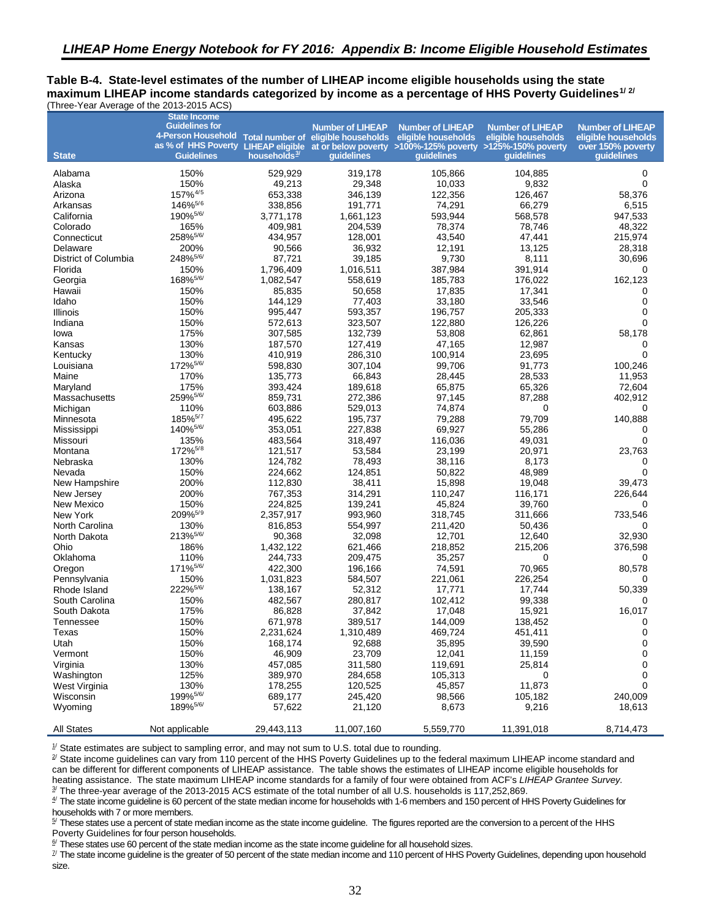<span id="page-41-5"></span><span id="page-41-4"></span><span id="page-41-3"></span><span id="page-41-2"></span><span id="page-41-1"></span><span id="page-41-0"></span>**Table B-4. State-level estimates of the number of LIHEAP income eligible households using the state maximum LIHEAP income standards categorized by income as a percentage of HHS Poverty Guidelines[1](#page-42-14)/ [2](#page-42-15)/**  (Three-Year Average of the 2013-2015 ACS)

<span id="page-41-7"></span><span id="page-41-6"></span>

|                      | <b>State Income</b>          |                          |                         |                                                                                                       |                                                |                                                |
|----------------------|------------------------------|--------------------------|-------------------------|-------------------------------------------------------------------------------------------------------|------------------------------------------------|------------------------------------------------|
|                      | <b>Guidelines for</b>        |                          | <b>Number of LIHEAP</b> | <b>Number of LIHEAP</b><br>4-Person Household Total number of eligible households eligible households | <b>Number of LIHEAP</b><br>eligible households | <b>Number of LIHEAP</b><br>eligible households |
|                      |                              |                          |                         | as % of HHS Poverty LIHEAP eligible at or below poverty >100%-125% poverty >125%-150% poverty         |                                                | over 150% poverty                              |
| <b>State</b>         | <b>Guidelines</b>            | households <sup>3/</sup> | quidelines              | quidelines                                                                                            | quidelines                                     | quidelines                                     |
| Alabama              | 150%                         | 529,929                  | 319,178                 | 105,866                                                                                               | 104,885                                        | 0                                              |
| Alaska               | 150%                         | 49,213                   | 29,348                  | 10,033                                                                                                | 9,832                                          | $\Omega$                                       |
| Arizona              | 157% <sup>4/5</sup>          | 653,338                  | 346,139                 | 122,356                                                                                               | 126,467                                        | 58,376                                         |
| Arkansas             | 146% <sup>5/6</sup>          | 338,856                  | 191,771                 | 74,291                                                                                                | 66,279                                         | 6,515                                          |
| California           | 190% <sup>5/6/</sup>         | 3,771,178                | 1,661,123               | 593,944                                                                                               | 568,578                                        | 947,533                                        |
| Colorado             | 165%                         | 409,981                  | 204,539                 | 78,374                                                                                                | 78,746                                         | 48,322                                         |
| Connecticut          | 258%5/6/                     | 434,957                  | 128,001                 | 43,540                                                                                                | 47,441                                         | 215,974                                        |
| Delaware             | 200%                         | 90,566                   | 36,932                  | 12,191                                                                                                | 13,125                                         | 28,318                                         |
| District of Columbia | 248% 5/6/                    | 87,721                   | 39,185                  | 9,730                                                                                                 | 8,111                                          | 30,696                                         |
| Florida              | 150%                         | 1,796,409                | 1,016,511               | 387,984                                                                                               | 391,914                                        | 0                                              |
| Georgia              | 168% <sup>5/6/</sup>         | 1,082,547                | 558,619                 | 185,783                                                                                               | 176,022                                        | 162,123                                        |
| Hawaii               | 150%                         | 85,835                   | 50,658                  | 17,835                                                                                                | 17,341                                         | 0                                              |
| Idaho                | 150%                         | 144,129                  | 77,403                  | 33,180                                                                                                | 33,546                                         | 0                                              |
| Illinois             | 150%                         | 995,447                  | 593,357                 | 196,757                                                                                               | 205,333                                        | 0                                              |
| Indiana              | 150%                         | 572,613                  | 323,507                 | 122,880                                                                                               | 126,226                                        |                                                |
| lowa                 | 175%                         | 307,585                  | 132,739                 | 53,808                                                                                                | 62,861                                         | 58,178                                         |
| Kansas               | 130%                         | 187,570                  | 127,419                 | 47,165                                                                                                | 12.987                                         | 0                                              |
| Kentucky             | 130%                         | 410,919                  | 286,310                 | 100,914                                                                                               | 23,695                                         | 0                                              |
| Louisiana            | 172% <sup>5/6/</sup>         | 598,830                  | 307.104                 | 99,706                                                                                                | 91,773                                         | 100,246                                        |
| Maine                | 170%                         | 135,773                  | 66,843                  | 28,445                                                                                                | 28,533                                         | 11,953                                         |
| Maryland             | 175%                         | 393,424                  | 189,618                 | 65.875                                                                                                | 65,326                                         | 72,604                                         |
| Massachusetts        | 259% 5/6/                    | 859,731                  | 272,386                 | 97,145                                                                                                | 87,288                                         | 402,912                                        |
| Michigan             | 110%                         | 603,886                  | 529,013                 | 74,874                                                                                                | 0                                              | 0                                              |
| Minnesota            | 185% <sup>5/7</sup>          | 495,622                  | 195,737                 | 79,288                                                                                                | 79,709                                         | 140,888                                        |
| Mississippi          | 140% <sup>5/6/</sup>         | 353,051                  | 227,838                 | 69,927                                                                                                | 55,286                                         | 0                                              |
| Missouri             | 135%                         | 483,564                  | 318,497                 | 116,036                                                                                               | 49,031                                         | 0                                              |
| Montana              | 172% <sup>5/8</sup>          | 121,517                  | 53,584                  | 23,199                                                                                                | 20,971                                         | 23,763                                         |
| Nebraska             | 130%                         | 124,782                  | 78,493                  | 38,116                                                                                                | 8,173                                          | 0                                              |
| Nevada               | 150%                         | 224,662                  | 124,851                 | 50,822                                                                                                | 48,989                                         | 0                                              |
| New Hampshire        | 200%                         | 112,830                  | 38,411                  | 15,898                                                                                                | 19,048                                         | 39,473                                         |
| New Jersey           | 200%                         | 767,353                  | 314,291                 | 110,247                                                                                               | 116,171                                        | 226,644                                        |
| New Mexico           | 150%                         | 224,825                  | 139,241                 | 45,824                                                                                                | 39,760                                         | 0                                              |
| New York             | 209% <sup>5/9</sup>          | 2,357,917                | 993,960                 | 318,745                                                                                               | 311,666                                        | 733,546                                        |
| North Carolina       | 130%                         | 816,853                  | 554,997                 | 211,420                                                                                               | 50,436                                         | 0                                              |
| North Dakota         | 213%5/6/                     | 90,368                   | 32,098                  | 12,701                                                                                                | 12,640                                         | 32,930                                         |
| Ohio                 | 186%                         | 1,432,122                | 621,466                 | 218,852                                                                                               | 215,206                                        | 376,598                                        |
| Oklahoma             | 110%                         | 244,733                  | 209,475                 | 35,257                                                                                                | 0                                              | 0                                              |
| Oregon               | 171% <sup>5/6/</sup>         | 422,300                  | 196,166                 | 74,591                                                                                                | 70,965                                         | 80,578                                         |
| Pennsylvania         | 150%                         | 1,031,823                | 584,507                 | 221,061                                                                                               | 226,254                                        | 0                                              |
| Rhode Island         | 222% 5/6/                    | 138,167                  | 52,312                  | 17,771                                                                                                | 17,744                                         | 50,339                                         |
| South Carolina       | 150%                         | 482,567                  | 280,817                 | 102,412                                                                                               | 99,338                                         | 0                                              |
| South Dakota         | 175%                         | 86,828                   | 37,842                  | 17,048                                                                                                | 15,921                                         | 16,017                                         |
| Tennessee            | 150%                         | 671,978                  | 389,517                 | 144,009                                                                                               | 138,452                                        | 0                                              |
| Texas                | 150%                         | 2,231,624                | 1,310,489               | 469,724                                                                                               | 451,411                                        | 0                                              |
| Utah                 | 150%                         | 168,174                  | 92,688                  | 35,895                                                                                                | 39,590                                         | 0                                              |
| Vermont              | 150%                         | 46,909                   | 23,709                  | 12,041                                                                                                | 11,159                                         | 0                                              |
| Virginia             | 130%                         | 457,085                  | 311,580                 | 119,691                                                                                               | 25,814                                         | 0                                              |
| Washington           | 125%                         | 389,970                  | 284,658                 | 105,313                                                                                               | 0                                              | 0                                              |
| West Virginia        | 130%<br>199% <sup>5/6/</sup> | 178,255                  | 120,525                 | 45,857                                                                                                | 11,873                                         | 0                                              |
| Wisconsin            | 189% <sup>5/6/</sup>         | 689,177                  | 245,420                 | 98,566                                                                                                | 105,182                                        | 240,009                                        |
| Wyoming              |                              | 57,622                   | 21,120                  | 8,673                                                                                                 | 9,216                                          | 18,613                                         |
| <b>All States</b>    | Not applicable               | 29,443,113               | 11,007,160              | 5,559,770                                                                                             | 11,391,018                                     | 8,714,473                                      |

 $1/$  State estimates are subject to sampling error, and may not sum to U.S. total due to rounding.

<sup>2/</sup> State income guidelines can vary from 110 percent of the HHS Poverty Guidelines up to the federal maximum LIHEAP income standard and can be different for different components of LIHEAP assistance. The table shows the estimates of LIHEAP income eligible households for heating assistance. The state maximum LIHEAP income standards for a family of four were obtained from ACF's *LIHEAP Grantee Survey.*

3/ The three-year average of the 2013-2015 ACS estimate of the total number of all U.S. households is 117,252,869.

 $4$  The state income guideline is 60 percent of the state median income for households with 1-6 members and 150 percent of HHS Poverty Guidelines for households with 7 or more members.

5/ These states use a percent of state median income as the state income guideline. The figures reported are the conversion to a percent of the HHS Poverty Guidelines for four person households.

 $6/$  These states use 60 percent of the state median income as the state income guideline for all household sizes.

 $\mathbb{Z}$  The state income guideline is the greater of 50 percent of the state median income and 110 percent of HHS Poverty Guidelines, depending upon household size.